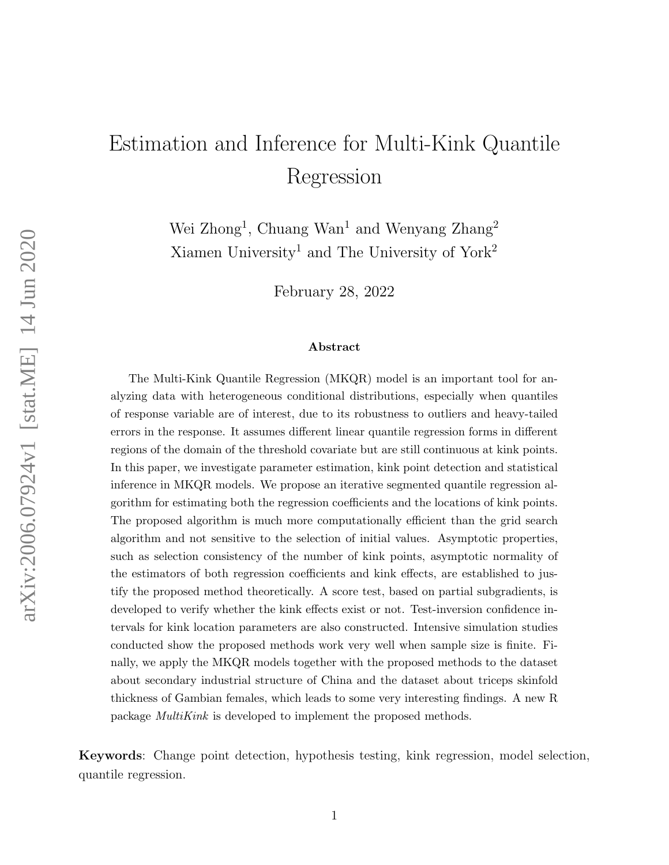# <span id="page-0-0"></span>Estimation and Inference for Multi-Kink Quantile Regression

Wei Zhong<sup>1</sup>, Chuang Wan<sup>1</sup> and Wenyang Zhang<sup>2</sup> Xiamen University<sup>1</sup> and The University of York<sup>2</sup>

February 28, 2022

#### Abstract

The Multi-Kink Quantile Regression (MKQR) model is an important tool for analyzing data with heterogeneous conditional distributions, especially when quantiles of response variable are of interest, due to its robustness to outliers and heavy-tailed errors in the response. It assumes different linear quantile regression forms in different regions of the domain of the threshold covariate but are still continuous at kink points. In this paper, we investigate parameter estimation, kink point detection and statistical inference in MKQR models. We propose an iterative segmented quantile regression algorithm for estimating both the regression coefficients and the locations of kink points. The proposed algorithm is much more computationally efficient than the grid search algorithm and not sensitive to the selection of initial values. Asymptotic properties, such as selection consistency of the number of kink points, asymptotic normality of the estimators of both regression coefficients and kink effects, are established to justify the proposed method theoretically. A score test, based on partial subgradients, is developed to verify whether the kink effects exist or not. Test-inversion confidence intervals for kink location parameters are also constructed. Intensive simulation studies conducted show the proposed methods work very well when sample size is finite. Finally, we apply the MKQR models together with the proposed methods to the dataset about secondary industrial structure of China and the dataset about triceps skinfold thickness of Gambian females, which leads to some very interesting findings. A new R package MultiKink is developed to implement the proposed methods.

Keywords: Change point detection, hypothesis testing, kink regression, model selection, quantile regression.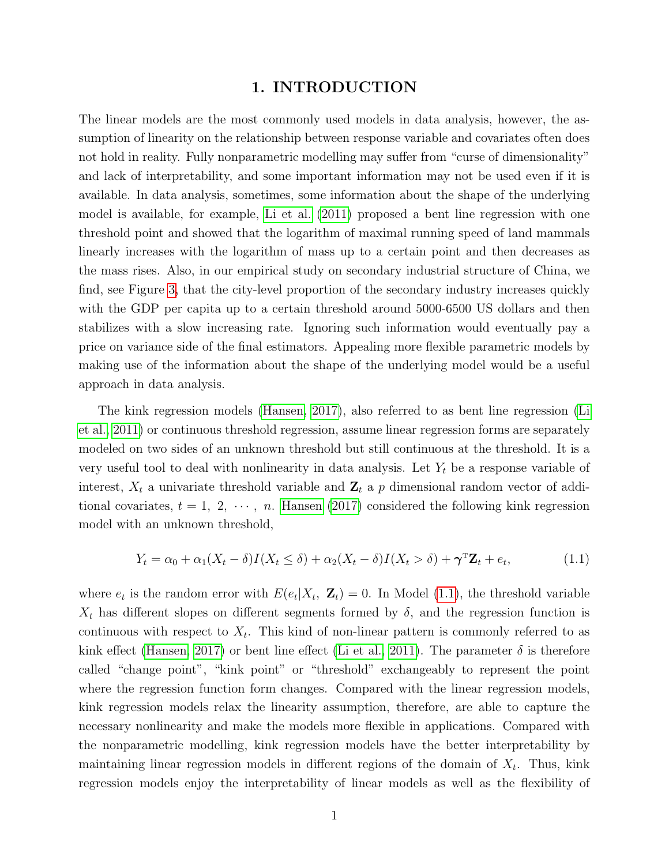#### 1. INTRODUCTION

The linear models are the most commonly used models in data analysis, however, the assumption of linearity on the relationship between response variable and covariates often does not hold in reality. Fully nonparametric modelling may suffer from "curse of dimensionality" and lack of interpretability, and some important information may not be used even if it is available. In data analysis, sometimes, some information about the shape of the underlying model is available, for example, [Li et al. \(2011\)](#page-38-0) proposed a bent line regression with one threshold point and showed that the logarithm of maximal running speed of land mammals linearly increases with the logarithm of mass up to a certain point and then decreases as the mass rises. Also, in our empirical study on secondary industrial structure of China, we find, see Figure [3,](#page-21-0) that the city-level proportion of the secondary industry increases quickly with the GDP per capita up to a certain threshold around 5000-6500 US dollars and then stabilizes with a slow increasing rate. Ignoring such information would eventually pay a price on variance side of the final estimators. Appealing more flexible parametric models by making use of the information about the shape of the underlying model would be a useful approach in data analysis.

The kink regression models [\(Hansen, 2017\)](#page-37-0), also referred to as bent line regression [\(Li](#page-38-0) [et al., 2011\)](#page-38-0) or continuous threshold regression, assume linear regression forms are separately modeled on two sides of an unknown threshold but still continuous at the threshold. It is a very useful tool to deal with nonlinearity in data analysis. Let  $Y_t$  be a response variable of interest,  $X_t$  a univariate threshold variable and  $\mathbf{Z}_t$  a p dimensional random vector of additional covariates,  $t = 1, 2, \dots, n$ . [Hansen \(2017\)](#page-37-0) considered the following kink regression model with an unknown threshold,

<span id="page-1-0"></span>
$$
Y_t = \alpha_0 + \alpha_1 (X_t - \delta) I(X_t \le \delta) + \alpha_2 (X_t - \delta) I(X_t > \delta) + \gamma^{\mathrm{T}} \mathbf{Z}_t + e_t, \tag{1.1}
$$

where  $e_t$  is the random error with  $E(e_t|X_t, \mathbf{Z}_t) = 0$ . In Model [\(1.1\)](#page-1-0), the threshold variable  $X_t$  has different slopes on different segments formed by  $\delta$ , and the regression function is continuous with respect to  $X_t$ . This kind of non-linear pattern is commonly referred to as kink effect [\(Hansen, 2017\)](#page-37-0) or bent line effect [\(Li et al., 2011\)](#page-38-0). The parameter  $\delta$  is therefore called "change point", "kink point" or "threshold" exchangeably to represent the point where the regression function form changes. Compared with the linear regression models, kink regression models relax the linearity assumption, therefore, are able to capture the necessary nonlinearity and make the models more flexible in applications. Compared with the nonparametric modelling, kink regression models have the better interpretability by maintaining linear regression models in different regions of the domain of  $X_t$ . Thus, kink regression models enjoy the interpretability of linear models as well as the flexibility of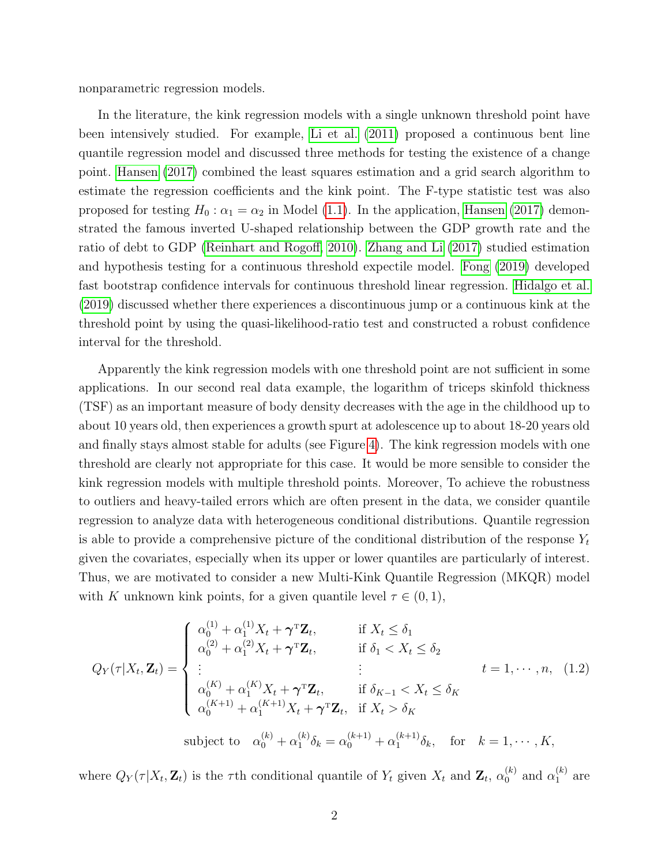nonparametric regression models.

In the literature, the kink regression models with a single unknown threshold point have been intensively studied. For example, [Li et al. \(2011\)](#page-38-0) proposed a continuous bent line quantile regression model and discussed three methods for testing the existence of a change point. [Hansen \(2017\)](#page-37-0) combined the least squares estimation and a grid search algorithm to estimate the regression coefficients and the kink point. The F-type statistic test was also proposed for testing  $H_0: \alpha_1 = \alpha_2$  in Model [\(1.1\)](#page-1-0). In the application, [Hansen \(2017\)](#page-37-0) demonstrated the famous inverted U-shaped relationship between the GDP growth rate and the ratio of debt to GDP [\(Reinhart and Rogoff, 2010\)](#page-38-1). [Zhang and Li \(2017\)](#page-39-0) studied estimation and hypothesis testing for a continuous threshold expectile model. [Fong \(2019\)](#page-37-1) developed fast bootstrap confidence intervals for continuous threshold linear regression. [Hidalgo et al.](#page-37-2) [\(2019\)](#page-37-2) discussed whether there experiences a discontinuous jump or a continuous kink at the threshold point by using the quasi-likelihood-ratio test and constructed a robust confidence interval for the threshold.

Apparently the kink regression models with one threshold point are not sufficient in some applications. In our second real data example, the logarithm of triceps skinfold thickness (TSF) as an important measure of body density decreases with the age in the childhood up to about 10 years old, then experiences a growth spurt at adolescence up to about 18-20 years old and finally stays almost stable for adults (see Figure [4\)](#page-23-0). The kink regression models with one threshold are clearly not appropriate for this case. It would be more sensible to consider the kink regression models with multiple threshold points. Moreover, To achieve the robustness to outliers and heavy-tailed errors which are often present in the data, we consider quantile regression to analyze data with heterogeneous conditional distributions. Quantile regression is able to provide a comprehensive picture of the conditional distribution of the response  $Y_t$ given the covariates, especially when its upper or lower quantiles are particularly of interest. Thus, we are motivated to consider a new Multi-Kink Quantile Regression (MKQR) model with K unknown kink points, for a given quantile level  $\tau \in (0,1)$ ,

<span id="page-2-0"></span>
$$
Q_{Y}(\tau|X_{t}, \mathbf{Z}_{t}) = \begin{cases} \alpha_{0}^{(1)} + \alpha_{1}^{(1)}X_{t} + \gamma^{\mathrm{T}}\mathbf{Z}_{t}, & \text{if } X_{t} \leq \delta_{1} \\ \alpha_{0}^{(2)} + \alpha_{1}^{(2)}X_{t} + \gamma^{\mathrm{T}}\mathbf{Z}_{t}, & \text{if } \delta_{1} < X_{t} \leq \delta_{2} \\ \vdots & \vdots & t = 1, \cdots, n, \quad (1.2) \\ \alpha_{0}^{(K)} + \alpha_{1}^{(K)}X_{t} + \gamma^{\mathrm{T}}\mathbf{Z}_{t}, & \text{if } \delta_{K-1} < X_{t} \leq \delta_{K} \\ \alpha_{0}^{(K+1)} + \alpha_{1}^{(K+1)}X_{t} + \gamma^{\mathrm{T}}\mathbf{Z}_{t}, & \text{if } X_{t} > \delta_{K} \end{cases}
$$
\nsubject to  $\alpha_{0}^{(k)} + \alpha_{1}^{(k)}\delta_{k} = \alpha_{0}^{(k+1)} + \alpha_{1}^{(k+1)}\delta_{k}, \text{ for } k = 1, \cdots, K,$ 

where  $Q_Y(\tau|X_t, \mathbf{Z}_t)$  is the  $\tau$ th conditional quantile of  $Y_t$  given  $X_t$  and  $\mathbf{Z}_t$ ,  $\alpha_0^{(k)}$  $\binom{k}{0}$  and  $\alpha_1^{(k)}$  $_1^{(\kappa)}$  are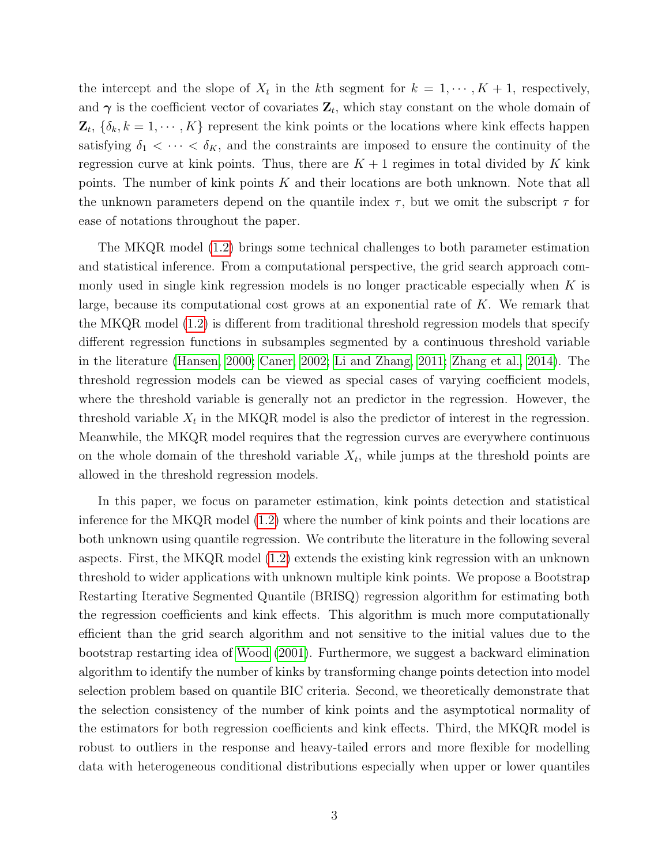the intercept and the slope of  $X_t$  in the kth segment for  $k = 1, \dots, K + 1$ , respectively, and  $\gamma$  is the coefficient vector of covariates  $\mathbf{Z}_t$ , which stay constant on the whole domain of  $\mathbf{Z}_t, \{\delta_k, k=1,\cdots,K\}$  represent the kink points or the locations where kink effects happen satisfying  $\delta_1 < \cdots < \delta_K$ , and the constraints are imposed to ensure the continuity of the regression curve at kink points. Thus, there are  $K + 1$  regimes in total divided by K kink points. The number of kink points  $K$  and their locations are both unknown. Note that all the unknown parameters depend on the quantile index  $\tau$ , but we omit the subscript  $\tau$  for ease of notations throughout the paper.

The MKQR model [\(1.2\)](#page-2-0) brings some technical challenges to both parameter estimation and statistical inference. From a computational perspective, the grid search approach commonly used in single kink regression models is no longer practicable especially when  $K$  is large, because its computational cost grows at an exponential rate of  $K$ . We remark that the MKQR model [\(1.2\)](#page-2-0) is different from traditional threshold regression models that specify different regression functions in subsamples segmented by a continuous threshold variable in the literature [\(Hansen, 2000;](#page-37-3) [Caner, 2002;](#page-36-0) [Li and Zhang, 2011;](#page-38-2) [Zhang et al., 2014\)](#page-39-1). The threshold regression models can be viewed as special cases of varying coefficient models, where the threshold variable is generally not an predictor in the regression. However, the threshold variable  $X_t$  in the MKQR model is also the predictor of interest in the regression. Meanwhile, the MKQR model requires that the regression curves are everywhere continuous on the whole domain of the threshold variable  $X_t$ , while jumps at the threshold points are allowed in the threshold regression models.

In this paper, we focus on parameter estimation, kink points detection and statistical inference for the MKQR model [\(1.2\)](#page-2-0) where the number of kink points and their locations are both unknown using quantile regression. We contribute the literature in the following several aspects. First, the MKQR model [\(1.2\)](#page-2-0) extends the existing kink regression with an unknown threshold to wider applications with unknown multiple kink points. We propose a Bootstrap Restarting Iterative Segmented Quantile (BRISQ) regression algorithm for estimating both the regression coefficients and kink effects. This algorithm is much more computationally efficient than the grid search algorithm and not sensitive to the initial values due to the bootstrap restarting idea of [Wood \(2001\)](#page-38-3). Furthermore, we suggest a backward elimination algorithm to identify the number of kinks by transforming change points detection into model selection problem based on quantile BIC criteria. Second, we theoretically demonstrate that the selection consistency of the number of kink points and the asymptotical normality of the estimators for both regression coefficients and kink effects. Third, the MKQR model is robust to outliers in the response and heavy-tailed errors and more flexible for modelling data with heterogeneous conditional distributions especially when upper or lower quantiles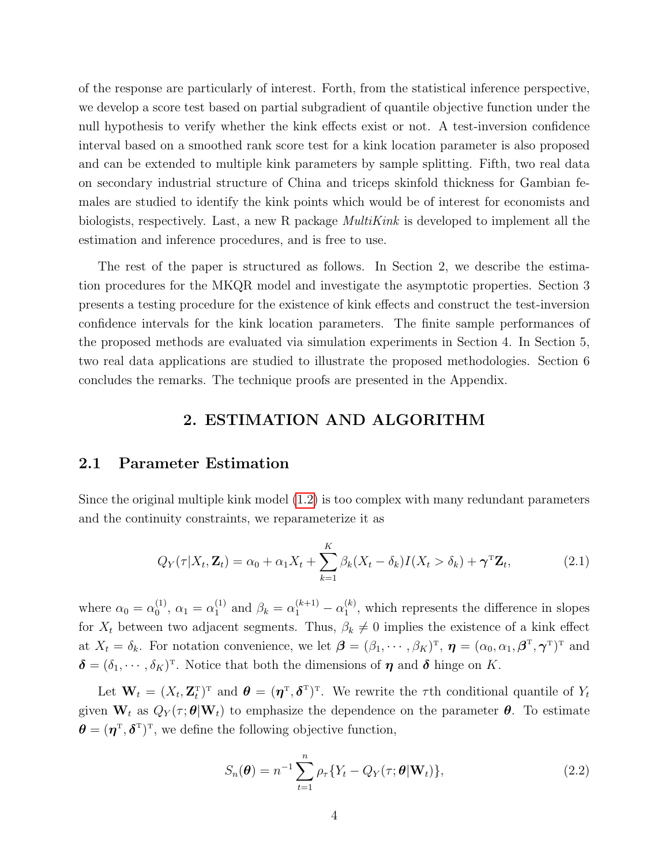of the response are particularly of interest. Forth, from the statistical inference perspective, we develop a score test based on partial subgradient of quantile objective function under the null hypothesis to verify whether the kink effects exist or not. A test-inversion confidence interval based on a smoothed rank score test for a kink location parameter is also proposed and can be extended to multiple kink parameters by sample splitting. Fifth, two real data on secondary industrial structure of China and triceps skinfold thickness for Gambian females are studied to identify the kink points which would be of interest for economists and biologists, respectively. Last, a new R package  $Multikink$  is developed to implement all the estimation and inference procedures, and is free to use.

The rest of the paper is structured as follows. In Section 2, we describe the estimation procedures for the MKQR model and investigate the asymptotic properties. Section 3 presents a testing procedure for the existence of kink effects and construct the test-inversion confidence intervals for the kink location parameters. The finite sample performances of the proposed methods are evaluated via simulation experiments in Section 4. In Section 5, two real data applications are studied to illustrate the proposed methodologies. Section 6 concludes the remarks. The technique proofs are presented in the Appendix.

## <span id="page-4-0"></span>2. ESTIMATION AND ALGORITHM

## 2.1 Parameter Estimation

Since the original multiple kink model [\(1.2\)](#page-2-0) is too complex with many redundant parameters and the continuity constraints, we reparameterize it as

$$
Q_Y(\tau|X_t, \mathbf{Z}_t) = \alpha_0 + \alpha_1 X_t + \sum_{k=1}^K \beta_k (X_t - \delta_k) I(X_t > \delta_k) + \boldsymbol{\gamma}^{\mathrm{T}} \mathbf{Z}_t, \tag{2.1}
$$

where  $\alpha_0 = \alpha_0^{(1)}$  $\alpha_0^{(1)}, \alpha_1 = \alpha_1^{(1)}$  $_1^{(1)}$  and  $\beta_k = \alpha_1^{(k+1)} - \alpha_1^{(k)}$  $1^{(k)}$ , which represents the difference in slopes for  $X_t$  between two adjacent segments. Thus,  $\beta_k \neq 0$  implies the existence of a kink effect at  $X_t = \delta_k$ . For notation convenience, we let  $\boldsymbol{\beta} = (\beta_1, \cdots, \beta_K)^T$ ,  $\boldsymbol{\eta} = (\alpha_0, \alpha_1, \boldsymbol{\beta}^T, \boldsymbol{\gamma}^T)^T$  and  $\boldsymbol{\delta} = (\delta_1, \cdots, \delta_K)^T$ . Notice that both the dimensions of  $\boldsymbol{\eta}$  and  $\boldsymbol{\delta}$  hinge on K.

Let  $\mathbf{W}_t = (X_t, \mathbf{Z}_t^{\mathrm{T}})^{\mathrm{T}}$  and  $\boldsymbol{\theta} = (\boldsymbol{\eta}^{\mathrm{T}}, \boldsymbol{\delta}^{\mathrm{T}})^{\mathrm{T}}$ . We rewrite the  $\tau$ th conditional quantile of  $Y_t$ given  $W_t$  as  $Q_Y(\tau;\theta|W_t)$  to emphasize the dependence on the parameter  $\theta$ . To estimate  $\boldsymbol{\theta} = (\boldsymbol{\eta}^{\mathrm{T}}, \boldsymbol{\delta}^{\mathrm{T}})^{\mathrm{T}}$ , we define the following objective function,

<span id="page-4-1"></span>
$$
S_n(\boldsymbol{\theta}) = n^{-1} \sum_{t=1}^n \rho_\tau \{ Y_t - Q_Y(\tau; \boldsymbol{\theta} | \mathbf{W}_t) \},
$$
\n(2.2)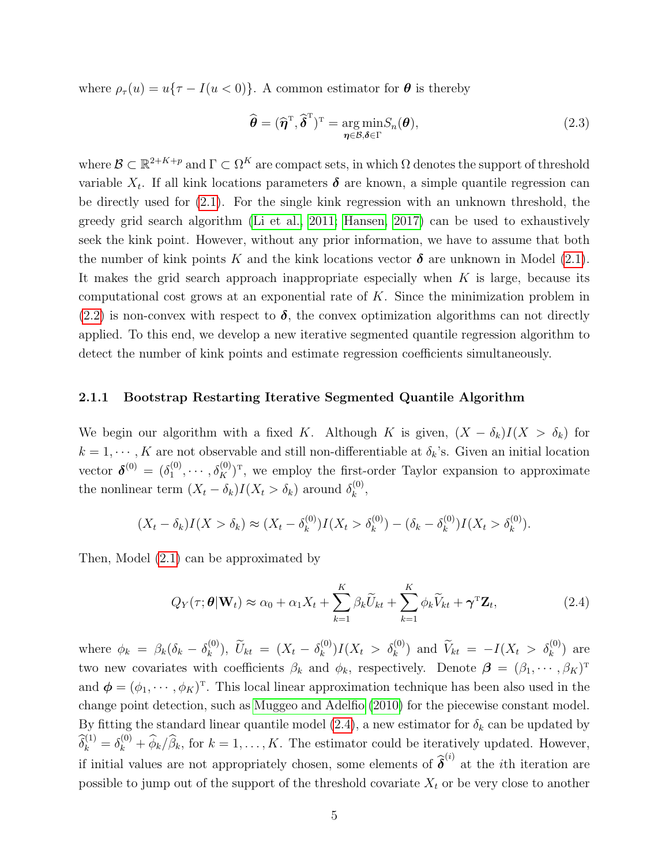where  $\rho_{\tau}(u) = u\{\tau - I(u < 0)\}\)$ . A common estimator for  $\boldsymbol{\theta}$  is thereby

$$
\widehat{\boldsymbol{\theta}} = (\widehat{\boldsymbol{\eta}}^{\mathrm{T}}, \widehat{\boldsymbol{\delta}}^{\mathrm{T}})^{\mathrm{T}} = \underset{\boldsymbol{\eta} \in \mathcal{B}, \boldsymbol{\delta} \in \Gamma}{\mathrm{arg\,min}} S_n(\boldsymbol{\theta}), \tag{2.3}
$$

where  $\mathcal{B} \subset \mathbb{R}^{2+K+p}$  and  $\Gamma \subset \Omega^K$  are compact sets, in which  $\Omega$  denotes the support of threshold variable  $X_t$ . If all kink locations parameters  $\delta$  are known, a simple quantile regression can be directly used for [\(2.1\)](#page-4-0). For the single kink regression with an unknown threshold, the greedy grid search algorithm [\(Li et al., 2011;](#page-38-0) [Hansen, 2017\)](#page-37-0) can be used to exhaustively seek the kink point. However, without any prior information, we have to assume that both the number of kink points K and the kink locations vector  $\delta$  are unknown in Model [\(2.1\)](#page-4-0). It makes the grid search approach inappropriate especially when  $K$  is large, because its computational cost grows at an exponential rate of  $K$ . Since the minimization problem in  $(2.2)$  is non-convex with respect to  $\delta$ , the convex optimization algorithms can not directly applied. To this end, we develop a new iterative segmented quantile regression algorithm to detect the number of kink points and estimate regression coefficients simultaneously.

#### 2.1.1 Bootstrap Restarting Iterative Segmented Quantile Algorithm

We begin our algorithm with a fixed K. Although K is given,  $(X - \delta_k)I(X > \delta_k)$  for  $k = 1, \dots, K$  are not observable and still non-differentiable at  $\delta_k$ 's. Given an initial location vector  $\boldsymbol{\delta}^{(0)} = (\delta_1^{(0)}$  $\lambda_1^{(0)}, \cdots, \delta_K^{(0)})^T$ , we employ the first-order Taylor expansion to approximate the nonlinear term  $(X_t - \delta_k)I(X_t > \delta_k)$  around  $\delta_k^{(0)}$  $\binom{(\mathsf{U})}{k}$ 

$$
(X_t - \delta_k)I(X > \delta_k) \approx (X_t - \delta_k^{(0)})I(X_t > \delta_k^{(0)}) - (\delta_k - \delta_k^{(0)})I(X_t > \delta_k^{(0)}).
$$

Then, Model [\(2.1\)](#page-4-0) can be approximated by

<span id="page-5-0"></span>
$$
Q_Y(\tau; \boldsymbol{\theta} | \mathbf{W}_t) \approx \alpha_0 + \alpha_1 X_t + \sum_{k=1}^K \beta_k \widetilde{U}_{kt} + \sum_{k=1}^K \phi_k \widetilde{V}_{kt} + \boldsymbol{\gamma}^{\mathrm{T}} \mathbf{Z}_t, \qquad (2.4)
$$

where  $\phi_k = \beta_k(\delta_k - \delta_k^{(0)})$  $(\binom{0}{k}), \ \widetilde{U}_{kt} = (X_t - \delta_k^{(0)})$  $\tilde{k}_{k}^{(0)}$ )  $I(X_t > \delta_k^{(0)})$  and  $\tilde{V}_{kt} = -I(X_t > \delta_k^{(0)})$  are two new covariates with coefficients  $\beta_k$  and  $\phi_k$ , respectively. Denote  $\boldsymbol{\beta} = (\beta_1, \cdots, \beta_K)^T$ and  $\phi = (\phi_1, \dots, \phi_K)^T$ . This local linear approximation technique has been also used in the change point detection, such as [Muggeo and Adelfio \(2010\)](#page-38-4) for the piecewise constant model. By fitting the standard linear quantile model [\(2.4\)](#page-5-0), a new estimator for  $\delta_k$  can be updated by  $\widehat{\delta}_k^{(1)} = \delta_k^{(0)} + \widehat{\phi}_k / \widehat{\beta}_k$ , for  $k = 1, \ldots, K$ . The estimator could be iteratively updated. However, if initial values are not appropriately chosen, some elements of  $\hat{\boldsymbol{\delta}}^{(i)}$  at the *i*th iteration are possible to jump out of the support of the threshold covariate  $X_t$  or be very close to another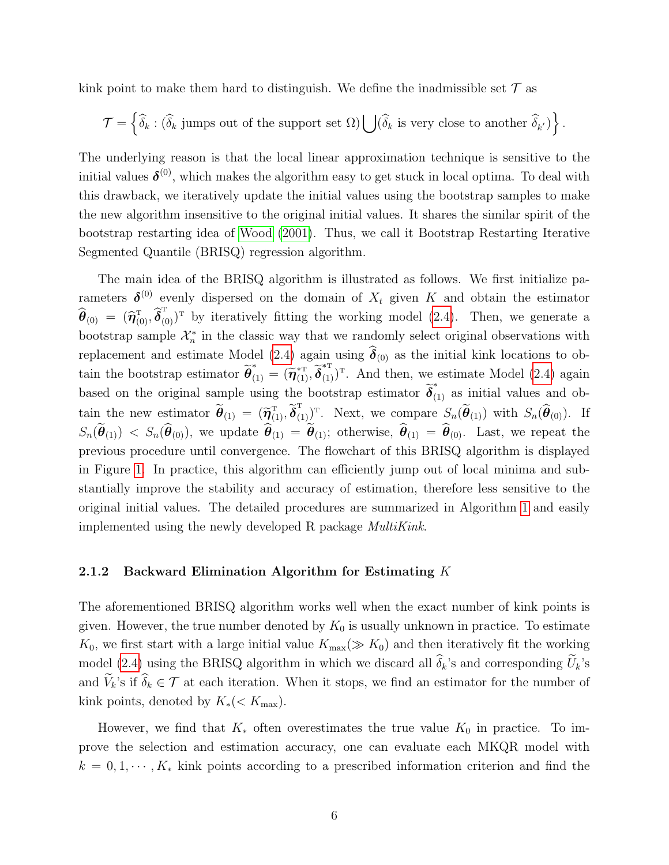kink point to make them hard to distinguish. We define the inadmissible set  $\mathcal T$  as

$$
\mathcal{T} = \left\{ \widehat{\delta}_k : (\widehat{\delta}_k \text{ jumps out of the support set } \Omega) \bigcup (\widehat{\delta}_k \text{ is very close to another } \widehat{\delta}_{k'}) \right\}.
$$

The underlying reason is that the local linear approximation technique is sensitive to the initial values  $\boldsymbol{\delta}^{(0)}$ , which makes the algorithm easy to get stuck in local optima. To deal with this drawback, we iteratively update the initial values using the bootstrap samples to make the new algorithm insensitive to the original initial values. It shares the similar spirit of the bootstrap restarting idea of [Wood \(2001\)](#page-38-3). Thus, we call it Bootstrap Restarting Iterative Segmented Quantile (BRISQ) regression algorithm.

The main idea of the BRISQ algorithm is illustrated as follows. We first initialize parameters  $\boldsymbol{\delta}^{(0)}$  evenly dispersed on the domain of  $X_t$  given K and obtain the estimator  $\hat{\boldsymbol{\theta}}_{(0)} = (\hat{\boldsymbol{\eta}}_{(0)}^{\mathrm{T}}, \hat{\boldsymbol{\delta}}_{(0)}^{\mathrm{T}})^{\mathrm{T}}$  by iteratively fitting the working model [\(2.4\)](#page-5-0). Then, we generate a bootstrap sample  $\mathcal{X}_n^*$  in the classic way that we randomly select original observations with replacement and estimate Model [\(2.4\)](#page-5-0) again using  $\delta_{(0)}$  as the initial kink locations to obtain the bootstrap estimator  $\tilde{\boldsymbol{\theta}}_{(1)}^* = (\tilde{\boldsymbol{\eta}}_{(1)}^{*\mathrm{T}}, \tilde{\boldsymbol{\delta}}_{(1)}^{*\mathrm{T}})$ . And then, we estimate Model [\(2.4\)](#page-5-0) again based on the original sample using the bootstrap estimator  $\tilde{\delta}_{(1)}^*$  as initial values and obtain the new estimator  $\tilde{\boldsymbol{\theta}}_{(1)} = (\tilde{\boldsymbol{\eta}}_{(1)}^T, \tilde{\boldsymbol{\delta}}_{(1)}^T)^T$ . Next, we compare  $S_n(\tilde{\boldsymbol{\theta}}_{(1)})$  with  $S_n(\hat{\boldsymbol{\theta}}_{(0)})$ . If  $S_n(\theta_{(1)})$  <  $S_n(\theta_{(0)})$ , we update  $\theta_{(1)} = \theta_{(1)}$ ; otherwise,  $\theta_{(1)} = \theta_{(0)}$ . Last, we repeat the previous procedure until convergence. The flowchart of this BRISQ algorithm is displayed in Figure [1.](#page-7-0) In practice, this algorithm can efficiently jump out of local minima and substantially improve the stability and accuracy of estimation, therefore less sensitive to the original initial values. The detailed procedures are summarized in Algorithm [1](#page-8-0) and easily implemented using the newly developed R package MultiKink.

#### 2.1.2 Backward Elimination Algorithm for Estimating  $K$

The aforementioned BRISQ algorithm works well when the exact number of kink points is given. However, the true number denoted by  $K_0$  is usually unknown in practice. To estimate  $K_0$ , we first start with a large initial value  $K_{\text{max}}(\gg K_0)$  and then iteratively fit the working model [\(2.4\)](#page-5-0) using the BRISQ algorithm in which we discard all  $\hat{\delta}_k$ 's and corresponding  $\tilde{U}_k$ 's and  $\widetilde{V}_k$ 's if  $\widehat{\delta}_k \in \mathcal{T}$  at each iteration. When it stops, we find an estimator for the number of kink points, denoted by  $K_*(< K_{\text{max}})$ .

However, we find that  $K_*$  often overestimates the true value  $K_0$  in practice. To improve the selection and estimation accuracy, one can evaluate each MKQR model with  $k = 0, 1, \dots, K_*$  kink points according to a prescribed information criterion and find the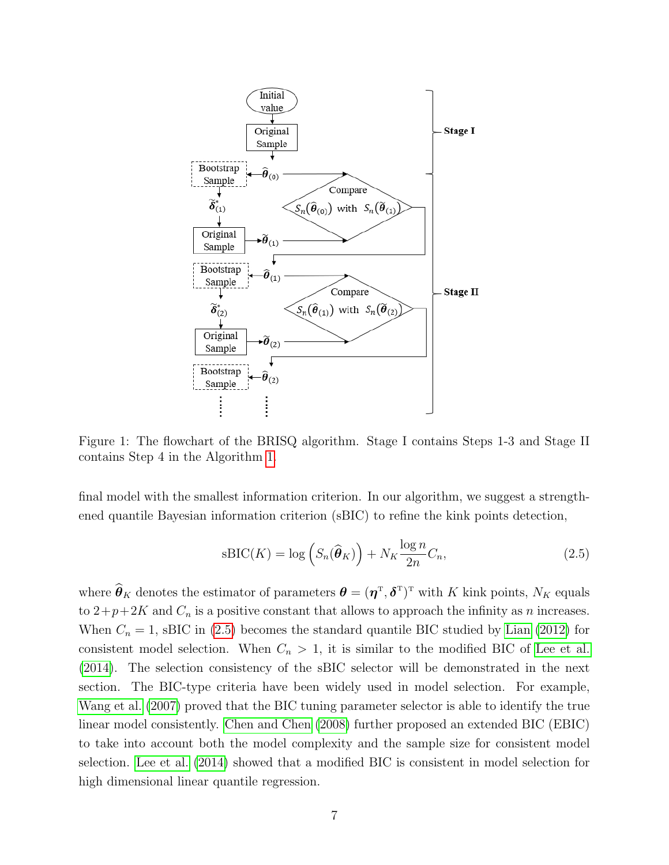<span id="page-7-0"></span>

Figure 1: The flowchart of the BRISQ algorithm. Stage I contains Steps 1-3 and Stage II contains Step 4 in the Algorithm [1.](#page-8-0)

final model with the smallest information criterion. In our algorithm, we suggest a strengthened quantile Bayesian information criterion (sBIC) to refine the kink points detection,

<span id="page-7-1"></span>
$$
sBIC(K) = \log\left(S_n(\widehat{\boldsymbol{\theta}}_K)\right) + N_K \frac{\log n}{2n} C_n,
$$
\n(2.5)

where  $\theta_K$  denotes the estimator of parameters  $\theta = (\eta^T, \delta^T)^T$  with K kink points,  $N_K$  equals to  $2+p+2K$  and  $C_n$  is a positive constant that allows to approach the infinity as n increases. When  $C_n = 1$ , sBIC in [\(2.5\)](#page-7-1) becomes the standard quantile BIC studied by [Lian \(2012\)](#page-38-5) for consistent model selection. When  $C_n > 1$ , it is similar to the modified BIC of [Lee et al.](#page-38-6) [\(2014\)](#page-38-6). The selection consistency of the sBIC selector will be demonstrated in the next section. The BIC-type criteria have been widely used in model selection. For example, [Wang et al. \(2007\)](#page-38-7) proved that the BIC tuning parameter selector is able to identify the true linear model consistently. [Chen and Chen \(2008\)](#page-36-1) further proposed an extended BIC (EBIC) to take into account both the model complexity and the sample size for consistent model selection. [Lee et al. \(2014\)](#page-38-6) showed that a modified BIC is consistent in model selection for high dimensional linear quantile regression.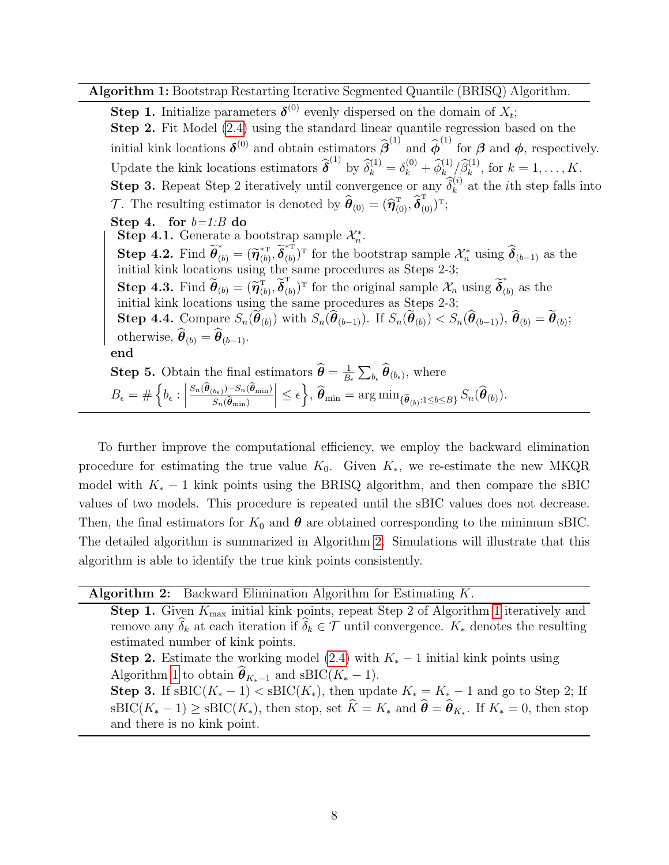Algorithm 1: Bootstrap Restarting Iterative Segmented Quantile (BRISQ) Algorithm.

<span id="page-8-0"></span>**Step 1.** Initialize parameters  $\boldsymbol{\delta}^{(0)}$  evenly dispersed on the domain of  $X_t$ ; Step 2. Fit Model [\(2.4\)](#page-5-0) using the standard linear quantile regression based on the initial kink locations  $\delta^{(0)}$  and obtain estimators  $\hat{\beta}^{(1)}$  and  $\hat{\phi}^{(1)}$  for  $\beta$  and  $\phi$ , respectively. Update the kink locations estimators  $\widehat{\boldsymbol{\delta}}^{(1)}$  by  $\widehat{\delta}_k^{(1)} = \delta_k^{(0)} + \widehat{\phi}_{k}^{(1)} / \widehat{\beta}_k^{(1)}$ , for  $k = 1, ..., K$ . **Step 3.** Repeat Step 2 iteratively until convergence or any  $\widehat{\delta}_k^{(i)}$  at the *i*th step falls into T. The resulting estimator is denoted by  $\hat{\boldsymbol{\theta}}_{(0)} = (\hat{\boldsymbol{\eta}}_{(0)}^{\mathrm{T}}, \hat{\boldsymbol{\delta}}_{(0)}^{\mathrm{T}})^{\mathrm{T}};$ Step 4. for  $b=1:B$  do Step 4.1. Generate a bootstrap sample  $\mathcal{X}_n^*$ . **Step 4.2.** Find  $\widetilde{\boldsymbol{\theta}}_{(b)}^* = (\widetilde{\boldsymbol{\eta}}_{(b)}^{*\mathrm{T}})$  ${}^{\ast\text{T}}_{(b)}, \widetilde{\boldsymbol{\delta}}_{(b)}^{\ast\bar{\text{T}}}$ <sup>\*\*</sup><sub>(b)</sub><sup>T</sup> for the bootstrap sample  $\mathcal{X}_n^*$  using  $\hat{\boldsymbol{\delta}}_{(b-1)}$  as the initial kink locations using the same procedures as Steps 2-3; **Step 4.3.** Find  $\widetilde{\boldsymbol{\theta}}_{(b)} = (\widetilde{\boldsymbol{\eta}}_{(b)}^{\mathrm{T}}, \widetilde{\boldsymbol{\delta}}_{(b)}^{\mathrm{T}})$  $(\alpha_b)^T$  for the original sample  $\mathcal{X}_n$  using  $\widetilde{\boldsymbol{\delta}}_{(n)}^*$  $(b)$  as the initial kink locations using the same procedures as Steps 2-3; Step 4.4. Compare  $S_n(\theta_{(b)})$  with  $S_n(\theta_{(b-1)})$ . If  $S_n(\theta_{(b)}) < S_n(\theta_{(b-1)})$ ,  $\theta_{(b)} = \theta_{(b)}$ ; otherwise,  $\boldsymbol{\theta}_{(b)} = \boldsymbol{\theta}_{(b-1)}$ . end **Step 5.** Obtain the final estimators  $\widehat{\boldsymbol{\theta}} = \frac{1}{B}$  $\frac{1}{B_{\epsilon}}\sum_{b_{\epsilon}} \boldsymbol{\theta}_{(b_{\epsilon})},$  where  $B_{\epsilon} = \#\left\{b_{\epsilon} : \right\}$  $S_n(\boldsymbol{\theta}_{(b_\epsilon)}) - S_n(\boldsymbol{\theta}_{\min})$  $\Big|\leq \epsilon\Big\}, \widehat{\boldsymbol{\theta}}_{\min} = \arg\min_{\{\widehat{\boldsymbol{\theta}}_{(b)}:1\leq b\leq B\}} S_n(\widehat{\boldsymbol{\theta}}_{(b)}).$ 

To further improve the computational efficiency, we employ the backward elimination procedure for estimating the true value  $K_0$ . Given  $K_*$ , we re-estimate the new MKQR model with  $K_* - 1$  kink points using the BRISQ algorithm, and then compare the sBIC values of two models. This procedure is repeated until the sBIC values does not decrease. Then, the final estimators for  $K_0$  and  $\theta$  are obtained corresponding to the minimum sBIC. The detailed algorithm is summarized in Algorithm [2.](#page-8-1) Simulations will illustrate that this algorithm is able to identify the true kink points consistently.

Algorithm 2: Backward Elimination Algorithm for Estimating  $K$ .

 $S_n(\boldsymbol{\theta}_{\min})$ 

<span id="page-8-1"></span>**Step [1](#page-8-0).** Given  $K_{\text{max}}$  initial kink points, repeat Step 2 of Algorithm 1 iteratively and remove any  $\widehat{\delta}_k$  at each iteration if  $\widehat{\delta}_k \in \mathcal{T}$  until convergence.  $K_*$  denotes the resulting estimated number of kink points. **Step 2.** Estimate the working model [\(2.4\)](#page-5-0) with  $K_* - 1$  initial kink points using Algorithm [1](#page-8-0) to obtain  $\widehat{\boldsymbol{\theta}}_{K_*-1}$  and sBIC( $K_* - 1$ ). Step 3. If sBIC( $K_* - 1$ ) < sBIC( $K_*$ ), then update  $K_* = K_* - 1$  and go to Step 2; If  $\text{BBC}(K_* - 1) \geq \text{BBC}(K_*)$ , then stop, set  $K = K_*$  and  $\boldsymbol{\theta} = \boldsymbol{\theta}_{K_*}$ . If  $K_* = 0$ , then stop and there is no kink point.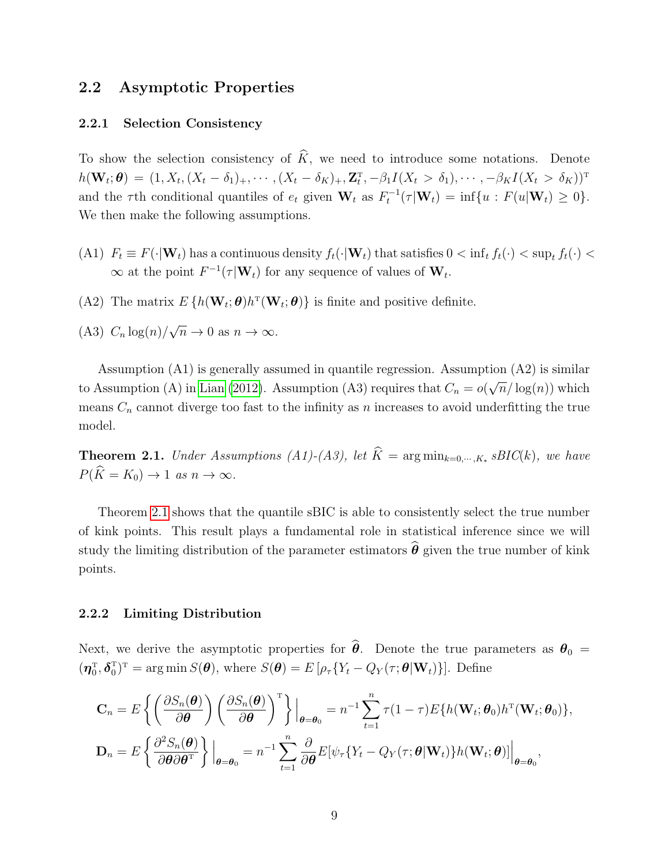#### 2.2 Asymptotic Properties

#### 2.2.1 Selection Consistency

To show the selection consistency of  $\hat{K}$ , we need to introduce some notations. Denote  $h(\mathbf{W}_t; \boldsymbol{\theta}) = (1, X_t, (X_t - \delta_1)_+, \cdots, (X_t - \delta_K)_+, \mathbf{Z}_t^{\mathrm{T}}, -\beta_1 I(X_t > \delta_1), \cdots, -\beta_K I(X_t > \delta_K))^{\mathrm{T}}$ and the  $\tau$ th conditional quantiles of  $e_t$  given  $\mathbf{W}_t$  as  $F_t^{-1}(\tau | \mathbf{W}_t) = \inf \{ u : F(u | \mathbf{W}_t) \geq 0 \}.$ We then make the following assumptions.

- (A1)  $F_t \equiv F(\cdot|\mathbf{W}_t)$  has a continuous density  $f_t(\cdot|\mathbf{W}_t)$  that satisfies  $0 < \inf_t f_t(\cdot) < \sup_t f_t(\cdot) <$  $\infty$  at the point  $F^{-1}(\tau | \mathbf{W}_t)$  for any sequence of values of  $\mathbf{W}_t$ .
- (A2) The matrix  $E\{h(\mathbf{W}_t;\boldsymbol{\theta})h^{\mathrm{T}}(\mathbf{W}_t;\boldsymbol{\theta})\}\)$  is finite and positive definite.
- $(A3)$   $C_n \log(n)$ √  $\overline{n} \to 0$  as  $n \to \infty$ .

Assumption (A1) is generally assumed in quantile regression. Assumption (A2) is similar to Assumption (A) in [Lian \(2012\)](#page-38-5). Assumption (A3) requires that  $C_n = o($ √  $\overline{n}/\log(n)$  which means  $C_n$  cannot diverge too fast to the infinity as n increases to avoid underfitting the true model.

<span id="page-9-0"></span>**Theorem 2.1.** Under Assumptions  $(A1)-(A3)$ , let  $K = \arg \min_{k=0,\dots,K*} sBIC(k)$ , we have  $P(\widehat{K} = K_0) \rightarrow 1$  as  $n \rightarrow \infty$ .

Theorem [2.1](#page-9-0) shows that the quantile sBIC is able to consistently select the true number of kink points. This result plays a fundamental role in statistical inference since we will study the limiting distribution of the parameter estimators  $\hat{\theta}$  given the true number of kink points.

#### 2.2.2 Limiting Distribution

Next, we derive the asymptotic properties for  $\hat{\theta}$ . Denote the true parameters as  $\theta_0 =$  $(\boldsymbol{\eta}_0^{\mathrm{T}}, \boldsymbol{\delta}_0^{\mathrm{T}})^{\mathrm{T}} = \arg \min S(\boldsymbol{\theta}), \text{ where } S(\boldsymbol{\theta}) = E\left[\rho_{\tau} \{Y_t - Q_Y(\tau; \boldsymbol{\theta} | \mathbf{W}_t)\}\right]$ . Define

$$
\mathbf{C}_n = E\left\{ \left( \frac{\partial S_n(\boldsymbol{\theta})}{\partial \boldsymbol{\theta}} \right) \left( \frac{\partial S_n(\boldsymbol{\theta})}{\partial \boldsymbol{\theta}} \right)^{\mathrm{T}} \right\} \Big|_{\boldsymbol{\theta} = \boldsymbol{\theta}_0} = n^{-1} \sum_{t=1}^n \tau (1 - \tau) E\{ h(\mathbf{W}_t; \boldsymbol{\theta}_0) h^{\mathrm{T}}(\mathbf{W}_t; \boldsymbol{\theta}_0) \},
$$
  

$$
\mathbf{D}_n = E\left\{ \frac{\partial^2 S_n(\boldsymbol{\theta})}{\partial \boldsymbol{\theta} \partial \boldsymbol{\theta}^{\mathrm{T}}} \right\} \Big|_{\boldsymbol{\theta} = \boldsymbol{\theta}_0} = n^{-1} \sum_{t=1}^n \frac{\partial}{\partial \boldsymbol{\theta}} E[\psi_\tau \{ Y_t - Q_Y(\tau; \boldsymbol{\theta} | \mathbf{W}_t) \} h(\mathbf{W}_t; \boldsymbol{\theta})] \Big|_{\boldsymbol{\theta} = \boldsymbol{\theta}_0},
$$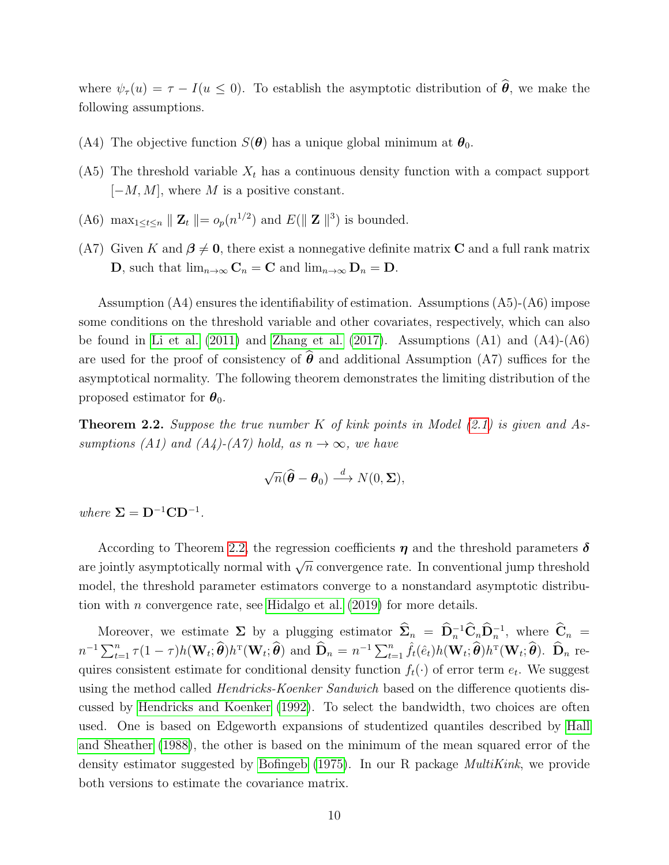where  $\psi_{\tau}(u) = \tau - I(u \leq 0)$ . To establish the asymptotic distribution of  $\hat{\theta}$ , we make the following assumptions.

- (A4) The objective function  $S(\theta)$  has a unique global minimum at  $\theta_0$ .
- (A5) The threshold variable  $X_t$  has a continuous density function with a compact support  $[-M, M]$ , where M is a positive constant.
- (A6)  $\max_{1 \leq t \leq n} \| \mathbf{Z}_t \| = o_p(n^{1/2})$  and  $E(\| \mathbf{Z} \|^3)$  is bounded.
- (A7) Given K and  $\beta \neq 0$ , there exist a nonnegative definite matrix C and a full rank matrix **D**, such that  $\lim_{n\to\infty} \mathbf{C}_n = \mathbf{C}$  and  $\lim_{n\to\infty} \mathbf{D}_n = \mathbf{D}$ .

Assumption (A4) ensures the identifiability of estimation. Assumptions (A5)-(A6) impose some conditions on the threshold variable and other covariates, respectively, which can also be found in [Li et al. \(2011\)](#page-38-0) and [Zhang et al. \(2017\)](#page-39-2). Assumptions (A1) and (A4)-(A6) are used for the proof of consistency of  $\hat{\theta}$  and additional Assumption (A7) suffices for the asymptotical normality. The following theorem demonstrates the limiting distribution of the proposed estimator for  $\theta_0$ .

<span id="page-10-0"></span>**Theorem 2.2.** Suppose the true number K of kink points in Model  $(2.1)$  is given and Assumptions (A1) and (A4)-(A7) hold, as  $n \to \infty$ , we have

$$
\sqrt{n}(\widehat{\boldsymbol{\theta}}-\boldsymbol{\theta}_0) \stackrel{d}{\longrightarrow} N(0,\boldsymbol{\Sigma}),
$$

where  $\Sigma = D^{-1}CD^{-1}$ .

According to Theorem [2.2,](#page-10-0) the regression coefficients  $\eta$  and the threshold parameters  $\delta$ are jointly asymptotically normal with  $\sqrt{n}$  convergence rate. In conventional jump threshold model, the threshold parameter estimators converge to a nonstandard asymptotic distribution with *n* convergence rate, see Hidalgo et al.  $(2019)$  for more details.

Moreover, we estimate  $\Sigma$  by a plugging estimator  $\Sigma_n = \mathbf{D}_n^{-1} \mathbf{C}_n \mathbf{D}_n^{-1}$ , where  $\mathbf{C}_n =$  $n^{-1}\sum_{t=1}^{n}\tau(1-\tau)h(\mathbf{W}_t;\widehat{\boldsymbol{\theta}})h^{\mathrm{T}}(\mathbf{W}_t;\widehat{\boldsymbol{\theta}})$  and  $\widehat{\mathbf{D}}_n=n^{-1}\sum_{t=1}^{n}\widehat{f}_t(\hat{e}_t)h(\mathbf{W}_t;\widehat{\boldsymbol{\theta}})h^{\mathrm{T}}(\mathbf{W}_t;\widehat{\boldsymbol{\theta}})$ .  $\widehat{\mathbf{D}}_n$  requires consistent estimate for conditional density function  $f_t(\cdot)$  of error term  $e_t$ . We suggest using the method called *Hendricks-Koenker Sandwich* based on the difference quotients discussed by [Hendricks and Koenker \(1992\)](#page-37-4). To select the bandwidth, two choices are often used. One is based on Edgeworth expansions of studentized quantiles described by [Hall](#page-37-5) [and Sheather \(1988\)](#page-37-5), the other is based on the minimum of the mean squared error of the density estimator suggested by Bofingeb  $(1975)$ . In our R package *MultiKink*, we provide both versions to estimate the covariance matrix.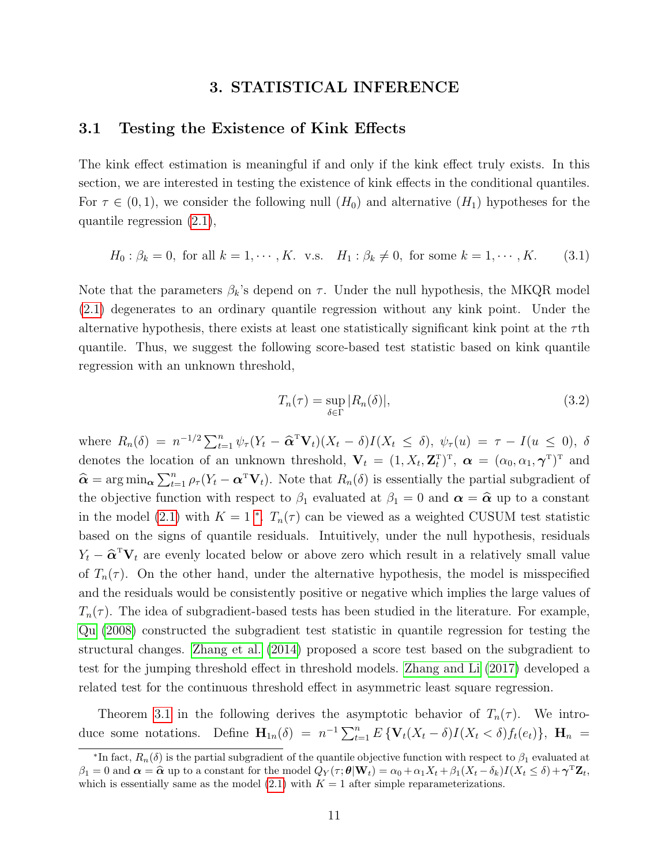#### 3. STATISTICAL INFERENCE

## <span id="page-11-0"></span>3.1 Testing the Existence of Kink Effects

The kink effect estimation is meaningful if and only if the kink effect truly exists. In this section, we are interested in testing the existence of kink effects in the conditional quantiles. For  $\tau \in (0, 1)$ , we consider the following null  $(H_0)$  and alternative  $(H_1)$  hypotheses for the quantile regression [\(2.1\)](#page-4-0),

$$
H_0: \beta_k = 0, \text{ for all } k = 1, \cdots, K. \text{ v.s. } H_1: \beta_k \neq 0, \text{ for some } k = 1, \cdots, K. \tag{3.1}
$$

Note that the parameters  $\beta_k$ 's depend on  $\tau$ . Under the null hypothesis, the MKQR model [\(2.1\)](#page-4-0) degenerates to an ordinary quantile regression without any kink point. Under the alternative hypothesis, there exists at least one statistically significant kink point at the  $\tau$ th quantile. Thus, we suggest the following score-based test statistic based on kink quantile regression with an unknown threshold,

<span id="page-11-1"></span>
$$
T_n(\tau) = \sup_{\delta \in \Gamma} |R_n(\delta)|,\tag{3.2}
$$

where  $R_n(\delta) = n^{-1/2} \sum_{t=1}^n \psi_\tau (Y_t - \widehat{\alpha}^T \mathbf{V}_t)(X_t - \delta) I(X_t \leq \delta), \psi_\tau(u) = \tau - I(u \leq 0), \delta$ denotes the location of an unknown threshold,  $\mathbf{V}_t = (1, X_t, \mathbf{Z}_t^{\mathrm{T}})^{\mathrm{T}}$ ,  $\boldsymbol{\alpha} = (\alpha_0, \alpha_1, \boldsymbol{\gamma}^{\mathrm{T}})^{\mathrm{T}}$  and  $\hat{\mathbf{\alpha}} = \arg \min_{\mathbf{\alpha}} \sum_{t=1}^{n} \rho_{\tau} (Y_t - \mathbf{\alpha}^{\mathsf{T}} \mathbf{V}_t)$ . Note that  $R_n(\delta)$  is essentially the partial subgradient of the objective function with respect to  $\beta_1$  evaluated at  $\beta_1 = 0$  and  $\alpha = \hat{\alpha}$  up to a constant in the model [\(2.1\)](#page-4-0) with  $K = 1$  \*.  $T_n(\tau)$  can be viewed as a weighted CUSUM test statistic based on the signs of quantile residuals. Intuitively, under the null hypothesis, residuals  $Y_t - \hat{\alpha}^T \mathbf{V}_t$  are evenly located below or above zero which result in a relatively small value of  $T_n(\tau)$ . On the other hand, under the alternative hypothesis, the model is misspecified and the residuals would be consistently positive or negative which implies the large values of  $T_n(\tau)$ . The idea of subgradient-based tests has been studied in the literature. For example, [Qu \(2008\)](#page-38-8) constructed the subgradient test statistic in quantile regression for testing the structural changes. [Zhang et al. \(2014\)](#page-39-1) proposed a score test based on the subgradient to test for the jumping threshold effect in threshold models. [Zhang and Li \(2017\)](#page-39-0) developed a related test for the continuous threshold effect in asymmetric least square regression.

Theorem [3.1](#page-12-0) in the following derives the asymptotic behavior of  $T_n(\tau)$ . We introduce some notations. Define  $\mathbf{H}_{1n}(\delta) = n^{-1} \sum_{t=1}^{n} E \{ \mathbf{V}_t(X_t - \delta) I(X_t < \delta) f_t(e_t) \}, \ \mathbf{H}_n =$ 

<sup>&</sup>lt;sup>\*</sup>In fact,  $R_n(\delta)$  is the partial subgradient of the quantile objective function with respect to  $\beta_1$  evaluated at  $\beta_1 = 0$  and  $\alpha = \hat{\alpha}$  up to a constant for the model  $Q_Y(\tau; \theta | \mathbf{W}_t) = \alpha_0 + \alpha_1 X_t + \beta_1 (X_t - \delta_k) I(X_t \le \delta) + \gamma^{\mathrm{T}} \mathbf{Z}_t$ , which is essentially same as the model  $(2.1)$  with  $K = 1$  after simple reparameterizations.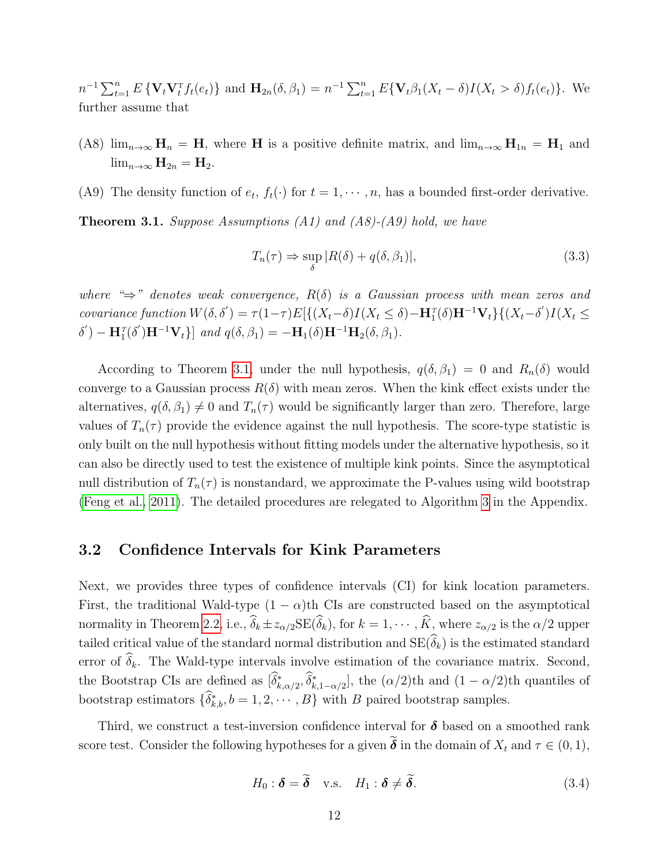$n^{-1} \sum_{t=1}^{n} E \{ \mathbf{V}_t \mathbf{V}_t^{\mathrm{T}} f_t(e_t) \}$  and  $\mathbf{H}_{2n}(\delta, \beta_1) = n^{-1} \sum_{t=1}^{n} E \{ \mathbf{V}_t \beta_1 (X_t - \delta) I(X_t > \delta) f_t(e_t) \}$ . We further assume that

- (A8)  $\lim_{n\to\infty}$   $\mathbf{H}_n = \mathbf{H}$ , where H is a positive definite matrix, and  $\lim_{n\to\infty}$   $\mathbf{H}_{1n} = \mathbf{H}_1$  and  $\lim_{n\to\infty} \mathbf{H}_{2n} = \mathbf{H}_2.$
- (A9) The density function of  $e_t$ ,  $f_t(\cdot)$  for  $t = 1, \dots, n$ , has a bounded first-order derivative.

<span id="page-12-0"></span>**Theorem 3.1.** Suppose Assumptions  $(A1)$  and  $(A8)$ - $(A9)$  hold, we have

$$
T_n(\tau) \Rightarrow \sup_{\delta} |R(\delta) + q(\delta, \beta_1)|,\tag{3.3}
$$

where " $\Rightarrow$ " denotes weak convergence,  $R(\delta)$  is a Gaussian process with mean zeros and covariance function  $W(\delta, \delta') = \tau(1-\tau)E[\{(X_t-\delta)I(X_t \leq \delta) - \mathbf{H}_1^T(\delta)\mathbf{H}^{-1}\mathbf{V}_t\} \{(X_t-\delta')I(X_t \leq \delta)I(X_t-\delta')I(X_t-\delta')\}]$  $\delta'$ ) –  $\mathbf{H}_{1}^{T}(\delta')\mathbf{H}^{-1}\mathbf{V}_{t}$ ] and  $q(\delta, \beta_{1}) = -\mathbf{H}_{1}(\delta)\mathbf{H}^{-1}\mathbf{H}_{2}(\delta, \beta_{1}).$ 

According to Theorem [3.1,](#page-12-0) under the null hypothesis,  $q(\delta, \beta_1) = 0$  and  $R_n(\delta)$  would converge to a Gaussian process  $R(\delta)$  with mean zeros. When the kink effect exists under the alternatives,  $q(\delta, \beta_1) \neq 0$  and  $T_n(\tau)$  would be significantly larger than zero. Therefore, large values of  $T_n(\tau)$  provide the evidence against the null hypothesis. The score-type statistic is only built on the null hypothesis without fitting models under the alternative hypothesis, so it can also be directly used to test the existence of multiple kink points. Since the asymptotical null distribution of  $T_n(\tau)$  is nonstandard, we approximate the P-values using wild bootstrap [\(Feng et al., 2011\)](#page-37-6). The detailed procedures are relegated to Algorithm [3](#page-35-0) in the Appendix.

#### 3.2 Confidence Intervals for Kink Parameters

Next, we provides three types of confidence intervals (CI) for kink location parameters. First, the traditional Wald-type  $(1 - \alpha)$ th CIs are constructed based on the asymptotical normality in Theorem [2.2,](#page-10-0) i.e.,  $\widehat{\delta}_k \pm z_{\alpha/2} \text{SE}(\widehat{\delta}_k)$ , for  $k = 1, \cdots, \widehat{K}$ , where  $z_{\alpha/2}$  is the  $\alpha/2$  upper tailed critical value of the standard normal distribution and  $SE(\widehat{\delta}_k)$  is the estimated standard error of  $\delta_k$ . The Wald-type intervals involve estimation of the covariance matrix. Second, the Bootstrap CIs are defined as  $[\delta_{k,\alpha/2}^*, \delta_{k,1-\alpha/2}^*]$ , the  $(\alpha/2)$ th and  $(1 - \alpha/2)$ th quantiles of bootstrap estimators  $\{\delta_{k,b}^*, b = 1, 2, \cdots, B\}$  with B paired bootstrap samples.

<span id="page-12-1"></span>Third, we construct a test-inversion confidence interval for  $\delta$  based on a smoothed rank score test. Consider the following hypotheses for a given  $\tilde{\boldsymbol{\delta}}$  in the domain of  $X_t$  and  $\tau \in (0,1)$ ,

$$
H_0: \delta = \widetilde{\delta} \quad \text{v.s.} \quad H_1: \delta \neq \widetilde{\delta}. \tag{3.4}
$$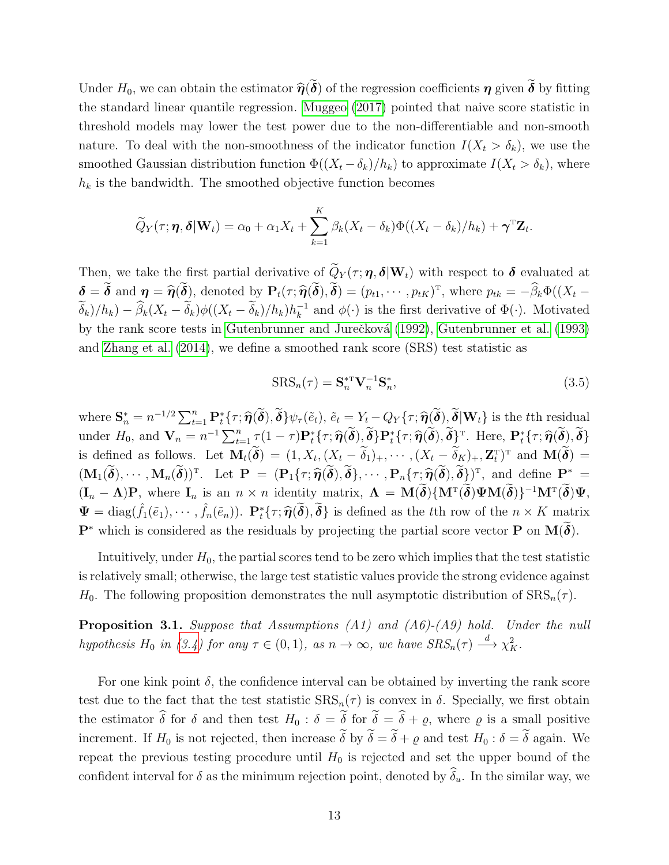Under  $H_0$ , we can obtain the estimator  $\hat{\eta}(\tilde{\boldsymbol{\delta}})$  of the regression coefficients  $\eta$  given  $\tilde{\boldsymbol{\delta}}$  by fitting the standard linear quantile regression. [Muggeo \(2017\)](#page-38-9) pointed that naive score statistic in threshold models may lower the test power due to the non-differentiable and non-smooth nature. To deal with the non-smoothness of the indicator function  $I(X_t > \delta_k)$ , we use the smoothed Gaussian distribution function  $\Phi((X_t - \delta_k)/h_k)$  to approximate  $I(X_t > \delta_k)$ , where  $h_k$  is the bandwidth. The smoothed objective function becomes

$$
\widetilde{Q}_Y(\tau; \boldsymbol{\eta}, \boldsymbol{\delta} | \mathbf{W}_t) = \alpha_0 + \alpha_1 X_t + \sum_{k=1}^K \beta_k (X_t - \delta_k) \Phi((X_t - \delta_k) / h_k) + \boldsymbol{\gamma}^{\mathrm{T}} \mathbf{Z}_t.
$$

Then, we take the first partial derivative of  $\tilde{Q}_Y(\tau; \eta, \delta | \mathbf{W}_t)$  with respect to  $\delta$  evaluated at  $\delta = \delta$  and  $\eta = \widehat{\eta}(\delta)$ , denoted by  $P_t(\tau; \widehat{\eta}(\delta), \delta) = (p_{t1}, \cdots, p_{tK})^T$ , where  $p_{tk} = -\beta_k \Phi((X_t - \widetilde{\delta})/(X_t - \widetilde{\delta})/(X_t - \widetilde{\delta})/(X_t - \widetilde{\delta})$  $(\widetilde{\delta}_k)/h_k) - \widehat{\beta}_k (X_t - \widetilde{\delta}_k) \phi((X_t - \widetilde{\delta}_k)/h_k) h_k^{-1}$  $\kappa^{-1}$  and  $\phi(\cdot)$  is the first derivative of  $\Phi(\cdot)$ . Motivated by the rank score tests in Gutenbrunner and Jurečková (1992), [Gutenbrunner et al. \(1993\)](#page-37-8) and [Zhang et al. \(2014\)](#page-39-1), we define a smoothed rank score (SRS) test statistic as

$$
SRS_n(\tau) = \mathbf{S}_n^{*\mathrm{T}} \mathbf{V}_n^{-1} \mathbf{S}_n^*,\tag{3.5}
$$

where  $\mathbf{S}_n^* = n^{-1/2} \sum_{t=1}^n \mathbf{P}_t^* \{ \tau; \hat{\boldsymbol{\eta}}(\tilde{\boldsymbol{\delta}}), \tilde{\boldsymbol{\delta}} \} \psi_\tau(\tilde{e}_t), \tilde{e}_t = Y_t - Q_Y \{ \tau; \hat{\boldsymbol{\eta}}(\tilde{\boldsymbol{\delta}}), \tilde{\boldsymbol{\delta}} | \mathbf{W}_t \}$  is the tth residual under  $H_0$ , and  $\mathbf{V}_n = n^{-1} \sum_{t=1}^n \tau(1-\tau) \mathbf{P}_t^* \{ \tau; \widehat{\boldsymbol{\eta}}(\widetilde{\boldsymbol{\delta}}), \widetilde{\boldsymbol{\delta}} \} \mathbf{P}_t^* \{ \tau; \widehat{\boldsymbol{\eta}}(\widetilde{\boldsymbol{\delta}}), \widetilde{\boldsymbol{\delta}} \}^{\mathrm{T}}.$  Here,  $\mathbf{P}_t^* \{ \tau; \widehat{\boldsymbol{\eta}}(\widetilde{\boldsymbol{\delta}}), \widetilde{\boldsymbol{\delta}} \}$ is defined as follows. Let  $\mathbf{M}_t(\boldsymbol{\delta}) = (1, X_t, (\underline{X}_t - \delta_1)_+, \cdots, (X_t - \delta_{\underline{K}})_+, \mathbf{Z}_t^{\mathrm{T}})^{\mathrm{T}}$  and  $\mathbf{M}(\boldsymbol{\delta}) =$  $(M_1(\tilde{\boldsymbol{\delta}}), \cdots, M_n(\tilde{\boldsymbol{\delta}}))^T$ . Let  $\mathbf{P} = (\mathbf{P}_1\{\tau; \widehat{\boldsymbol{\eta}}(\tilde{\boldsymbol{\delta}}), \tilde{\boldsymbol{\delta}}\}, \cdots, \mathbf{P}_n\{\tau; \widehat{\boldsymbol{\eta}}(\tilde{\boldsymbol{\delta}}), \tilde{\boldsymbol{\delta}}\})^T$ , and define  $\mathbf{P}^* =$  $(\mathbf{I}_n - \mathbf{\Lambda}) \mathbf{P},$  where  $\mathbf{I}_n$  is an  $n \times n$  identity matrix,  $\mathbf{\Lambda} = \mathbf{M}(\boldsymbol{\delta}) \{ \mathbf{M}^{\mathrm{T}}(\boldsymbol{\delta}) \mathbf{\Psi} \mathbf{M}(\boldsymbol{\delta}) \}^{-1} \mathbf{M}^{\mathrm{T}}(\boldsymbol{\delta}) \mathbf{\Psi},$  $\Psi = \text{diag}(\hat{f}_1(\tilde{e}_1), \cdots, \hat{f}_n(\tilde{e}_n)).$   $\mathbf{P}_t^* \{\tau; \hat{\boldsymbol{\eta}}(\tilde{\boldsymbol{\delta}}), \tilde{\boldsymbol{\delta}}\}$  is defined as the tth row of the  $n \times K$  matrix  $\mathbf{P}^*$  which is considered as the residuals by projecting the partial score vector **P** on  $\mathbf{M}(\boldsymbol{\delta})$ .

Intuitively, under  $H_0$ , the partial scores tend to be zero which implies that the test statistic is relatively small; otherwise, the large test statistic values provide the strong evidence against  $H_0$ . The following proposition demonstrates the null asymptotic distribution of  $\text{SRS}_n(\tau)$ .

<span id="page-13-0"></span>Proposition 3.1. Suppose that Assumptions (A1) and (A6)-(A9) hold. Under the null hypothesis H<sub>0</sub> in [\(3.4\)](#page-12-1) for any  $\tau \in (0,1)$ , as  $n \to \infty$ , we have  $SRS_n(\tau) \stackrel{d}{\longrightarrow} \chi^2_K$ .

For one kink point  $\delta$ , the confidence interval can be obtained by inverting the rank score test due to the fact that the test statistic  $SRS_n(\tau)$  is convex in  $\delta$ . Specially, we first obtain the estimator  $\hat{\delta}$  for  $\delta$  and then test  $H_0 : \delta = \tilde{\delta}$  for  $\tilde{\delta} = \hat{\delta} + \varrho$ , where  $\varrho$  is a small positive increment. If  $H_0$  is not rejected, then increase  $\widetilde{\delta}$  by  $\widetilde{\delta} = \widetilde{\delta} + \varrho$  and test  $H_0 : \delta = \widetilde{\delta}$  again. We repeat the previous testing procedure until  $H_0$  is rejected and set the upper bound of the confident interval for  $\delta$  as the minimum rejection point, denoted by  $\widehat{\delta}_u$ . In the similar way, we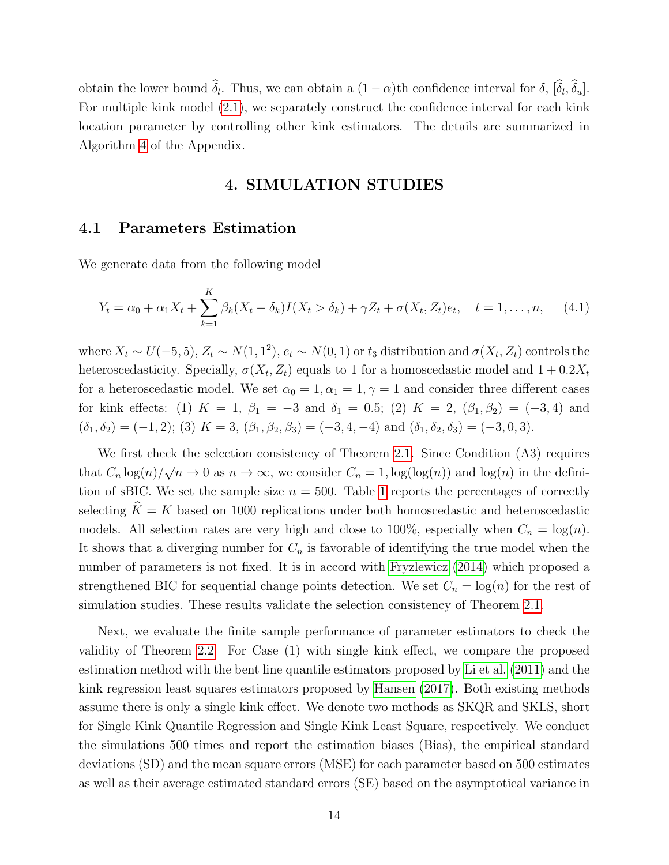obtain the lower bound  $\delta_l$ . Thus, we can obtain a  $(1 - \alpha)$ th confidence interval for  $\delta$ ,  $[\delta_l, \delta_u]$ . For multiple kink model [\(2.1\)](#page-4-0), we separately construct the confidence interval for each kink location parameter by controlling other kink estimators. The details are summarized in Algorithm [4](#page-36-3) of the Appendix.

#### 4. SIMULATION STUDIES

#### 4.1 Parameters Estimation

We generate data from the following model

$$
Y_t = \alpha_0 + \alpha_1 X_t + \sum_{k=1}^K \beta_k (X_t - \delta_k) I(X_t > \delta_k) + \gamma Z_t + \sigma(X_t, Z_t) e_t, \quad t = 1, ..., n, \quad (4.1)
$$

where  $X_t \sim U(-5, 5)$ ,  $Z_t \sim N(1, 1^2)$ ,  $e_t \sim N(0, 1)$  or  $t_3$  distribution and  $\sigma(X_t, Z_t)$  controls the heteroscedasticity. Specially,  $\sigma(X_t, Z_t)$  equals to 1 for a homoscedastic model and  $1 + 0.2X_t$ for a heteroscedastic model. We set  $\alpha_0 = 1, \alpha_1 = 1, \gamma = 1$  and consider three different cases for kink effects: (1)  $K = 1$ ,  $\beta_1 = -3$  and  $\delta_1 = 0.5$ ; (2)  $K = 2$ ,  $(\beta_1, \beta_2) = (-3, 4)$  and  $(\delta_1, \delta_2) = (-1, 2);$  (3)  $K = 3$ ,  $(\beta_1, \beta_2, \beta_3) = (-3, 4, -4)$  and  $(\delta_1, \delta_2, \delta_3) = (-3, 0, 3)$ .

We first check the selection consistency of Theorem [2.1.](#page-9-0) Since Condition (A3) requires that  $C_n \log(n)$ / √  $\overline{n} \to 0$  as  $n \to \infty$ , we consider  $C_n = 1$ ,  $\log(\log(n))$  and  $\log(n)$  in the definition of sBIC. We set the sample size  $n = 500$ . Table [1](#page-15-0) reports the percentages of correctly selecting  $\hat{K} = K$  based on 1000 replications under both homoscedastic and heteroscedastic models. All selection rates are very high and close to 100%, especially when  $C_n = \log(n)$ . It shows that a diverging number for  $C_n$  is favorable of identifying the true model when the number of parameters is not fixed. It is in accord with [Fryzlewicz \(2014\)](#page-37-9) which proposed a strengthened BIC for sequential change points detection. We set  $C_n = \log(n)$  for the rest of simulation studies. These results validate the selection consistency of Theorem [2.1.](#page-9-0)

Next, we evaluate the finite sample performance of parameter estimators to check the validity of Theorem [2.2.](#page-10-0) For Case (1) with single kink effect, we compare the proposed estimation method with the bent line quantile estimators proposed by [Li et al. \(2011\)](#page-38-0) and the kink regression least squares estimators proposed by [Hansen \(2017\)](#page-37-0). Both existing methods assume there is only a single kink effect. We denote two methods as SKQR and SKLS, short for Single Kink Quantile Regression and Single Kink Least Square, respectively. We conduct the simulations 500 times and report the estimation biases (Bias), the empirical standard deviations (SD) and the mean square errors (MSE) for each parameter based on 500 estimates as well as their average estimated standard errors (SE) based on the asymptotical variance in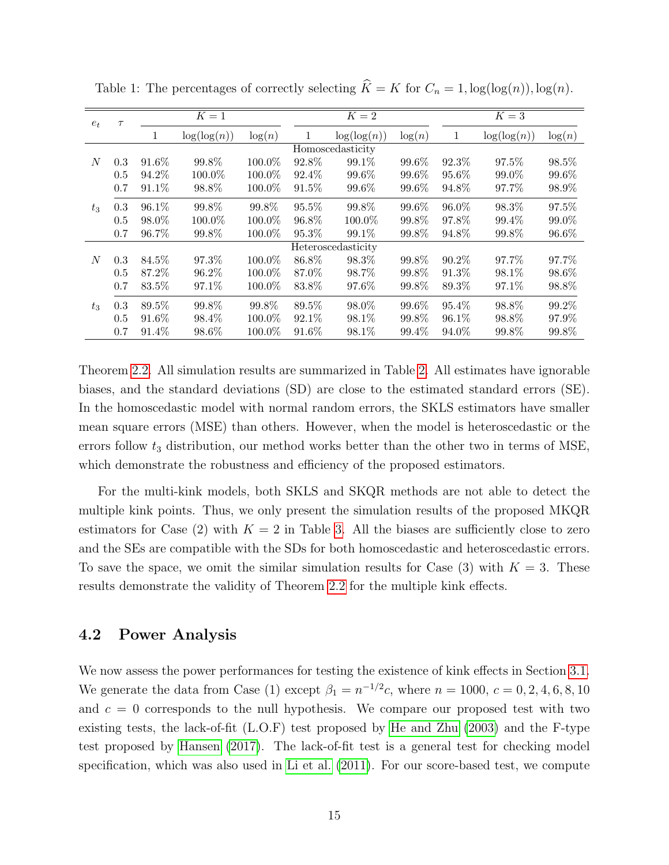| $e_t$ | $\tau$ | $K=1$        |             |           | $\overline{K}=2$ |                    |        | $K=3$ |             |        |
|-------|--------|--------------|-------------|-----------|------------------|--------------------|--------|-------|-------------|--------|
|       |        | $\mathbf{1}$ | log(log(n)) | log(n)    | 1                | log(log(n))        | log(n) | 1     | log(log(n)) | log(n) |
|       |        |              |             |           |                  | Homoscedasticity   |        |       |             |        |
| N     | 0.3    | 91.6%        | 99.8%       | 100.0%    | 92.8%            | 99.1%              | 99.6%  | 92.3% | 97.5%       | 98.5%  |
|       | 0.5    | 94.2%        | 100.0%      | 100.0%    | 92.4\%           | 99.6%              | 99.6%  | 95.6% | 99.0%       | 99.6%  |
|       | 0.7    | 91.1%        | 98.8%       | 100.0%    | 91.5%            | 99.6%              | 99.6%  | 94.8% | 97.7%       | 98.9%  |
| $t_3$ | 0.3    | 96.1%        | 99.8%       | 99.8%     | 95.5%            | 99.8%              | 99.6%  | 96.0% | 98.3%       | 97.5%  |
|       | 0.5    | 98.0%        | 100.0%      | 100.0%    | 96.8%            | 100.0%             | 99.8%  | 97.8% | 99.4%       | 99.0%  |
|       | 0.7    | 96.7%        | 99.8%       | 100.0%    | 95.3%            | 99.1%              | 99.8%  | 94.8% | 99.8%       | 96.6%  |
|       |        |              |             |           |                  | Heteroscedasticity |        |       |             |        |
| N     | 0.3    | 84.5%        | 97.3%       | $100.0\%$ | 86.8%            | 98.3%              | 99.8%  | 90.2% | 97.7%       | 97.7%  |
|       | 0.5    | 87.2%        | 96.2%       | 100.0%    | 87.0%            | 98.7%              | 99.8%  | 91.3% | 98.1%       | 98.6%  |
|       | 0.7    | 83.5%        | 97.1\%      | 100.0%    | 83.8%            | 97.6%              | 99.8%  | 89.3% | 97.1\%      | 98.8%  |
| $t_3$ | 0.3    | 89.5%        | 99.8%       | 99.8%     | 89.5%            | 98.0%              | 99.6%  | 95.4% | 98.8%       | 99.2%  |
|       | 0.5    | 91.6%        | 98.4%       | 100.0%    | 92.1\%           | 98.1%              | 99.8%  | 96.1% | 98.8%       | 97.9%  |
|       | 0.7    | 91.4%        | 98.6%       | 100.0%    | 91.6%            | 98.1%              | 99.4%  | 94.0% | 99.8%       | 99.8%  |

<span id="page-15-0"></span>Table 1: The percentages of correctly selecting  $\widehat{K} = K$  for  $C_n = 1$ ,  $\log(\log(n))$ ,  $\log(n)$ .

Theorem [2.2.](#page-10-0) All simulation results are summarized in Table [2.](#page-16-0) All estimates have ignorable biases, and the standard deviations (SD) are close to the estimated standard errors (SE). In the homoscedastic model with normal random errors, the SKLS estimators have smaller mean square errors (MSE) than others. However, when the model is heteroscedastic or the errors follow  $t_3$  distribution, our method works better than the other two in terms of MSE, which demonstrate the robustness and efficiency of the proposed estimators.

For the multi-kink models, both SKLS and SKQR methods are not able to detect the multiple kink points. Thus, we only present the simulation results of the proposed MKQR estimators for Case (2) with  $K = 2$  in Table [3.](#page-17-0) All the biases are sufficiently close to zero and the SEs are compatible with the SDs for both homoscedastic and heteroscedastic errors. To save the space, we omit the similar simulation results for Case  $(3)$  with  $K = 3$ . These results demonstrate the validity of Theorem [2.2](#page-10-0) for the multiple kink effects.

#### 4.2 Power Analysis

We now assess the power performances for testing the existence of kink effects in Section [3.1.](#page-11-0) We generate the data from Case (1) except  $\beta_1 = n^{-1/2}c$ , where  $n = 1000, c = 0, 2, 4, 6, 8, 10$ and  $c = 0$  corresponds to the null hypothesis. We compare our proposed test with two existing tests, the lack-of-fit  $(L.O.F)$  test proposed by He and Zhu  $(2003)$  and the F-type test proposed by [Hansen \(2017\)](#page-37-0). The lack-of-fit test is a general test for checking model specification, which was also used in [Li et al. \(2011\)](#page-38-0). For our score-based test, we compute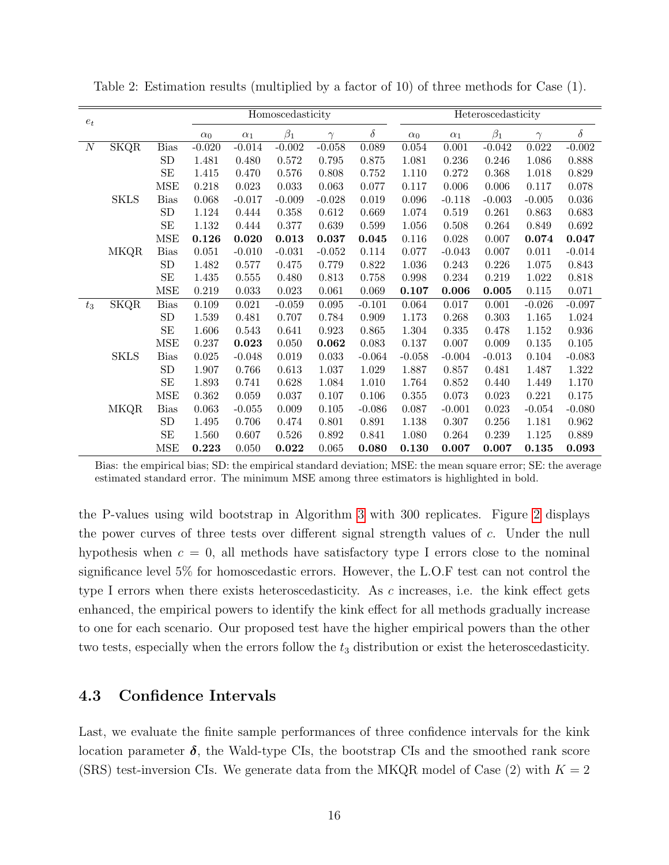|                  |             |                      |             |             | Homoscedasticity |          |          | Heteroscedasticity |            |           |           |             |
|------------------|-------------|----------------------|-------------|-------------|------------------|----------|----------|--------------------|------------|-----------|-----------|-------------|
| $e_t$            |             |                      | $\alpha_0$  | $\alpha_1$  | $\beta_1$        | $\gamma$ | $\delta$ | $\alpha_0$         | $\alpha_1$ | $\beta_1$ | $\gamma$  | $\delta$    |
| $\boldsymbol{N}$ | <b>SKQR</b> | <b>Bias</b>          | $-0.020$    | $-0.014$    | $-0.002$         | $-0.058$ | 0.089    | 0.054              | 0.001      | $-0.042$  | 0.022     | $-0.002$    |
|                  |             | ${\rm SD}$           | 1.481       | 0.480       | 0.572            | 0.795    | 0.875    | 1.081              | 0.236      | 0.246     | 1.086     | 0.888       |
|                  |             | $\operatorname{SE}$  | 1.415       | 0.470       | 0.576            | 0.808    | 0.752    | 1.110              | 0.272      | 0.368     | 1.018     | 0.829       |
|                  |             | <b>MSE</b>           | 0.218       | $\,0.023\,$ | $\,0.033\,$      | 0.063    | 0.077    | 0.117              | 0.006      | $0.006\,$ | 0.117     | 0.078       |
|                  | <b>SKLS</b> | <b>Bias</b>          | 0.068       | $-0.017$    | $-0.009$         | $-0.028$ | 0.019    | $\,0.096\,$        | $-0.118$   | $-0.003$  | $-0.005$  | $\,0.036\,$ |
|                  |             | ${\rm SD}$           | 1.124       | 0.444       | 0.358            | 0.612    | 0.669    | 1.074              | 0.519      | 0.261     | 0.863     | 0.683       |
|                  |             | $\operatorname{SE}$  | 1.132       | 0.444       | $0.377\,$        | 0.639    | 0.599    | 1.056              | 0.508      | 0.264     | 0.849     | $\,0.692\,$ |
|                  |             | <b>MSE</b>           | 0.126       | 0.020       | 0.013            | 0.037    | 0.045    | 0.116              | 0.028      | 0.007     | 0.074     | 0.047       |
|                  | <b>MKQR</b> | Bias                 | 0.051       | $-0.010$    | $-0.031$         | $-0.052$ | 0.114    | 0.077              | $-0.043$   | 0.007     | $0.011\,$ | $-0.014$    |
|                  |             | ${\rm SD}$           | 1.482       | 0.577       | 0.475            | 0.779    | 0.822    | $1.036\,$          | 0.243      | 0.226     | $1.075\,$ | 0.843       |
|                  |             | SE                   | 1.435       | 0.555       | 0.480            | 0.813    | 0.758    | 0.998              | 0.234      | 0.219     | $1.022\,$ | 0.818       |
|                  |             | $\operatorname{MSE}$ | 0.219       | 0.033       | 0.023            | 0.061    | 0.069    | 0.107              | 0.006      | 0.005     | 0.115     | 0.071       |
| $t_3$            | SKQR        | <b>Bias</b>          | 0.109       | 0.021       | $-0.059$         | 0.095    | $-0.101$ | 0.064              | 0.017      | 0.001     | $-0.026$  | $-0.097$    |
|                  |             | ${\rm SD}$           | 1.539       | 0.481       | 0.707            | 0.784    | 0.909    | 1.173              | 0.268      | 0.303     | $1.165\,$ | 1.024       |
|                  |             | SE                   | 1.606       | 0.543       | 0.641            | 0.923    | 0.865    | 1.304              | 0.335      | 0.478     | 1.152     | $\,0.936\,$ |
|                  |             | <b>MSE</b>           | 0.237       | 0.023       | 0.050            | 0.062    | 0.083    | 0.137              | $0.007\,$  | $0.009\,$ | $0.135\,$ | 0.105       |
|                  | <b>SKLS</b> | <b>Bias</b>          | $\,0.025\,$ | $-0.048$    | 0.019            | 0.033    | $-0.064$ | $-0.058$           | $-0.004$   | $-0.013$  | 0.104     | $-0.083$    |
|                  |             | ${\rm SD}$           | 1.907       | 0.766       | 0.613            | 1.037    | 1.029    | 1.887              | 0.857      | 0.481     | 1.487     | 1.322       |
|                  |             | $\operatorname{SE}$  | 1.893       | 0.741       | 0.628            | 1.084    | 1.010    | 1.764              | 0.852      | 0.440     | 1.449     | 1.170       |
|                  |             | <b>MSE</b>           | $0.362\,$   | 0.059       | 0.037            | 0.107    | 0.106    | 0.355              | 0.073      | 0.023     | 0.221     | $0.175\,$   |
|                  | <b>MKQR</b> | <b>Bias</b>          | 0.063       | $-0.055$    | 0.009            | 0.105    | $-0.086$ | 0.087              | $-0.001$   | 0.023     | $-0.054$  | $-0.080$    |
|                  |             | ${\rm SD}$           | 1.495       | 0.706       | 0.474            | 0.801    | 0.891    | 1.138              | 0.307      | 0.256     | 1.181     | 0.962       |
|                  |             | $\operatorname{SE}$  | 1.560       | 0.607       | 0.526            | 0.892    | 0.841    | 1.080              | 0.264      | 0.239     | 1.125     | 0.889       |
|                  |             | <b>MSE</b>           | 0.223       | 0.050       | 0.022            | 0.065    | 0.080    | 0.130              | 0.007      | 0.007     | 0.135     | 0.093       |

<span id="page-16-0"></span>Table 2: Estimation results (multiplied by a factor of 10) of three methods for Case (1).

Bias: the empirical bias; SD: the empirical standard deviation; MSE: the mean square error; SE: the average estimated standard error. The minimum MSE among three estimators is highlighted in bold.

the P-values using wild bootstrap in Algorithm [3](#page-35-0) with 300 replicates. Figure [2](#page-18-0) displays the power curves of three tests over different signal strength values of c. Under the null hypothesis when  $c = 0$ , all methods have satisfactory type I errors close to the nominal significance level 5% for homoscedastic errors. However, the L.O.F test can not control the type I errors when there exists heteroscedasticity. As c increases, i.e. the kink effect gets enhanced, the empirical powers to identify the kink effect for all methods gradually increase to one for each scenario. Our proposed test have the higher empirical powers than the other two tests, especially when the errors follow the  $t_3$  distribution or exist the heteroscedasticity.

## 4.3 Confidence Intervals

Last, we evaluate the finite sample performances of three confidence intervals for the kink location parameter  $\delta$ , the Wald-type CIs, the bootstrap CIs and the smoothed rank score (SRS) test-inversion CIs. We generate data from the MKQR model of Case  $(2)$  with  $K = 2$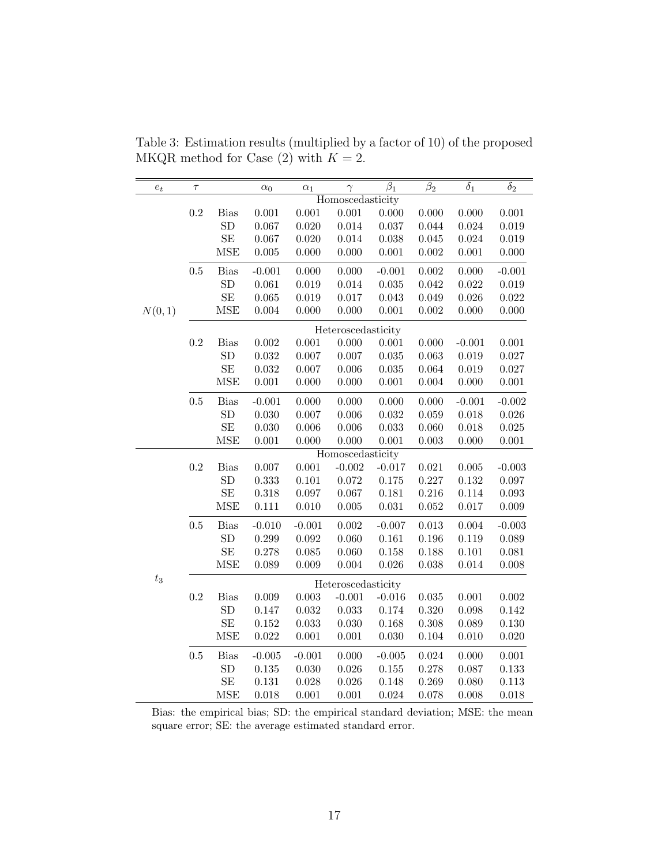| $\boldsymbol{e}_t$ | $\tau$    |                 | $\alpha_0$  | $\alpha_1$ | $\gamma$           | $\overline{\beta_1}$ | $\beta_2$   | $\overline{\delta_1}$ | $\delta_2$  |
|--------------------|-----------|-----------------|-------------|------------|--------------------|----------------------|-------------|-----------------------|-------------|
|                    |           |                 |             |            | Homoscedasticity   |                      |             |                       |             |
|                    | $\rm 0.2$ | <b>Bias</b>     | $0.001\,$   | 0.001      | $0.001\,$          | 0.000                | 0.000       | 0.000                 | 0.001       |
|                    |           | SD              | 0.067       | 0.020      | 0.014              | $0.037\,$            | 0.044       | 0.024                 | 0.019       |
|                    |           | SE              | 0.067       | 0.020      | 0.014              | 0.038                | 0.045       | 0.024                 | 0.019       |
|                    |           | <b>MSE</b>      | 0.005       | 0.000      | 0.000              | $0.001\,$            | 0.002       | 0.001                 | $0.000\,$   |
|                    | $\rm 0.5$ | <b>Bias</b>     | $-0.001$    | 0.000      | 0.000              | $-0.001$             | 0.002       | 0.000                 | $-0.001$    |
|                    |           | SD              | 0.061       | 0.019      | 0.014              | $\,0.035\,$          | 0.042       | 0.022                 | 0.019       |
|                    |           | $\rm SE$        | 0.065       | 0.019      | 0.017              | 0.043                | 0.049       | 0.026                 | $\,0.022\,$ |
| N(0,1)             |           | <b>MSE</b>      | 0.004       | 0.000      | 0.000              | $0.001\,$            | 0.002       | 0.000                 | 0.000       |
|                    |           |                 |             |            | Heteroscedasticity |                      |             |                       |             |
|                    | $\rm 0.2$ | Bias            | $0.002\,$   | 0.001      | 0.000              | $0.001\,$            | 0.000       | $-0.001$              | 0.001       |
|                    |           | ${\rm SD}$      | $\,0.032\,$ | 0.007      | 0.007              | 0.035                | 0.063       | 0.019                 | 0.027       |
|                    |           | SE              | 0.032       | 0.007      | 0.006              | $\,0.035\,$          | 0.064       | 0.019                 | 0.027       |
|                    |           | <b>MSE</b>      | $0.001\,$   | 0.000      | 0.000              | $0.001\,$            | $0.004\,$   | 0.000                 | $0.001\,$   |
|                    | $0.5\,$   | <b>Bias</b>     | $-0.001$    | 0.000      | 0.000              | 0.000                | 0.000       | $-0.001$              | $-0.002$    |
|                    |           | ${\rm SD}$      | 0.030       | 0.007      | 0.006              | $\,0.032\,$          | 0.059       | 0.018                 | $0.026\,$   |
|                    |           | SE              | 0.030       | 0.006      | 0.006              | $\,0.033\,$          | 0.060       | 0.018                 | 0.025       |
|                    |           | MSE             | 0.001       | 0.000      | 0.000              | 0.001                | 0.003       | 0.000                 | 0.001       |
|                    |           |                 |             |            | Homoscedasticity   |                      |             |                       |             |
|                    | $\rm 0.2$ | $\mathrm{Bias}$ | 0.007       | 0.001      | $-0.002$           | $-0.017$             | $\,0.021\,$ | 0.005                 | $-0.003$    |
|                    |           | ${\rm SD}$      | 0.333       | 0.101      | 0.072              | $0.175\,$            | 0.227       | 0.132                 | 0.097       |
|                    |           | SE              | 0.318       | 0.097      | 0.067              | 0.181                | 0.216       | 0.114                 | $\,0.093\,$ |
|                    |           | <b>MSE</b>      | $0.111\,$   | 0.010      | 0.005              | $\,0.031\,$          | 0.052       | 0.017                 | 0.009       |
|                    | $\rm 0.5$ | $\mathrm{Bias}$ | $-0.010$    | $-0.001$   | 0.002              | $-0.007$             | 0.013       | 0.004                 | $-0.003$    |
|                    |           | ${\rm SD}$      | 0.299       | 0.092      | 0.060              | $\,0.161\,$          | 0.196       | 0.119                 | 0.089       |
|                    |           | $\rm SE$        | $0.278\,$   | 0.085      | 0.060              | $0.158\,$            | 0.188       | 0.101                 | $\,0.081\,$ |
|                    |           | <b>MSE</b>      | 0.089       | 0.009      | 0.004              | 0.026                | 0.038       | 0.014                 | $0.008\,$   |
| $\sqrt{t_3}$       |           |                 |             |            | Heteroscedasticity |                      |             |                       |             |
|                    | $\rm 0.2$ | <b>Bias</b>     | 0.009       | 0.003      | $-0.001$           | $-0.016$             | 0.035       | 0.001                 | 0.002       |
|                    |           | ${\rm SD}$      | 0.147       | 0.032      | $\,0.033\,$        | $0.174\,$            | 0.320       | 0.098                 | 0.142       |
|                    |           | $\rm SE$        | 0.152       | 0.033      | 0.030              | 0.168                | 0.308       | 0.089                 | 0.130       |
|                    |           | <b>MSE</b>      | 0.022       | 0.001      | $0.001\,$          | $0.030\,$            | 0.104       | 0.010                 | $0.020\,$   |
|                    | $0.5\,$   | <b>Bias</b>     | $-0.005$    | $-0.001$   | 0.000              | $-0.005$             | 0.024       | 0.000                 | $0.001\,$   |
|                    |           | ${\rm SD}$      | $0.135\,$   | 0.030      | $0.026\,$          | $0.155\,$            | 0.278       | 0.087                 | $\rm 0.133$ |
|                    |           | SE              | $0.131\,$   | 0.028      | 0.026              | 0.148                | 0.269       | 0.080                 | 0.113       |
|                    |           | <b>MSE</b>      | 0.018       | 0.001      | $0.001\,$          | 0.024                | 0.078       | 0.008                 | 0.018       |

<span id="page-17-0"></span>Table 3: Estimation results (multiplied by a factor of 10) of the proposed MKQR method for Case (2) with  $K = 2$ .

Bias: the empirical bias; SD: the empirical standard deviation; MSE: the mean square error; SE: the average estimated standard error.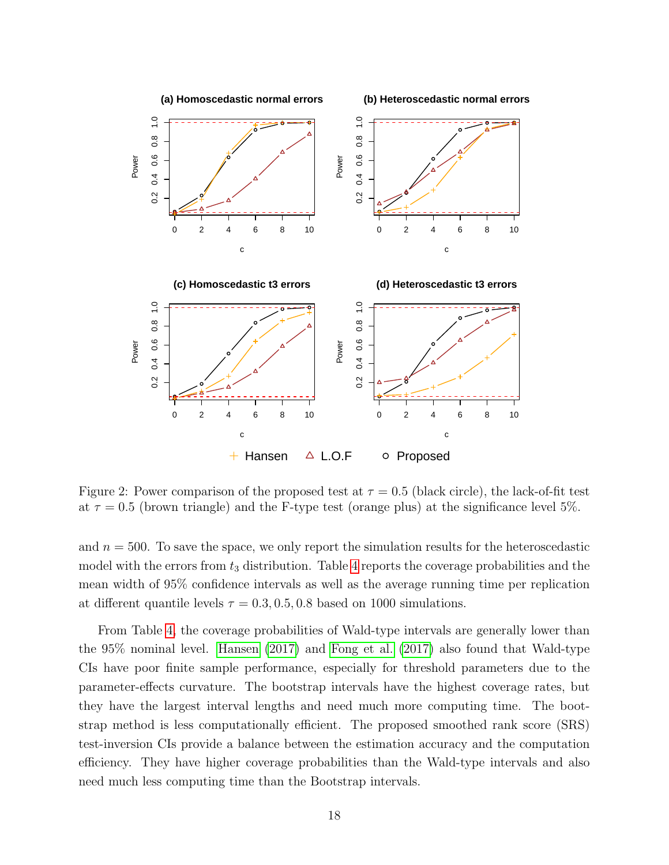<span id="page-18-0"></span>

Figure 2: Power comparison of the proposed test at  $\tau = 0.5$  (black circle), the lack-of-fit test at  $\tau = 0.5$  (brown triangle) and the F-type test (orange plus) at the significance level 5%.

and  $n = 500$ . To save the space, we only report the simulation results for the heteroscedastic model with the errors from  $t_3$  distribution. Table [4](#page-19-0) reports the coverage probabilities and the mean width of 95% confidence intervals as well as the average running time per replication at different quantile levels  $\tau = 0.3, 0.5, 0.8$  based on 1000 simulations.

From Table [4,](#page-19-0) the coverage probabilities of Wald-type intervals are generally lower than the 95% nominal level. [Hansen \(2017\)](#page-37-0) and [Fong et al. \(2017\)](#page-37-11) also found that Wald-type CIs have poor finite sample performance, especially for threshold parameters due to the parameter-effects curvature. The bootstrap intervals have the highest coverage rates, but they have the largest interval lengths and need much more computing time. The bootstrap method is less computationally efficient. The proposed smoothed rank score (SRS) test-inversion CIs provide a balance between the estimation accuracy and the computation efficiency. They have higher coverage probabilities than the Wald-type intervals and also need much less computing time than the Bootstrap intervals.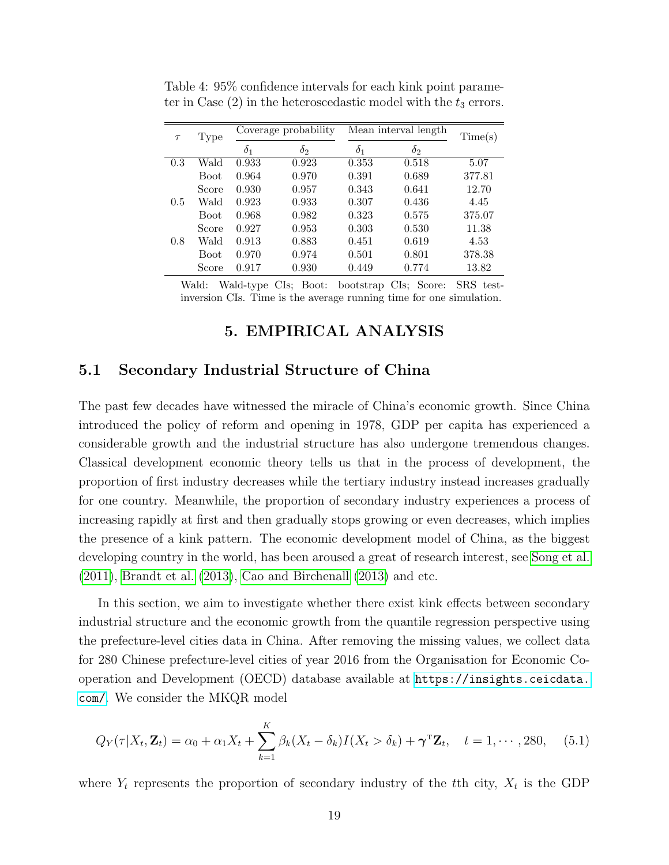| $\tau$ | Type        | Coverage probability |            | Mean interval length | Time(s)    |        |
|--------|-------------|----------------------|------------|----------------------|------------|--------|
|        |             | $\delta_1$           | $\delta_2$ | $\delta_1$           | $\delta_2$ |        |
| 0.3    | Wald        | 0.933                | 0.923      | 0.353                | 0.518      | 5.07   |
|        | <b>Boot</b> | 0.964                | 0.970      | 0.391                | 0.689      | 377.81 |
|        | Score       | 0.930                | 0.957      | 0.343                | 0.641      | 12.70  |
| 0.5    | Wald        | 0.923                | 0.933      | 0.307                | 0.436      | 4.45   |
|        | <b>Boot</b> | 0.968                | 0.982      | 0.323                | 0.575      | 375.07 |
|        | Score       | 0.927                | 0.953      | 0.303                | 0.530      | 11.38  |
| 0.8    | Wald        | 0.913                | 0.883      | 0.451                | 0.619      | 4.53   |
|        | <b>Boot</b> | 0.970                | 0.974      | 0.501                | 0.801      | 378.38 |
|        | Score       | 0.917                | 0.930      | 0.449                | 0.774      | 13.82  |

<span id="page-19-0"></span>Table 4: 95% confidence intervals for each kink point parameter in Case  $(2)$  in the heteroscedastic model with the  $t_3$  errors.

Wald: Wald-type CIs; Boot: bootstrap CIs; Score: SRS testinversion CIs. Time is the average running time for one simulation.

## 5. EMPIRICAL ANALYSIS

#### 5.1 Secondary Industrial Structure of China

The past few decades have witnessed the miracle of China's economic growth. Since China introduced the policy of reform and opening in 1978, GDP per capita has experienced a considerable growth and the industrial structure has also undergone tremendous changes. Classical development economic theory tells us that in the process of development, the proportion of first industry decreases while the tertiary industry instead increases gradually for one country. Meanwhile, the proportion of secondary industry experiences a process of increasing rapidly at first and then gradually stops growing or even decreases, which implies the presence of a kink pattern. The economic development model of China, as the biggest developing country in the world, has been aroused a great of research interest, see [Song et al.](#page-38-10) [\(2011\)](#page-38-10), [Brandt et al. \(2013\)](#page-36-4), [Cao and Birchenall \(2013\)](#page-36-5) and etc.

In this section, we aim to investigate whether there exist kink effects between secondary industrial structure and the economic growth from the quantile regression perspective using the prefecture-level cities data in China. After removing the missing values, we collect data for 280 Chinese prefecture-level cities of year 2016 from the Organisation for Economic Cooperation and Development (OECD) database available at [https://insights.ceicdata.](https://insights.ceicdata.com/) [com/](https://insights.ceicdata.com/). We consider the MKQR model

$$
Q_Y(\tau|X_t, \mathbf{Z}_t) = \alpha_0 + \alpha_1 X_t + \sum_{k=1}^K \beta_k (X_t - \delta_k) I(X_t > \delta_k) + \boldsymbol{\gamma}^{\mathrm{T}} \mathbf{Z}_t, \quad t = 1, \cdots, 280, \quad (5.1)
$$

where  $Y_t$  represents the proportion of secondary industry of the tth city,  $X_t$  is the GDP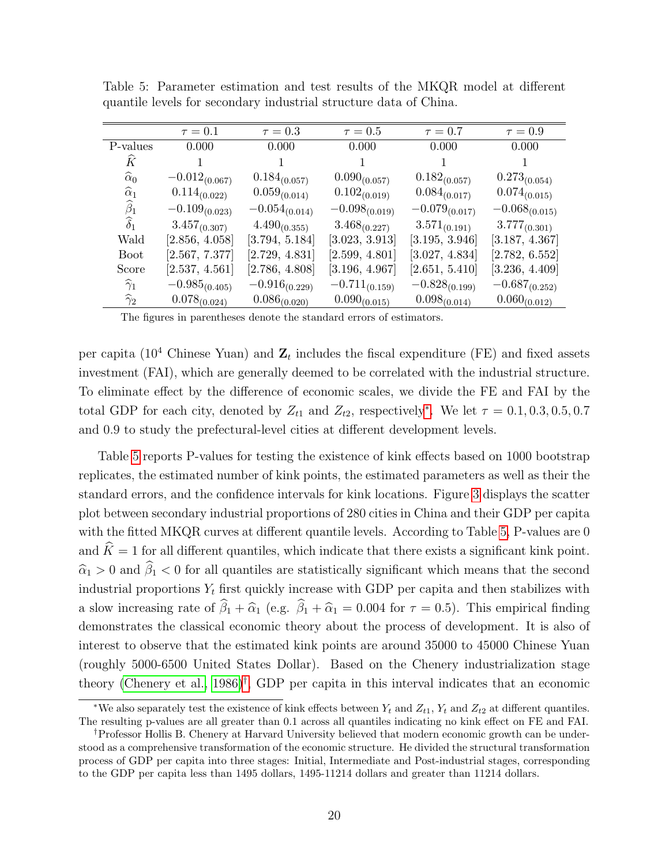|                      | $\tau=0.1$         | $\tau = 0.3$       | $\tau = 0.5$       | $\tau = 0.7$       | $\tau = 0.9$       |
|----------------------|--------------------|--------------------|--------------------|--------------------|--------------------|
| P-values             | 0.000              | 0.000              | 0.000              | 0.000              | 0.000              |
| Ŕ                    |                    |                    |                    |                    |                    |
| $\widehat{\alpha}_0$ | $-0.012_{(0.067)}$ | $0.184_{(0.057)}$  | $0.090_{(0.057)}$  | $0.182_{(0.057)}$  | $0.273_{(0.054)}$  |
| $\widehat{\alpha}_1$ | $0.114_{(0.022)}$  | $0.059_{(0.014)}$  | $0.102_{(0.019)}$  | $0.084_{(0.017)}$  | $0.074_{(0.015)}$  |
| $\widehat{\beta}_1$  | $-0.109_{(0.023)}$ | $-0.054_{(0.014)}$ | $-0.098_{(0.019)}$ | $-0.079_{(0.017)}$ | $-0.068_{(0.015)}$ |
| $\widehat{\delta}_1$ | $3.457_{(0.307)}$  | $4.490_{(0.355)}$  | $3.468_{(0.227)}$  | $3.571_{(0.191)}$  | $3.777_{(0.301)}$  |
| Wald                 | [2.856, 4.058]     | [3.794, 5.184]     | [3.023, 3.913]     | [3.195, 3.946]     | [3.187, 4.367]     |
| <b>Boot</b>          | [2.567, 7.377]     | [2.729, 4.831]     | [2.599, 4.801]     | [3.027, 4.834]     | [2.782, 6.552]     |
| Score                | [2.537, 4.561]     | [2.786, 4.808]     | [3.196, 4.967]     | [2.651, 5.410]     | [3.236, 4.409]     |
| $\widehat{\gamma}_1$ | $-0.985_{(0.405)}$ | $-0.916_{(0.229)}$ | $-0.711_{(0.159)}$ | $-0.828_{(0.199)}$ | $-0.687_{(0.252)}$ |
| $\widehat{\gamma}_2$ | $0.078_{(0.024)}$  | $0.086_{(0.020)}$  | $0.090_{(0.015)}$  | $0.098_{(0.014)}$  | $0.060_{(0.012)}$  |
|                      |                    |                    |                    |                    |                    |

<span id="page-20-0"></span>Table 5: Parameter estimation and test results of the MKQR model at different quantile levels for secondary industrial structure data of China.

The figures in parentheses denote the standard errors of estimators.

per capita (10<sup>4</sup> Chinese Yuan) and  $\mathbf{Z}_t$  includes the fiscal expenditure (FE) and fixed assets investment (FAI), which are generally deemed to be correlated with the industrial structure. To eliminate effect by the difference of economic scales, we divide the FE and FAI by the total GDP for each city, denoted by  $Z_{t1}$  and  $Z_{t2}$ , respectively<sup>\*</sup>. We let  $\tau = 0.1, 0.3, 0.5, 0.7$ and 0.9 to study the prefectural-level cities at different development levels.

Table [5](#page-20-0) reports P-values for testing the existence of kink effects based on 1000 bootstrap replicates, the estimated number of kink points, the estimated parameters as well as their the standard errors, and the confidence intervals for kink locations. Figure [3](#page-21-0) displays the scatter plot between secondary industrial proportions of 280 cities in China and their GDP per capita with the fitted MKQR curves at different quantile levels. According to Table [5,](#page-20-0) P-values are 0 and  $\widehat{K} = 1$  for all different quantiles, which indicate that there exists a significant kink point.  $\hat{\alpha}_1 > 0$  and  $\hat{\beta}_1 < 0$  for all quantiles are statistically significant which means that the second industrial proportions  $Y_t$  first quickly increase with GDP per capita and then stabilizes with a slow increasing rate of  $\hat{\beta}_1 + \hat{\alpha}_1$  (e.g.  $\hat{\beta}_1 + \hat{\alpha}_1 = 0.004$  for  $\tau = 0.5$ ). This empirical finding demonstrates the classical economic theory about the process of development. It is also of interest to observe that the estimated kink points are around 35000 to 45000 Chinese Yuan (roughly 5000-6500 United States Dollar). Based on the Chenery industrialization stage theory [\(Chenery et al., 1986\)](#page-36-6)[†](#page-0-0) , GDP per capita in this interval indicates that an economic

<sup>\*</sup>We also separately test the existence of kink effects between  $Y_t$  and  $Z_{t1}$ ,  $Y_t$  and  $Z_{t2}$  at different quantiles. The resulting p-values are all greater than 0.1 across all quantiles indicating no kink effect on FE and FAI.

<sup>†</sup>Professor Hollis B. Chenery at Harvard University believed that modern economic growth can be understood as a comprehensive transformation of the economic structure. He divided the structural transformation process of GDP per capita into three stages: Initial, Intermediate and Post-industrial stages, corresponding to the GDP per capita less than 1495 dollars, 1495-11214 dollars and greater than 11214 dollars.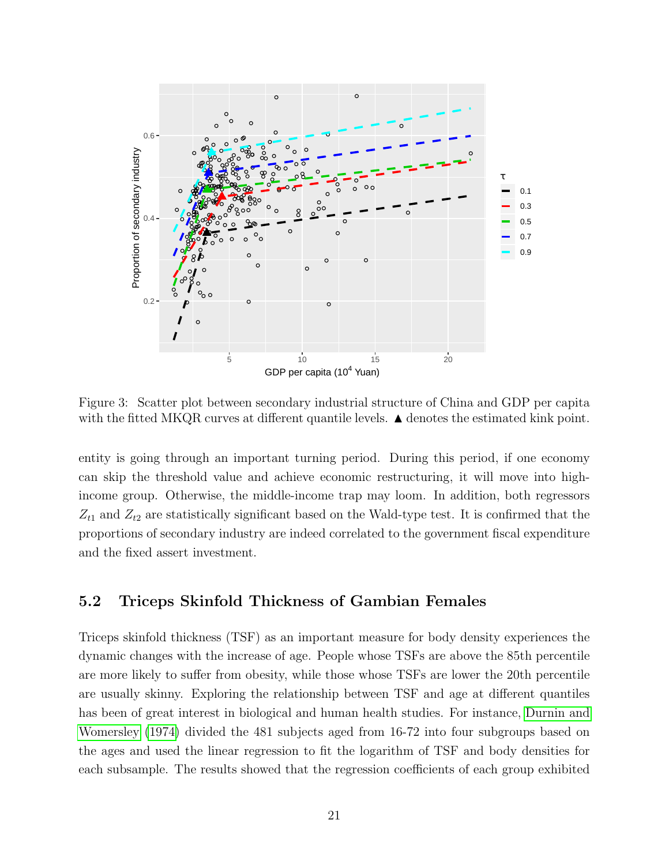<span id="page-21-0"></span>

Figure 3: Scatter plot between secondary industrial structure of China and GDP per capita with the fitted MKQR curves at different quantile levels.  $\blacktriangle$  denotes the estimated kink point.

entity is going through an important turning period. During this period, if one economy can skip the threshold value and achieve economic restructuring, it will move into highincome group. Otherwise, the middle-income trap may loom. In addition, both regressors  $Z_{t1}$  and  $Z_{t2}$  are statistically significant based on the Wald-type test. It is confirmed that the proportions of secondary industry are indeed correlated to the government fiscal expenditure and the fixed assert investment.

## 5.2 Triceps Skinfold Thickness of Gambian Females

Triceps skinfold thickness (TSF) as an important measure for body density experiences the dynamic changes with the increase of age. People whose TSFs are above the 85th percentile are more likely to suffer from obesity, while those whose TSFs are lower the 20th percentile are usually skinny. Exploring the relationship between TSF and age at different quantiles has been of great interest in biological and human health studies. For instance, [Durnin and](#page-37-12) [Womersley \(1974\)](#page-37-12) divided the 481 subjects aged from 16-72 into four subgroups based on the ages and used the linear regression to fit the logarithm of TSF and body densities for each subsample. The results showed that the regression coefficients of each group exhibited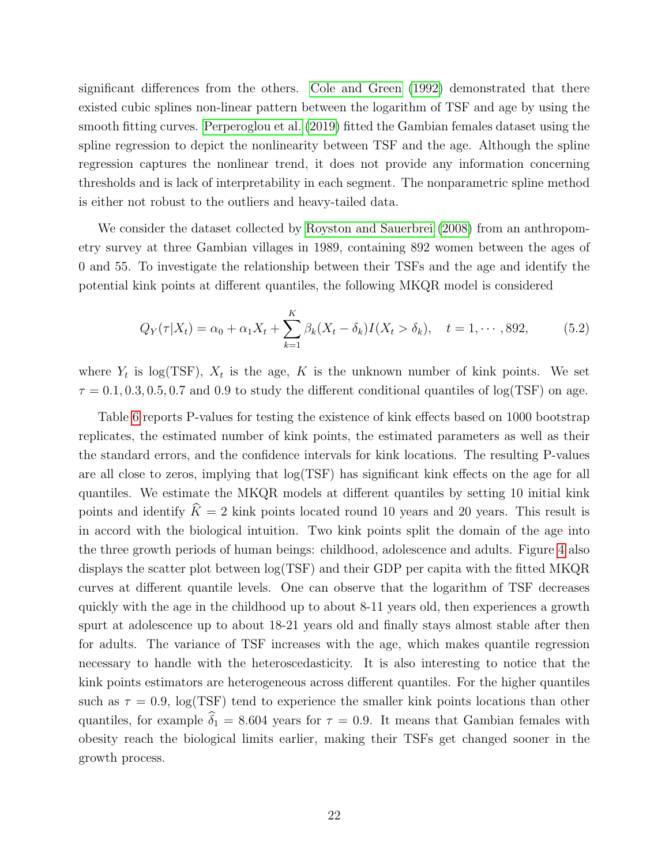significant differences from the others. [Cole and Green \(1992\)](#page-37-13) demonstrated that there existed cubic splines non-linear pattern between the logarithm of TSF and age by using the smooth fitting curves. [Perperoglou et al. \(2019\)](#page-38-11) fitted the Gambian females dataset using the spline regression to depict the nonlinearity between TSF and the age. Although the spline regression captures the nonlinear trend, it does not provide any information concerning thresholds and is lack of interpretability in each segment. The nonparametric spline method is either not robust to the outliers and heavy-tailed data.

We consider the dataset collected by [Royston and Sauerbrei \(2008\)](#page-38-12) from an anthropometry survey at three Gambian villages in 1989, containing 892 women between the ages of 0 and 55. To investigate the relationship between their TSFs and the age and identify the potential kink points at different quantiles, the following MKQR model is considered

$$
Q_Y(\tau|X_t) = \alpha_0 + \alpha_1 X_t + \sum_{k=1}^K \beta_k (X_t - \delta_k) I(X_t > \delta_k), \quad t = 1, \cdots, 892, \tag{5.2}
$$

where  $Y_t$  is log(TSF),  $X_t$  is the age, K is the unknown number of kink points. We set  $\tau = 0.1, 0.3, 0.5, 0.7$  and 0.9 to study the different conditional quantiles of log(TSF) on age.

Table [6](#page-23-1) reports P-values for testing the existence of kink effects based on 1000 bootstrap replicates, the estimated number of kink points, the estimated parameters as well as their the standard errors, and the confidence intervals for kink locations. The resulting P-values are all close to zeros, implying that log(TSF) has significant kink effects on the age for all quantiles. We estimate the MKQR models at different quantiles by setting 10 initial kink points and identify  $\hat{K} = 2$  kink points located round 10 years and 20 years. This result is in accord with the biological intuition. Two kink points split the domain of the age into the three growth periods of human beings: childhood, adolescence and adults. Figure [4](#page-23-0) also displays the scatter plot between log(TSF) and their GDP per capita with the fitted MKQR curves at different quantile levels. One can observe that the logarithm of TSF decreases quickly with the age in the childhood up to about 8-11 years old, then experiences a growth spurt at adolescence up to about 18-21 years old and finally stays almost stable after then for adults. The variance of TSF increases with the age, which makes quantile regression necessary to handle with the heteroscedasticity. It is also interesting to notice that the kink points estimators are heterogeneous across different quantiles. For the higher quantiles such as  $\tau = 0.9$ ,  $\log(TSF)$  tend to experience the smaller kink points locations than other quantiles, for example  $\hat{\delta}_1 = 8.604$  years for  $\tau = 0.9$ . It means that Gambian females with obesity reach the biological limits earlier, making their TSFs get changed sooner in the growth process.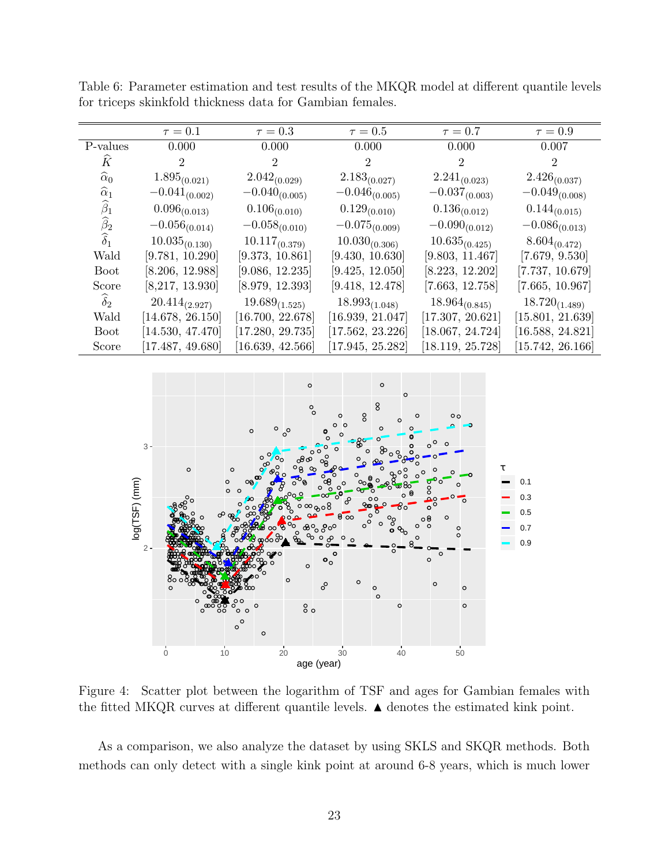|                      | $\tau = 0.1$       | $\tau = 0.3$       | $\tau = 0.5$       | $\tau = 0.7$       | $\tau = 0.9$       |
|----------------------|--------------------|--------------------|--------------------|--------------------|--------------------|
| P-values             | 0.000              | 0.000              | 0.000              | 0.000              | 0.007              |
| Ŕ                    | $\overline{2}$     | 2                  | 2                  | $\overline{2}$     | $\overline{2}$     |
| $\widehat{\alpha}_0$ | $1.895_{(0.021)}$  | $2.042_{(0.029)}$  | $2.183_{(0.027)}$  | $2.241_{(0.023)}$  | $2.426_{(0.037)}$  |
| $\widehat{\alpha}_1$ | $-0.041_{(0.002)}$ | $-0.040_{(0.005)}$ | $-0.046_{(0.005)}$ | $-0.037_{(0.003)}$ | $-0.049_{(0.008)}$ |
| $\widehat{\beta}_1$  | $0.096_{(0.013)}$  | $0.106_{(0.010)}$  | $0.129_{(0.010)}$  | $0.136_{(0.012)}$  | $0.144_{(0.015)}$  |
| $\widehat{\beta}_2$  | $-0.056_{(0.014)}$ | $-0.058_{(0.010)}$ | $-0.075_{(0.009)}$ | $-0.090_{(0.012)}$ | $-0.086_{(0.013)}$ |
| $\widehat{\delta}_1$ | $10.035_{(0.130)}$ | $10.117_{(0.379)}$ | $10.030_{(0.306)}$ | $10.635_{(0.425)}$ | $8.604_{(0.472)}$  |
| Wald                 | [9.781, 10.290]    | [9.373, 10.861]    | [9.430, 10.630]    | [9.803, 11.467]    | [7.679, 9.530]     |
| <b>Boot</b>          | [8.206, 12.988]    | [9.086, 12.235]    | [9.425, 12.050]    | [8.223, 12.202]    | [7.737, 10.679]    |
| Score                | [8,217, 13.930]    | [8.979, 12.393]    | [9.418, 12.478]    | [7.663, 12.758]    | [7.665, 10.967]    |
| $\widehat{\delta}_2$ | $20.414_{(2.927)}$ | $19.689_{(1.525)}$ | $18.993_{(1.048)}$ | $18.964_{(0.845)}$ | $18.720_{(1.489)}$ |
| Wald                 | [14.678, 26.150]   | [16.700, 22.678]   | [16.939, 21.047]   | [17.307, 20.621]   | [15.801, 21.639]   |
| <b>Boot</b>          | [14.530, 47.470]   | [17.280, 29.735]   | [17.562, 23.226]   | [18.067, 24.724]   | [16.588, 24.821]   |
| Score                | [17.487, 49.680]   | [16.639, 42.566]   | 17.945, 25.282]    | [18.119, 25.728]   | [15.742, 26.166]   |

<span id="page-23-1"></span>Table 6: Parameter estimation and test results of the MKQR model at different quantile levels for triceps skinkfold thickness data for Gambian females.

<span id="page-23-0"></span>

Figure 4: Scatter plot between the logarithm of TSF and ages for Gambian females with the fitted MKQR curves at different quantile levels.  $\blacktriangle$  denotes the estimated kink point.

As a comparison, we also analyze the dataset by using SKLS and SKQR methods. Both methods can only detect with a single kink point at around 6-8 years, which is much lower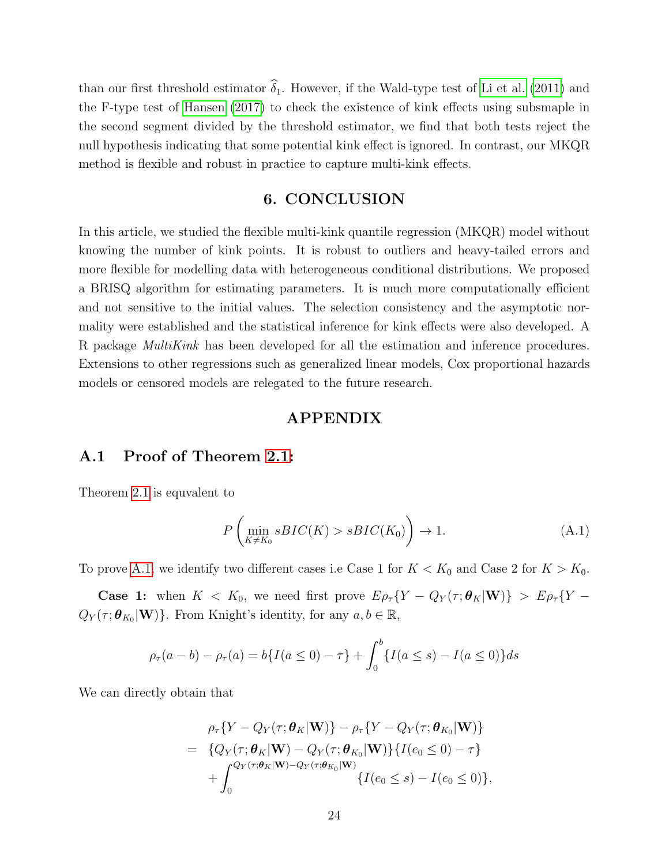than our first threshold estimator  $\hat{\delta}_1$ . However, if the Wald-type test of [Li et al. \(2011\)](#page-38-0) and the F-type test of [Hansen \(2017\)](#page-37-0) to check the existence of kink effects using subsmaple in the second segment divided by the threshold estimator, we find that both tests reject the null hypothesis indicating that some potential kink effect is ignored. In contrast, our MKQR method is flexible and robust in practice to capture multi-kink effects.

## 6. CONCLUSION

In this article, we studied the flexible multi-kink quantile regression (MKQR) model without knowing the number of kink points. It is robust to outliers and heavy-tailed errors and more flexible for modelling data with heterogeneous conditional distributions. We proposed a BRISQ algorithm for estimating parameters. It is much more computationally efficient and not sensitive to the initial values. The selection consistency and the asymptotic normality were established and the statistical inference for kink effects were also developed. A R package MultiKink has been developed for all the estimation and inference procedures. Extensions to other regressions such as generalized linear models, Cox proportional hazards models or censored models are relegated to the future research.

#### APPENDIX

#### A.1 Proof of Theorem [2.1:](#page-9-0)

Theorem [2.1](#page-9-0) is equvalent to

<span id="page-24-0"></span>
$$
P\left(\min_{K \neq K_0} sBIC(K) > sBIC(K_0)\right) \to 1. \tag{A.1}
$$

To prove [A.1,](#page-24-0) we identify two different cases i.e Case 1 for  $K < K_0$  and Case 2 for  $K > K_0$ .

**Case 1:** when  $K < K_0$ , we need first prove  $E \rho_\tau \{ Y - Q_Y(\tau; \theta_K | \mathbf{W}) \} > E \rho_\tau \{ Y - Q_Y(\tau; \theta_K | \mathbf{W}) \}$  $Q_Y(\tau; \boldsymbol{\theta}_{K_0} | \mathbf{W})\}$ . From Knight's identity, for any  $a, b \in \mathbb{R}$ ,

$$
\rho_{\tau}(a-b) - \rho_{\tau}(a) = b\{I(a \le 0) - \tau\} + \int_0^b \{I(a \le s) - I(a \le 0)\} ds
$$

We can directly obtain that

$$
\rho_{\tau}\{Y - Q_{Y}(\tau;\boldsymbol{\theta}_{K}|\mathbf{W})\} - \rho_{\tau}\{Y - Q_{Y}(\tau;\boldsymbol{\theta}_{K_{0}}|\mathbf{W})\}
$$
\n
$$
= \{Q_{Y}(\tau;\boldsymbol{\theta}_{K}|\mathbf{W}) - Q_{Y}(\tau;\boldsymbol{\theta}_{K_{0}}|\mathbf{W})\}\{I(e_{0} \leq 0) - \tau\}
$$
\n
$$
+ \int_{0}^{Q_{Y}(\tau;\boldsymbol{\theta}_{K}|\mathbf{W}) - Q_{Y}(\tau;\boldsymbol{\theta}_{K_{0}}|\mathbf{W})}\{I(e_{0} \leq s) - I(e_{0} \leq 0)\},
$$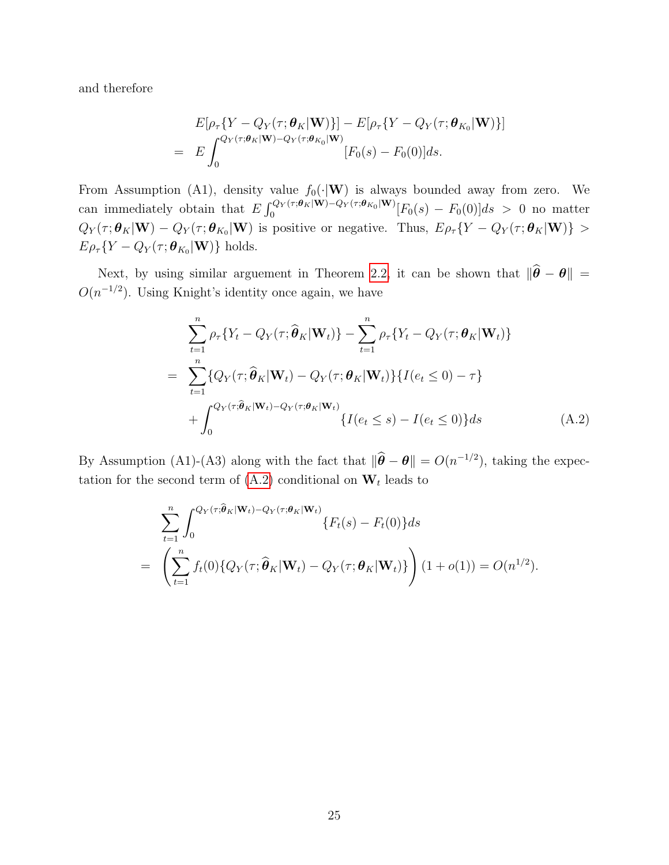and therefore

$$
E[\rho_\tau\{Y - Q_Y(\tau;\boldsymbol{\theta}_K|\mathbf{W})\}] - E[\rho_\tau\{Y - Q_Y(\tau;\boldsymbol{\theta}_{K_0}|\mathbf{W})\}]
$$
  
= 
$$
E\int_0^{Q_Y(\tau;\boldsymbol{\theta}_K|\mathbf{W}) - Q_Y(\tau;\boldsymbol{\theta}_{K_0}|\mathbf{W})} [F_0(s) - F_0(0)]ds.
$$

From Assumption (A1), density value  $f_0(\cdot|\mathbf{W})$  is always bounded away from zero. We can immediately obtain that  $E \int_0^{Q_Y(\tau;\theta_K|W)-Q_Y(\tau;\theta_{K_0}|W)}$  $\int_0^{\mathcal{C}_{\mathbf{V}}(\tau;\mathbf{\boldsymbol{\theta}}_K|\mathbf{W}) - \mathcal{Q}_Y(\tau;\mathbf{\boldsymbol{\theta}}_{K_0}|\mathbf{W})}[F_0(s) - F_0(0)]ds > 0$  no matter  $Q_Y(\tau;\theta_K|\mathbf{W}) - Q_Y(\tau;\theta_{K_0}|\mathbf{W})$  is positive or negative. Thus,  $E\rho_\tau\{Y - Q_Y(\tau;\theta_K|\mathbf{W})\} >$  $E \rho_{\tau} \{ Y - Q_Y(\tau; \boldsymbol{\theta}_{K_0} | \mathbf{W}) \}$  holds.

Next, by using similar arguement in Theorem [2.2,](#page-10-0) it can be shown that  $\|\hat{\theta} - \theta\|$  =  $O(n^{-1/2})$ . Using Knight's identity once again, we have

<span id="page-25-0"></span>
$$
\sum_{t=1}^{n} \rho_{\tau} \{ Y_t - Q_Y(\tau; \widehat{\boldsymbol{\theta}}_K | \mathbf{W}_t) \} - \sum_{t=1}^{n} \rho_{\tau} \{ Y_t - Q_Y(\tau; \boldsymbol{\theta}_K | \mathbf{W}_t) \}
$$
\n
$$
= \sum_{t=1}^{n} \{ Q_Y(\tau; \widehat{\boldsymbol{\theta}}_K | \mathbf{W}_t) - Q_Y(\tau; \boldsymbol{\theta}_K | \mathbf{W}_t) \} \{ I(e_t \le 0) - \tau \}
$$
\n
$$
+ \int_0^{Q_Y(\tau; \widehat{\boldsymbol{\theta}}_K | \mathbf{W}_t) - Q_Y(\tau; \boldsymbol{\theta}_K | \mathbf{W}_t)} \{ I(e_t \le s) - I(e_t \le 0) \} ds \tag{A.2}
$$

By Assumption (A1)-(A3) along with the fact that  $\|\hat{\theta} - \theta\| = O(n^{-1/2})$ , taking the expectation for the second term of  $(A.2)$  conditional on  $W_t$  leads to

<span id="page-25-1"></span>
$$
\sum_{t=1}^{n} \int_{0}^{Q_Y(\tau;\widehat{\boldsymbol{\theta}}_K|\mathbf{W}_t) - Q_Y(\tau;\boldsymbol{\theta}_K|\mathbf{W}_t)} \{F_t(s) - F_t(0)\} ds
$$
  
= 
$$
\left(\sum_{t=1}^{n} f_t(0) \{Q_Y(\tau;\widehat{\boldsymbol{\theta}}_K|\mathbf{W}_t) - Q_Y(\tau;\boldsymbol{\theta}_K|\mathbf{W}_t)\}\right) (1+o(1)) = O(n^{1/2}).
$$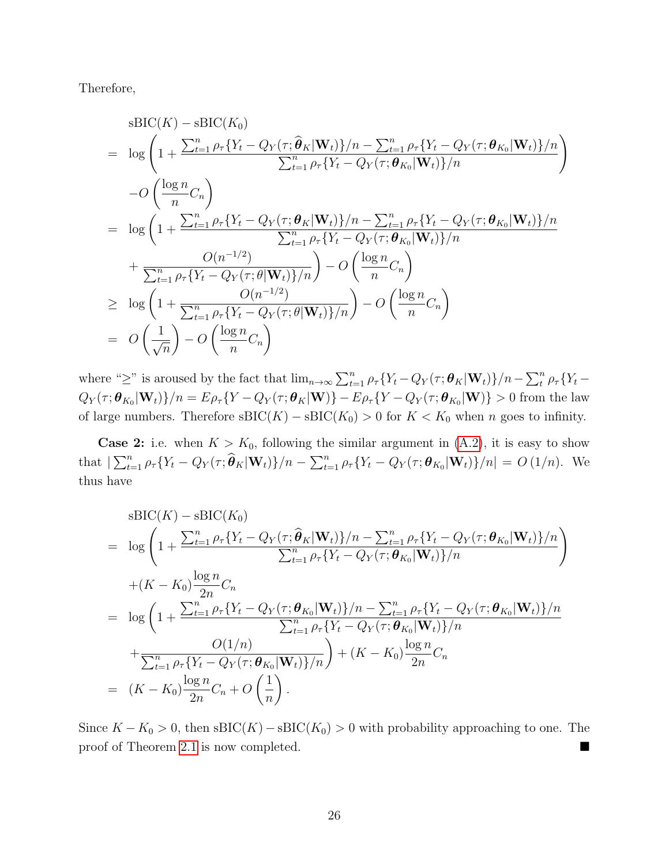Therefore,

$$
sBIC(K) - sBIC(K_0)
$$
\n
$$
= \log \left( 1 + \frac{\sum_{t=1}^{n} \rho_{\tau} \{ Y_t - Q_Y(\tau; \hat{\theta}_K | \mathbf{W}_t) \} / n - \sum_{t=1}^{n} \rho_{\tau} \{ Y_t - Q_Y(\tau; \theta_{K_0} | \mathbf{W}_t) \} / n}{\sum_{t=1}^{n} \rho_{\tau} \{ Y_t - Q_Y(\tau; \theta_{K_0} | \mathbf{W}_t) \} / n} \right)
$$
\n
$$
-O\left( \frac{\log n}{n} C_n \right)
$$
\n
$$
= \log \left( 1 + \frac{\sum_{t=1}^{n} \rho_{\tau} \{ Y_t - Q_Y(\tau; \theta_K | \mathbf{W}_t) \} / n - \sum_{t=1}^{n} \rho_{\tau} \{ Y_t - Q_Y(\tau; \theta_{K_0} | \mathbf{W}_t) \} / n}{\sum_{t=1}^{n} \rho_{\tau} \{ Y_t - Q_Y(\tau; \theta_{K_0} | \mathbf{W}_t) \} / n} \right)
$$
\n
$$
+ \frac{O(n^{-1/2})}{\sum_{t=1}^{n} \rho_{\tau} \{ Y_t - Q_Y(\tau; \theta | \mathbf{W}_t) \} / n} - O\left( \frac{\log n}{n} C_n \right)
$$
\n
$$
\geq \log \left( 1 + \frac{O(n^{-1/2})}{\sum_{t=1}^{n} \rho_{\tau} \{ Y_t - Q_Y(\tau; \theta | \mathbf{W}_t) \} / n} \right) - O\left( \frac{\log n}{n} C_n \right)
$$
\n
$$
= O\left( \frac{1}{\sqrt{n}} \right) - O\left( \frac{\log n}{n} C_n \right)
$$

where "≥" is aroused by the fact that  $\lim_{n\to\infty}\sum_{t=1}^n \rho_{\tau}\{Y_t - Q_Y(\tau;\boldsymbol{\theta}_K|\mathbf{W}_t)\}/n - \sum_{t=1}^n \rho_{\tau}\{Y_t - Q_Y(\tau;\boldsymbol{\theta}_K|\mathbf{W}_t)\}$  $Q_Y(\tau;\bm{\theta}_{K_0}|\mathbf{W}_t)\}/n = E\rho_\tau\{Y-Q_Y(\tau;\bm{\theta}_K|\mathbf{W})\}-E\rho_\tau\{Y-Q_Y(\tau;\bm{\theta}_{K_0}|\mathbf{W})\}>0$  from the law of large numbers. Therefore  $sBIC(K) - sBIC(K_0) > 0$  for  $K < K_0$  when n goes to infinity.

**Case 2:** i.e. when  $K > K_0$ , following the similar argument in  $(A.2)$ , it is easy to show that  $\sum_{t=1}^n \rho_\tau \{ Y_t - Q_Y(\tau; \widehat{\boldsymbol{\theta}}_K | \mathbf{W}_t) \} / n - \sum_{t=1}^n \rho_\tau \{ Y_t - Q_Y(\tau; \boldsymbol{\theta}_{K_0} | \mathbf{W}_t) \} / n \} = O(1/n)$ . We thus have

$$
sBIC(K) - sBIC(K_0)
$$
  
=  $\log \left( 1 + \frac{\sum_{t=1}^{n} \rho_{\tau} \{ Y_t - Q_Y(\tau; \hat{\theta}_K | \mathbf{W}_t) \} / n - \sum_{t=1}^{n} \rho_{\tau} \{ Y_t - Q_Y(\tau; \theta_{K_0} | \mathbf{W}_t) \} / n}{\sum_{t=1}^{n} \rho_{\tau} \{ Y_t - Q_Y(\tau; \theta_{K_0} | \mathbf{W}_t) \} / n} \right)$   
+  $(K - K_0) \frac{\log n}{2n} C_n$   
=  $\log \left( 1 + \frac{\sum_{t=1}^{n} \rho_{\tau} \{ Y_t - Q_Y(\tau; \theta_{K_0} | \mathbf{W}_t) \} / n - \sum_{t=1}^{n} \rho_{\tau} \{ Y_t - Q_Y(\tau; \theta_{K_0} | \mathbf{W}_t) \} / n}{\sum_{t=1}^{n} \rho_{\tau} \{ Y_t - Q_Y(\tau; \theta_{K_0} | \mathbf{W}_t) \} / n} \right)$   
+  $\frac{O(1/n)}{\sum_{t=1}^{n} \rho_{\tau} \{ Y_t - Q_Y(\tau; \theta_{K_0} | \mathbf{W}_t) \} / n} + (K - K_0) \frac{\log n}{2n} C_n$   
=  $(K - K_0) \frac{\log n}{2n} C_n + O\left(\frac{1}{n}\right).$ 

Since  $K - K_0 > 0$ , then sBIC(K) – sBIC(K<sub>0</sub>) > 0 with probability approaching to one. The proof of Theorem [2.1](#page-9-0) is now completed.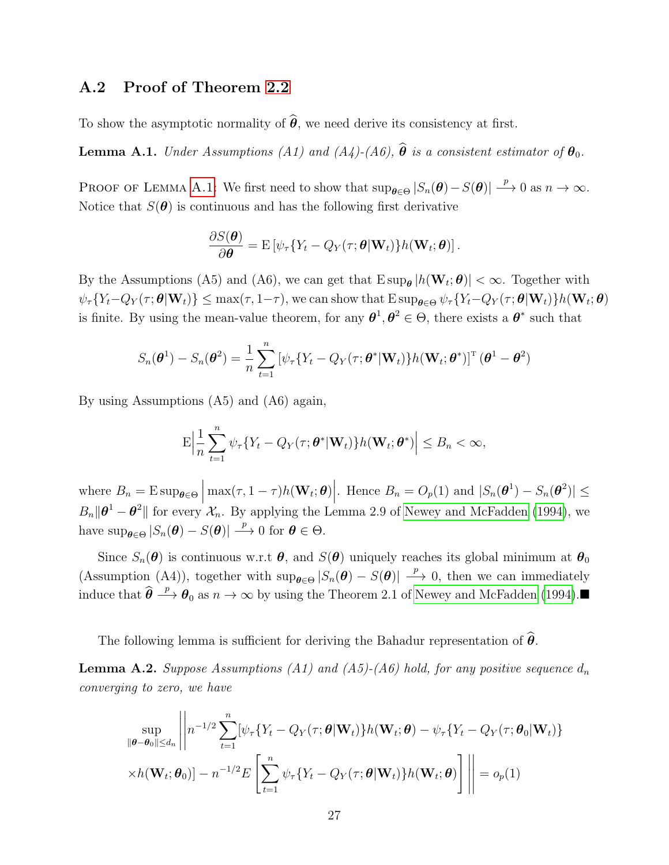## A.2 Proof of Theorem [2.2](#page-10-0)

To show the asymptotic normality of  $\hat{\theta}$ , we need derive its consistency at first.

<span id="page-27-0"></span>**Lemma A.1.** Under Assumptions (A1) and (A4)-(A6),  $\hat{\theta}$  is a consistent estimator of  $\theta_0$ .

PROOF OF LEMMA [A.1:](#page-27-0) We first need to show that  $\sup_{\theta \in \Theta} |S_n(\theta) - S(\theta)| \stackrel{p}{\longrightarrow} 0$  as  $n \to \infty$ . Notice that  $S(\theta)$  is continuous and has the following first derivative

$$
\frac{\partial S(\boldsymbol{\theta})}{\partial \boldsymbol{\theta}} = \mathrm{E}\left[\psi_{\tau}\{Y_t - Q_Y(\tau;\boldsymbol{\theta}|\mathbf{W}_t)\}h(\mathbf{W}_t;\boldsymbol{\theta})\right].
$$

By the Assumptions (A5) and (A6), we can get that  $E \sup_{\theta} |h(\mathbf{W}_t; \theta)| < \infty$ . Together with  $\psi_{\tau}\{Y_t-Q_Y(\tau;\boldsymbol{\theta}|\mathbf{W}_t)\}\leq \max(\tau,1-\tau),$  we can show that  $\text{E}\sup_{\boldsymbol{\theta}\in\Theta}\psi_{\tau}\{Y_t-Q_Y(\tau;\boldsymbol{\theta}|\mathbf{W}_t)\}h(\mathbf{W}_t;\boldsymbol{\theta})$ is finite. By using the mean-value theorem, for any  $\theta^1, \theta^2 \in \Theta$ , there exists a  $\theta^*$  such that

$$
S_n(\boldsymbol{\theta}^1) - S_n(\boldsymbol{\theta}^2) = \frac{1}{n} \sum_{t=1}^n \left[ \psi_\tau \{ Y_t - Q_Y(\tau; \boldsymbol{\theta}^* | \mathbf{W}_t) \} h(\mathbf{W}_t; \boldsymbol{\theta}^*) \right]^{\mathrm{T}} (\boldsymbol{\theta}^1 - \boldsymbol{\theta}^2)
$$

By using Assumptions (A5) and (A6) again,

$$
\mathrm{E}\Big|\frac{1}{n}\sum_{t=1}^n\psi_\tau\{Y_t-Q_Y(\tau;\boldsymbol{\theta}^*|\mathbf{W}_t)\}h(\mathbf{W}_t;\boldsymbol{\theta}^*)\Big|\leq B_n<\infty,
$$

where  $B_n = \mathrm{E} \sup_{\theta \in \Theta} \left| \max(\tau, 1 - \tau) h(\mathbf{W}_t; \theta) \right|$ . Hence  $B_n = O_p(1)$  and  $|S_n(\theta^1) - S_n(\theta^2)| \le$  $B_n \|\theta^1 - \theta^2\|$  for every  $\mathcal{X}_n$ . By applying the Lemma 2.9 of [Newey and McFadden \(1994\)](#page-38-13), we have  $\sup_{\theta \in \Theta} |S_n(\theta) - S(\theta)| \stackrel{p}{\longrightarrow} 0$  for  $\theta \in \Theta$ .

Since  $S_n(\theta)$  is continuous w.r.t  $\theta$ , and  $S(\theta)$  uniquely reaches its global minimum at  $\theta_0$ (Assumption (A4)), together with  $\sup_{\theta \in \Theta} |S_n(\theta) - S(\theta)| \stackrel{p}{\longrightarrow} 0$ , then we can immediately induce that  $\hat{\theta} \stackrel{p}{\longrightarrow} \theta_0$  as  $n \to \infty$  by using the Theorem 2.1 of [Newey and McFadden \(1994\)](#page-38-13).

The following lemma is sufficient for deriving the Bahadur representation of  $\theta$ .

<span id="page-27-1"></span>**Lemma A.2.** Suppose Assumptions (A1) and (A5)-(A6) hold, for any positive sequence  $d_n$ converging to zero, we have

$$
\sup_{\|\boldsymbol{\theta}-\boldsymbol{\theta}_0\| \le d_n} \left\| n^{-1/2} \sum_{t=1}^n [\psi_\tau \{Y_t - Q_Y(\tau; \boldsymbol{\theta} | \mathbf{W}_t) \} h(\mathbf{W}_t; \boldsymbol{\theta}) - \psi_\tau \{Y_t - Q_Y(\tau; \boldsymbol{\theta}_0 | \mathbf{W}_t) \} \times h(\mathbf{W}_t; \boldsymbol{\theta}_0)] - n^{-1/2} E\left[ \sum_{t=1}^n \psi_\tau \{Y_t - Q_Y(\tau; \boldsymbol{\theta} | \mathbf{W}_t) \} h(\mathbf{W}_t; \boldsymbol{\theta}) \right] \right\| = o_p(1)
$$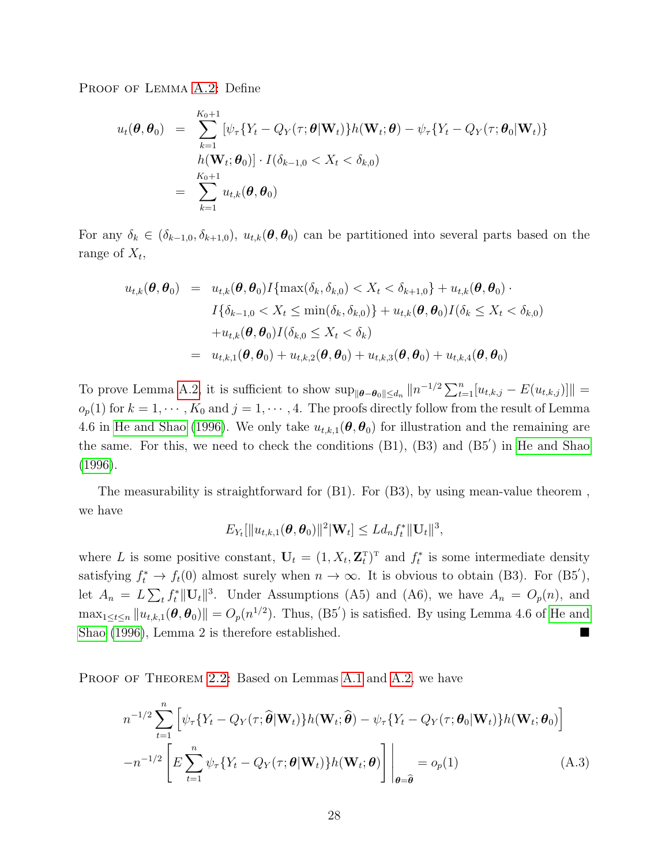PROOF OF LEMMA [A.2:](#page-27-1) Define

$$
u_t(\boldsymbol{\theta}, \boldsymbol{\theta}_0) = \sum_{k=1}^{K_0+1} \left[ \psi_\tau \{ Y_t - Q_Y(\tau; \boldsymbol{\theta} | \mathbf{W}_t) \} h(\mathbf{W}_t; \boldsymbol{\theta}) - \psi_\tau \{ Y_t - Q_Y(\tau; \boldsymbol{\theta}_0 | \mathbf{W}_t) \} \right]
$$
  
\n
$$
= \sum_{k=1}^{K_0+1} u_{t,k}(\boldsymbol{\theta}, \boldsymbol{\theta}_0)
$$

For any  $\delta_k \in (\delta_{k-1,0}, \delta_{k+1,0}), u_{t,k}(\theta, \theta_0)$  can be partitioned into several parts based on the range of  $X_t$ ,

$$
u_{t,k}(\boldsymbol{\theta}, \boldsymbol{\theta}_0) = u_{t,k}(\boldsymbol{\theta}, \boldsymbol{\theta}_0) I\{\max(\delta_k, \delta_{k,0}) < X_t < \delta_{k+1,0}\} + u_{t,k}(\boldsymbol{\theta}, \boldsymbol{\theta}_0) \cdot I\{\delta_{k-1,0} < X_t < \min(\delta_k, \delta_{k,0})\} + u_{t,k}(\boldsymbol{\theta}, \boldsymbol{\theta}_0) I(\delta_k \leq X_t < \delta_{k,0})
$$
\n
$$
+ u_{t,k}(\boldsymbol{\theta}, \boldsymbol{\theta}_0) I(\delta_{k,0} \leq X_t < \delta_k)
$$
\n
$$
= u_{t,k,1}(\boldsymbol{\theta}, \boldsymbol{\theta}_0) + u_{t,k,2}(\boldsymbol{\theta}, \boldsymbol{\theta}_0) + u_{t,k,3}(\boldsymbol{\theta}, \boldsymbol{\theta}_0) + u_{t,k,4}(\boldsymbol{\theta}, \boldsymbol{\theta}_0)
$$

To prove Lemma [A.2,](#page-27-1) it is sufficient to show  $\sup_{\|\boldsymbol{\theta}-\boldsymbol{\theta}_0\|\leq d_n} \|n^{-1/2} \sum_{t=1}^n [u_{t,k,j} - E(u_{t,k,j})]\|$  =  $o_p(1)$  for  $k = 1, \dots, K_0$  and  $j = 1, \dots, 4$ . The proofs directly follow from the result of Lemma 4.6 in [He and Shao \(1996\)](#page-37-14). We only take  $u_{t,k,1}(\theta, \theta_0)$  for illustration and the remaining are the same. For this, we need to check the conditions  $(B1)$ ,  $(B3)$  and  $(B5')$  in [He and Shao](#page-37-14) [\(1996\)](#page-37-14).

The measurability is straightforward for (B1). For (B3), by using mean-value theorem , we have

$$
E_{Y_t}[\Vert u_{t,k,1}(\boldsymbol{\theta},\boldsymbol{\theta}_0)\Vert^2 \vert \mathbf{W}_t] \leq L d_n f_t^* \Vert \mathbf{U}_t \Vert^3,
$$

where L is some positive constant,  $U_t = (1, X_t, \mathbf{Z}_t^{\mathrm{T}})^{\mathrm{T}}$  and  $f_t^*$  is some intermediate density satisfying  $f_t^* \to f_t(0)$  almost surely when  $n \to \infty$ . It is obvious to obtain (B3). For (B5'), let  $A_n = L \sum_t f_t^* ||\mathbf{U}_t||^3$ . Under Assumptions (A5) and (A6), we have  $A_n = O_p(n)$ , and  $\max_{1 \leq t \leq n} ||u_{t,k,1}(\theta, \theta_0)|| = O_p(n^{1/2})$ . Thus,  $(B5')$  is satisfied. By using Lemma 4.6 of [He and](#page-37-14) [Shao \(1996\)](#page-37-14), Lemma 2 is therefore established.

PROOF OF THEOREM [2.2:](#page-10-0) Based on Lemmas [A.1](#page-27-0) and [A.2,](#page-27-1) we have

$$
n^{-1/2} \sum_{t=1}^{n} \left[ \psi_{\tau} \{ Y_t - Q_Y(\tau; \widehat{\boldsymbol{\theta}} | \mathbf{W}_t) \} h(\mathbf{W}_t; \widehat{\boldsymbol{\theta}}) - \psi_{\tau} \{ Y_t - Q_Y(\tau; \boldsymbol{\theta}_0 | \mathbf{W}_t) \} h(\mathbf{W}_t; \boldsymbol{\theta}_0) \right]
$$
  

$$
-n^{-1/2} \left[ E \sum_{t=1}^{n} \psi_{\tau} \{ Y_t - Q_Y(\tau; \boldsymbol{\theta} | \mathbf{W}_t) \} h(\mathbf{W}_t; \boldsymbol{\theta}) \right] \Big|_{\boldsymbol{\theta} = \widehat{\boldsymbol{\theta}}} = o_p(1) \tag{A.3}
$$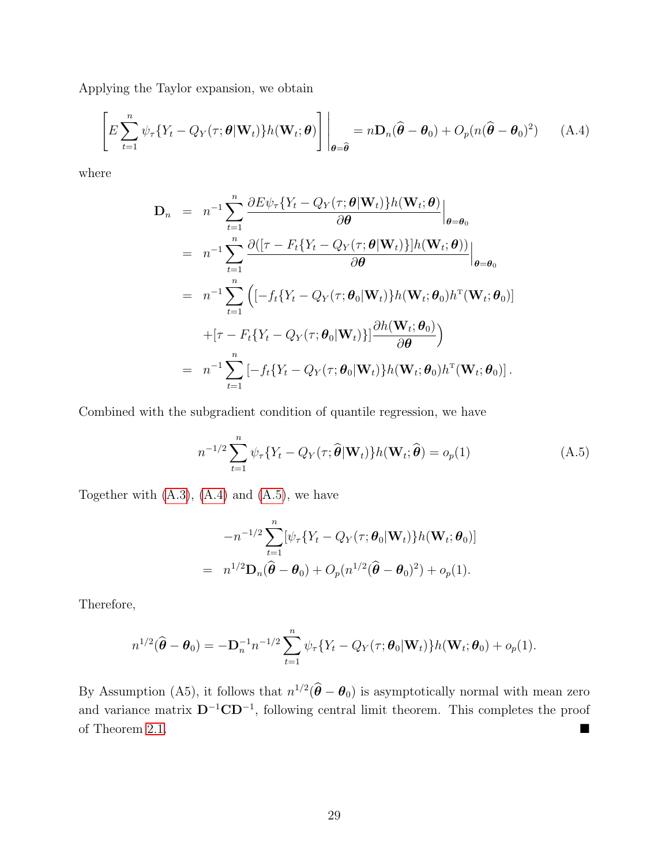Applying the Taylor expansion, we obtain

$$
\left[ E \sum_{t=1}^{n} \psi_{\tau} \{ Y_t - Q_Y(\tau; \boldsymbol{\theta} | \mathbf{W}_t) \} h(\mathbf{W}_t; \boldsymbol{\theta}) \right] \bigg|_{\boldsymbol{\theta} = \widehat{\boldsymbol{\theta}}} = n \mathbf{D}_n(\widehat{\boldsymbol{\theta}} - \boldsymbol{\theta}_0) + O_p(n(\widehat{\boldsymbol{\theta}} - \boldsymbol{\theta}_0)^2)
$$
 (A.4)

where

<span id="page-29-0"></span>
$$
\mathbf{D}_{n} = n^{-1} \sum_{t=1}^{n} \frac{\partial E \psi_{\tau} \{ Y_{t} - Q_{Y}(\tau; \boldsymbol{\theta} | \mathbf{W}_{t}) \} h(\mathbf{W}_{t}; \boldsymbol{\theta})}{\partial \boldsymbol{\theta}} \Big|_{\boldsymbol{\theta} = \boldsymbol{\theta}_{0}} \n= n^{-1} \sum_{t=1}^{n} \frac{\partial([\tau - F_{t} \{ Y_{t} - Q_{Y}(\tau; \boldsymbol{\theta} | \mathbf{W}_{t}) \}] h(\mathbf{W}_{t}; \boldsymbol{\theta}))}{\partial \boldsymbol{\theta}} \Big|_{\boldsymbol{\theta} = \boldsymbol{\theta}_{0}} \n= n^{-1} \sum_{t=1}^{n} \Big( [-f_{t} \{ Y_{t} - Q_{Y}(\tau; \boldsymbol{\theta}_{0} | \mathbf{W}_{t}) \} h(\mathbf{W}_{t}; \boldsymbol{\theta}_{0}) h^{\mathrm{T}}(\mathbf{W}_{t}; \boldsymbol{\theta}_{0}) ] \n+ [\tau - F_{t} \{ Y_{t} - Q_{Y}(\tau; \boldsymbol{\theta}_{0} | \mathbf{W}_{t}) \}] \frac{\partial h(\mathbf{W}_{t}; \boldsymbol{\theta}_{0})}{\partial \boldsymbol{\theta}} \Big) \n= n^{-1} \sum_{t=1}^{n} [-f_{t} \{ Y_{t} - Q_{Y}(\tau; \boldsymbol{\theta}_{0} | \mathbf{W}_{t}) \} h(\mathbf{W}_{t}; \boldsymbol{\theta}_{0}) h^{\mathrm{T}}(\mathbf{W}_{t}; \boldsymbol{\theta}_{0}) ].
$$

Combined with the subgradient condition of quantile regression, we have

<span id="page-29-1"></span>
$$
n^{-1/2} \sum_{t=1}^{n} \psi_{\tau} \{ Y_t - Q_Y(\tau; \widehat{\boldsymbol{\theta}} | \mathbf{W}_t) \} h(\mathbf{W}_t; \widehat{\boldsymbol{\theta}}) = o_p(1)
$$
 (A.5)

Together with  $(A.3)$ ,  $(A.4)$  and  $(A.5)$ , we have

$$
-n^{-1/2}\sum_{t=1}^n[\psi_\tau\{Y_t-Q_Y(\tau;\boldsymbol{\theta}_0|\mathbf{W}_t)\}h(\mathbf{W}_t;\boldsymbol{\theta}_0)]
$$
  
= 
$$
n^{1/2}\mathbf{D}_n(\widehat{\boldsymbol{\theta}}-\boldsymbol{\theta}_0)+O_p(n^{1/2}(\widehat{\boldsymbol{\theta}}-\boldsymbol{\theta}_0)^2)+o_p(1).
$$

Therefore,

$$
n^{1/2}(\widehat{\boldsymbol{\theta}}-\boldsymbol{\theta}_0)=-\mathbf{D}_n^{-1}n^{-1/2}\sum_{t=1}^n\psi_\tau\{Y_t-Q_Y(\tau;\boldsymbol{\theta}_0|\mathbf{W}_t)\}h(\mathbf{W}_t;\boldsymbol{\theta}_0)+o_p(1).
$$

By Assumption (A5), it follows that  $n^{1/2}(\hat{\theta} - \theta_0)$  is asymptotically normal with mean zero and variance matrix  $D^{-1}CD^{-1}$ , following central limit theorem. This completes the proof of Theorem [2.1.](#page-9-0)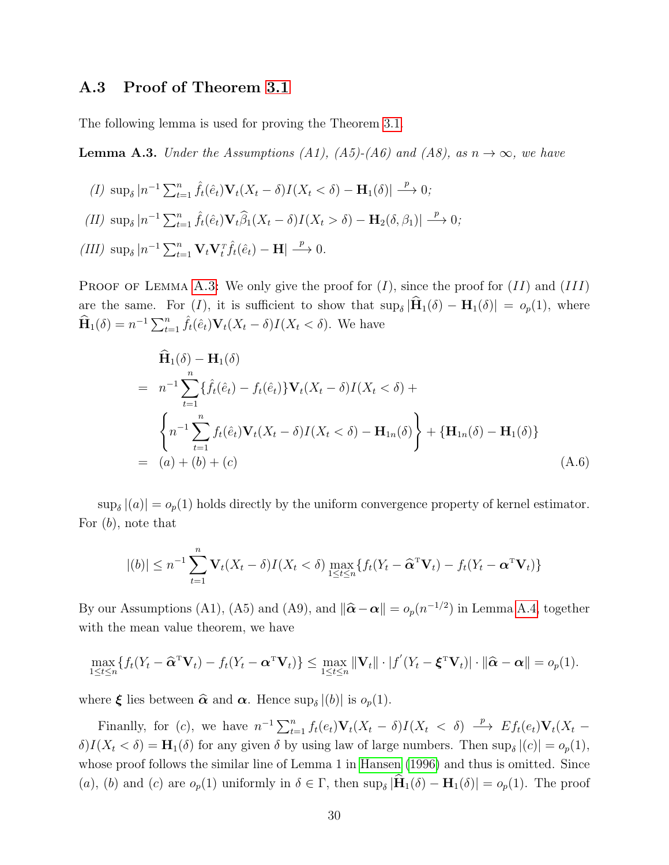#### A.3 Proof of Theorem [3.1](#page-12-0)

The following lemma is used for proving the Theorem [3.1.](#page-12-0)

<span id="page-30-0"></span>**Lemma A.3.** Under the Assumptions (A1), (A5)-(A6) and (A8), as  $n \to \infty$ , we have

$$
(I) \sup_{\delta} |n^{-1} \sum_{t=1}^{n} \hat{f}_t(\hat{e}_t) \mathbf{V}_t(X_t - \delta) I(X_t < \delta) - \mathbf{H}_1(\delta)| \xrightarrow{p} 0;
$$
  
\n
$$
(II) \sup_{\delta} |n^{-1} \sum_{t=1}^{n} \hat{f}_t(\hat{e}_t) \mathbf{V}_t \hat{\beta}_1(X_t - \delta) I(X_t > \delta) - \mathbf{H}_2(\delta, \beta_1)| \xrightarrow{p} 0;
$$
  
\n
$$
(III) \sup_{\delta} |n^{-1} \sum_{t=1}^{n} \mathbf{V}_t \mathbf{V}_t^T \hat{f}_t(\hat{e}_t) - \mathbf{H}| \xrightarrow{p} 0.
$$

PROOF OF LEMMA [A.3:](#page-30-0) We only give the proof for  $(I)$ , since the proof for  $(II)$  and  $(III)$ are the same. For  $(I)$ , it is sufficient to show that  $\sup_{\delta} |\mathbf{H}_1(\delta) - \mathbf{H}_1(\delta)| = o_p(1)$ , where  $\widehat{\mathbf{H}}_1(\delta) = n^{-1} \sum_{t=1}^n \widehat{f}_t(\widehat{e}_t) \mathbf{V}_t(X_t - \delta) I(X_t < \delta)$ . We have

$$
\widehat{\mathbf{H}}_{1}(\delta) - \mathbf{H}_{1}(\delta)
$$
\n
$$
= n^{-1} \sum_{t=1}^{n} \{ \widehat{f}_{t}(\hat{e}_{t}) - f_{t}(\hat{e}_{t}) \} \mathbf{V}_{t}(X_{t} - \delta) I(X_{t} < \delta) + \n\left\{ n^{-1} \sum_{t=1}^{n} f_{t}(\hat{e}_{t}) \mathbf{V}_{t}(X_{t} - \delta) I(X_{t} < \delta) - \mathbf{H}_{1n}(\delta) \right\} + \{ \mathbf{H}_{1n}(\delta) - \mathbf{H}_{1}(\delta) \}
$$
\n
$$
= (a) + (b) + (c) \tag{A.6}
$$

 $\sup_{\delta} |(a)| = o_p(1)$  holds directly by the uniform convergence property of kernel estimator. For  $(b)$ , note that

$$
|(b)| \leq n^{-1} \sum_{t=1}^{n} \mathbf{V}_t(X_t - \delta) I(X_t < \delta) \max_{1 \leq t \leq n} \{ f_t(Y_t - \widehat{\mathbf{\alpha}}^T \mathbf{V}_t) - f_t(Y_t - \mathbf{\alpha}^T \mathbf{V}_t) \}
$$

By our Assumptions (A1), (A5) and (A9), and  $\|\hat{\boldsymbol{\alpha}} - \boldsymbol{\alpha}\| = o_p(n^{-1/2})$  in Lemma [A.4,](#page-31-0) together with the mean value theorem, we have

$$
\max_{1 \leq t \leq n} \{ f_t(Y_t - \widehat{\mathbf{\alpha}}^{\mathrm{T}} \mathbf{V}_t) - f_t(Y_t - \mathbf{\alpha}^{\mathrm{T}} \mathbf{V}_t) \} \leq \max_{1 \leq t \leq n} \|\mathbf{V}_t\| \cdot |f'(Y_t - \boldsymbol{\xi}^{\mathrm{T}} \mathbf{V}_t)| \cdot \|\widehat{\mathbf{\alpha}} - \mathbf{\alpha}\| = o_p(1).
$$

where  $\xi$  lies between  $\hat{\alpha}$  and  $\alpha$ . Hence  $\sup_{\delta} |(b)|$  is  $o_p(1)$ .

Finanlly, for (c), we have  $n^{-1}\sum_{t=1}^n f_t(e_t)\mathbf{V}_t(X_t-\delta)I(X_t < \delta) \stackrel{p}{\longrightarrow} Ef_t(e_t)\mathbf{V}_t(X_t-\delta)I(X_t-\delta)I(X_t-\delta)$  $\delta$ ) $I(X_t < \delta) = \mathbf{H}_1(\delta)$  for any given  $\delta$  by using law of large numbers. Then sup<sub> $\delta$ </sub> $|(c)| = o_p(1)$ , whose proof follows the similar line of Lemma 1 in [Hansen \(1996\)](#page-37-15) and thus is omitted. Since (a), (b) and (c) are  $o_p(1)$  uniformly in  $\delta \in \Gamma$ , then  $\sup_{\delta} |\mathbf{H}_1(\delta) - \mathbf{H}_1(\delta)| = o_p(1)$ . The proof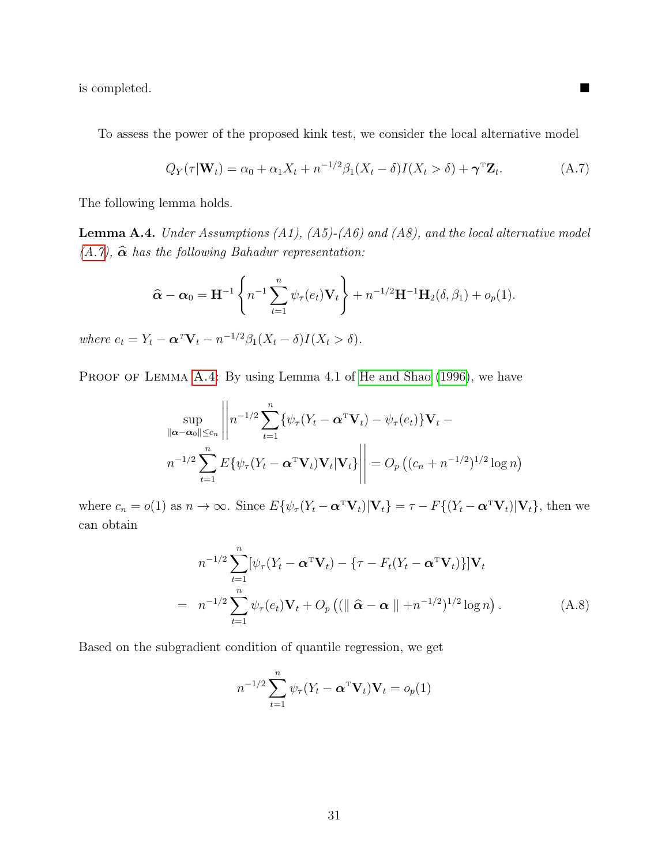is completed.

To assess the power of the proposed kink test, we consider the local alternative model

<span id="page-31-1"></span>
$$
Q_Y(\tau|\mathbf{W}_t) = \alpha_0 + \alpha_1 X_t + n^{-1/2} \beta_1 (X_t - \delta) I(X_t > \delta) + \gamma^{\mathrm{T}} \mathbf{Z}_t.
$$
 (A.7)

The following lemma holds.

<span id="page-31-0"></span>**Lemma A.4.** Under Assumptions  $(A1)$ ,  $(A5)-(A6)$  and  $(A8)$ , and the local alternative model  $(A.7)$ ,  $\hat{\alpha}$  has the following Bahadur representation:

$$
\widehat{\mathbf{\alpha}} - \mathbf{\alpha}_0 = \mathbf{H}^{-1} \left\{ n^{-1} \sum_{t=1}^n \psi_\tau(e_t) \mathbf{V}_t \right\} + n^{-1/2} \mathbf{H}^{-1} \mathbf{H}_2(\delta, \beta_1) + o_p(1).
$$

where  $e_t = Y_t - \alpha^T \mathbf{V}_t - n^{-1/2} \beta_1 (X_t - \delta) I(X_t > \delta).$ 

PROOF OF LEMMA [A.4:](#page-31-0) By using Lemma 4.1 of [He and Shao \(1996\)](#page-37-14), we have

$$
\sup_{\|\boldsymbol{\alpha}-\boldsymbol{\alpha}_0\| \leq c_n} \left\| n^{-1/2} \sum_{t=1}^n \{ \psi_\tau (Y_t - \boldsymbol{\alpha}^T \mathbf{V}_t) - \psi_\tau(e_t) \} \mathbf{V}_t - n^{-1/2} \sum_{t=1}^n E \{ \psi_\tau (Y_t - \boldsymbol{\alpha}^T \mathbf{V}_t) \mathbf{V}_t | \mathbf{V}_t \} \right\| = O_p \left( (c_n + n^{-1/2})^{1/2} \log n \right)
$$

where  $c_n = o(1)$  as  $n \to \infty$ . Since  $E{\psi_\tau(Y_t - \alpha^T \mathbf{V}_t)|\mathbf{V}_t} = \tau - F{(Y_t - \alpha^T \mathbf{V}_t)|\mathbf{V}_t}$ , then we can obtain

<span id="page-31-2"></span>
$$
n^{-1/2} \sum_{t=1}^{n} [\psi_{\tau}(Y_t - \boldsymbol{\alpha}^{\mathrm{T}} \mathbf{V}_t) - \{ \tau - F_t (Y_t - \boldsymbol{\alpha}^{\mathrm{T}} \mathbf{V}_t) \} ] \mathbf{V}_t
$$
  
= 
$$
n^{-1/2} \sum_{t=1}^{n} \psi_{\tau}(e_t) \mathbf{V}_t + O_p \left( (\parallel \hat{\boldsymbol{\alpha}} - \boldsymbol{\alpha} \parallel + n^{-1/2})^{1/2} \log n \right).
$$
 (A.8)

Based on the subgradient condition of quantile regression, we get

$$
n^{-1/2} \sum_{t=1}^{n} \psi_{\tau} (Y_t - \boldsymbol{\alpha}^{\mathrm{T}} \mathbf{V}_t) \mathbf{V}_t = o_p(1)
$$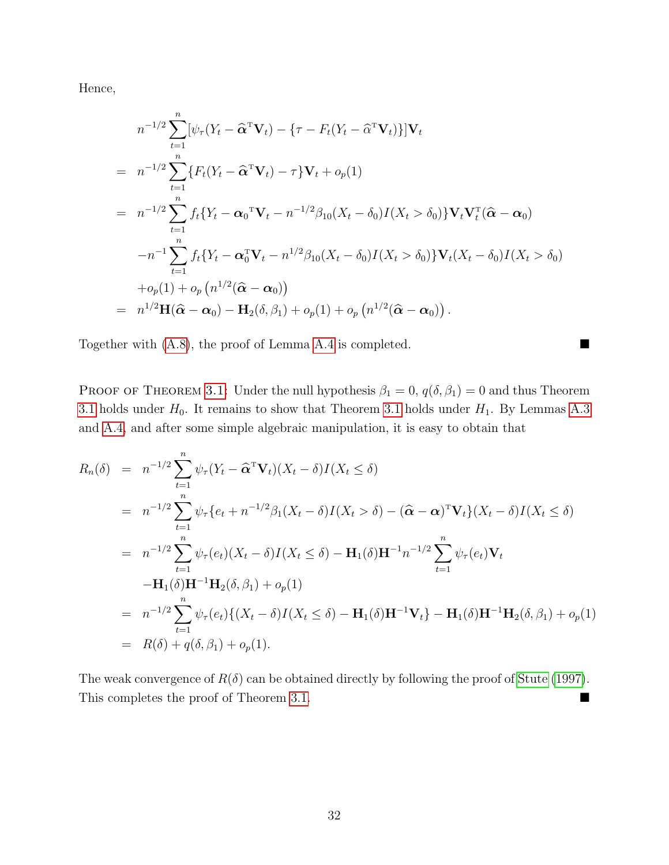Hence,

$$
n^{-1/2} \sum_{t=1}^{n} [\psi_{\tau}(Y_t - \hat{\alpha}^{\mathrm{T}} \mathbf{V}_t) - \{ \tau - F_t(Y_t - \hat{\alpha}^{\mathrm{T}} \mathbf{V}_t) \} ] \mathbf{V}_t
$$
  
\n
$$
= n^{-1/2} \sum_{t=1}^{n} \{ F_t(Y_t - \hat{\alpha}^{\mathrm{T}} \mathbf{V}_t) - \tau \} \mathbf{V}_t + o_p(1)
$$
  
\n
$$
= n^{-1/2} \sum_{t=1}^{n} f_t \{ Y_t - \alpha_0^{\mathrm{T}} \mathbf{V}_t - n^{-1/2} \beta_{10} (X_t - \delta_0) I(X_t > \delta_0) \} \mathbf{V}_t \mathbf{V}_t^{\mathrm{T}} (\hat{\alpha} - \alpha_0)
$$
  
\n
$$
-n^{-1} \sum_{t=1}^{n} f_t \{ Y_t - \alpha_0^{\mathrm{T}} \mathbf{V}_t - n^{1/2} \beta_{10} (X_t - \delta_0) I(X_t > \delta_0) \} \mathbf{V}_t (X_t - \delta_0) I(X_t > \delta_0)
$$
  
\n
$$
+ o_p(1) + o_p (n^{1/2} (\hat{\alpha} - \alpha_0))
$$
  
\n
$$
= n^{1/2} \mathbf{H} (\hat{\alpha} - \alpha_0) - \mathbf{H}_2(\delta, \beta_1) + o_p(1) + o_p (n^{1/2} (\hat{\alpha} - \alpha_0)).
$$

Together with [\(A.8\)](#page-31-2), the proof of Lemma [A.4](#page-31-0) is completed.

PROOF OF THEOREM [3.1:](#page-12-0) Under the null hypothesis  $\beta_1 = 0$ ,  $q(\delta, \beta_1) = 0$  and thus Theorem [3.1](#page-12-0) holds under  $H_0$ . It remains to show that Theorem [3.1](#page-12-0) holds under  $H_1$ . By Lemmas [A.3](#page-30-0) and [A.4,](#page-31-0) and after some simple algebraic manipulation, it is easy to obtain that

$$
R_n(\delta) = n^{-1/2} \sum_{t=1}^n \psi_\tau (Y_t - \widehat{\alpha}^T \mathbf{V}_t)(X_t - \delta)I(X_t \le \delta)
$$
  
\n
$$
= n^{-1/2} \sum_{t=1}^n \psi_\tau \{e_t + n^{-1/2} \beta_1 (X_t - \delta)I(X_t > \delta) - (\widehat{\alpha} - \alpha)^T \mathbf{V}_t\}(X_t - \delta)I(X_t \le \delta)
$$
  
\n
$$
= n^{-1/2} \sum_{t=1}^n \psi_\tau(e_t)(X_t - \delta)I(X_t \le \delta) - \mathbf{H}_1(\delta) \mathbf{H}^{-1} n^{-1/2} \sum_{t=1}^n \psi_\tau(e_t) \mathbf{V}_t
$$
  
\n
$$
- \mathbf{H}_1(\delta) \mathbf{H}^{-1} \mathbf{H}_2(\delta, \beta_1) + o_p(1)
$$
  
\n
$$
= n^{-1/2} \sum_{t=1}^n \psi_\tau(e_t) \{ (X_t - \delta)I(X_t \le \delta) - \mathbf{H}_1(\delta) \mathbf{H}^{-1} \mathbf{V}_t \} - \mathbf{H}_1(\delta) \mathbf{H}^{-1} \mathbf{H}_2(\delta, \beta_1) + o_p(1)
$$
  
\n
$$
= R(\delta) + q(\delta, \beta_1) + o_p(1).
$$

The weak convergence of  $R(\delta)$  can be obtained directly by following the proof of [Stute \(1997\)](#page-38-14). This completes the proof of Theorem [3.1.](#page-12-0)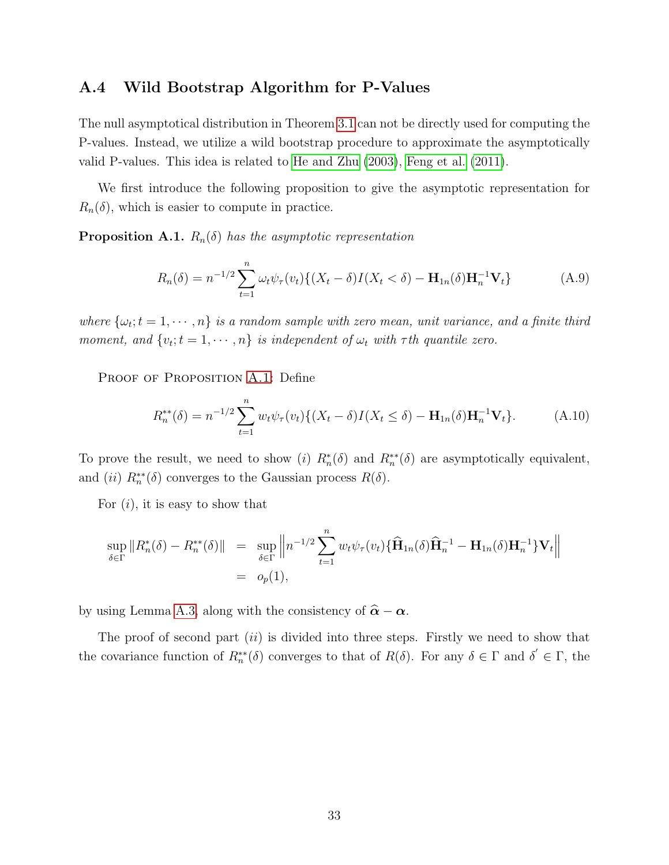#### A.4 Wild Bootstrap Algorithm for P-Values

The null asymptotical distribution in Theorem [3.1](#page-12-0) can not be directly used for computing the P-values. Instead, we utilize a wild bootstrap procedure to approximate the asymptotically valid P-values. This idea is related to [He and Zhu \(2003\)](#page-37-10), [Feng et al. \(2011\)](#page-37-6).

We first introduce the following proposition to give the asymptotic representation for  $R_n(\delta)$ , which is easier to compute in practice.

<span id="page-33-0"></span>**Proposition A.1.**  $R_n(\delta)$  has the asymptotic representation

$$
R_n(\delta) = n^{-1/2} \sum_{t=1}^n \omega_t \psi_\tau(v_t) \{ (X_t - \delta) I(X_t < \delta) - \mathbf{H}_{1n}(\delta) \mathbf{H}_n^{-1} \mathbf{V}_t \} \tag{A.9}
$$

where  $\{\omega_t; t = 1, \dots, n\}$  is a random sample with zero mean, unit variance, and a finite third moment, and  $\{v_t; t = 1, \dots, n\}$  is independent of  $\omega_t$  with  $\tau$ th quantile zero.

PROOF OF PROPOSITION [A.1:](#page-33-0) Define

$$
R_n^{**}(\delta) = n^{-1/2} \sum_{t=1}^n w_t \psi_\tau(v_t) \{ (X_t - \delta) I(X_t \le \delta) - \mathbf{H}_{1n}(\delta) \mathbf{H}_n^{-1} \mathbf{V}_t \}.
$$
 (A.10)

To prove the result, we need to show (i)  $R_n^*(\delta)$  and  $R_n^{**}(\delta)$  are asymptotically equivalent, and (ii)  $R_n^{**}(\delta)$  converges to the Gaussian process  $R(\delta)$ .

For  $(i)$ , it is easy to show that

$$
\sup_{\delta \in \Gamma} ||R_n^*(\delta) - R_n^{**}(\delta)|| = \sup_{\delta \in \Gamma} \left\| n^{-1/2} \sum_{t=1}^n w_t \psi_\tau(v_t) \{ \widehat{\mathbf{H}}_{1n}(\delta) \widehat{\mathbf{H}}_n^{-1} - \mathbf{H}_{1n}(\delta) \mathbf{H}_n^{-1} \} \mathbf{V}_t \right\|
$$
  
=  $o_p(1)$ ,

by using Lemma [A.3,](#page-30-0) along with the consistency of  $\hat{\alpha} - \alpha$ .

The proof of second part  $(ii)$  is divided into three steps. Firstly we need to show that the covariance function of  $R_n^{**}(\delta)$  converges to that of  $R(\delta)$ . For any  $\delta \in \Gamma$  and  $\delta' \in \Gamma$ , the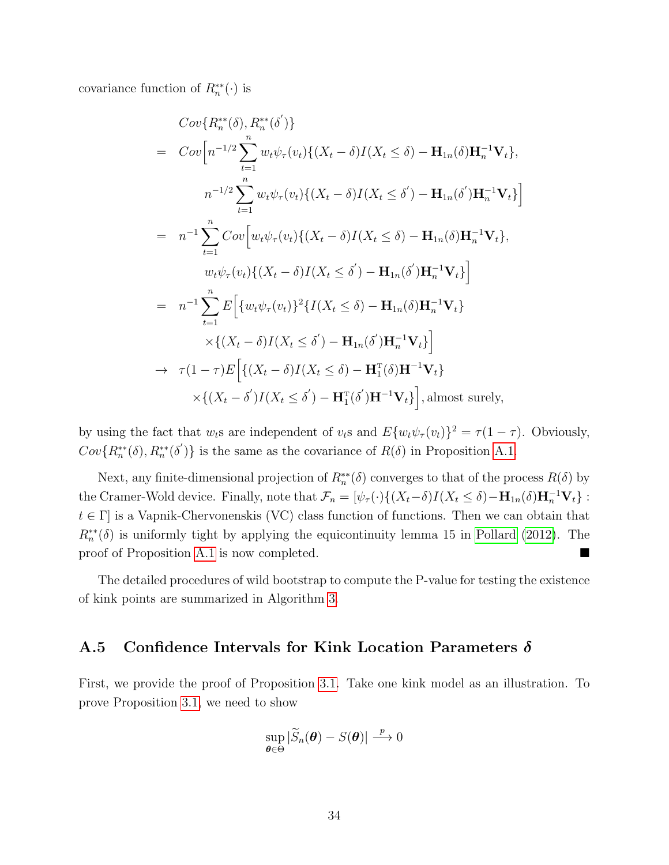covariance function of  $R_n^{**}(\cdot)$  is

$$
Cov\{R_{n}^{**}(\delta), R_{n}^{**}(\delta')\}
$$
  
=  $Cov\Big[n^{-1/2}\sum_{t=1}^{n} w_{t}\psi_{\tau}(v_{t})\{(X_{t}-\delta)I(X_{t}\leq \delta) - \mathbf{H}_{1n}(\delta)\mathbf{H}_{n}^{-1}\mathbf{V}_{t}\},$   

$$
n^{-1/2}\sum_{t=1}^{n} w_{t}\psi_{\tau}(v_{t})\{(X_{t}-\delta)I(X_{t}\leq \delta') - \mathbf{H}_{1n}(\delta')\mathbf{H}_{n}^{-1}\mathbf{V}_{t}\}\Big]
$$
  
=  $n^{-1}\sum_{t=1}^{n} Cov\Big[w_{t}\psi_{\tau}(v_{t})\{(X_{t}-\delta)I(X_{t}\leq \delta) - \mathbf{H}_{1n}(\delta)\mathbf{H}_{n}^{-1}\mathbf{V}_{t}\},$   

$$
w_{t}\psi_{\tau}(v_{t})\{(X_{t}-\delta)I(X_{t}\leq \delta') - \mathbf{H}_{1n}(\delta')\mathbf{H}_{n}^{-1}\mathbf{V}_{t}\}\Big]
$$
  
=  $n^{-1}\sum_{t=1}^{n} E\Big[\{w_{t}\psi_{\tau}(v_{t})\}^{2}\{I(X_{t}\leq \delta) - \mathbf{H}_{1n}(\delta)\mathbf{H}_{n}^{-1}\mathbf{V}_{t}\}\times\{(X_{t}-\delta)I(X_{t}\leq \delta') - \mathbf{H}_{1n}(\delta')\mathbf{H}_{n}^{-1}\mathbf{V}_{t}\}\Big]$   

$$
\rightarrow \tau(1-\tau)E\Big[\{(X_{t}-\delta)I(X_{t}\leq \delta) - \mathbf{H}_{1n}^{T}(\delta)\mathbf{H}^{-1}\mathbf{V}_{t}\}\times\{(X_{t}-\delta')I(X_{t}\leq \delta') - \mathbf{H}_{1}^{T}(\delta')\mathbf{H}^{-1}\mathbf{V}_{t}\}\Big],
$$
almost surely,

by using the fact that  $w_t$ s are independent of  $v_t$ s and  $E\{w_t\psi_\tau(v_t)\}^2 = \tau(1-\tau)$ . Obviously,  $Cov\{R_n^{**}(\delta), R_n^{**}(\delta')\}$  is the same as the covariance of  $R(\delta)$  in Proposition [A.1.](#page-33-0)

Next, any finite-dimensional projection of  $R_n^{**}(\delta)$  converges to that of the process  $R(\delta)$  by the Cramer-Wold device. Finally, note that  $\mathcal{F}_n = [\psi_\tau(\cdot) \{ (X_t - \delta) I(X_t \le \delta) - \mathbf{H}_{1n}(\delta) \mathbf{H}_n^{-1} \mathbf{V}_t \}$ :  $t \in \Gamma$  is a Vapnik-Chervonenskis (VC) class function of functions. Then we can obtain that  $R_n^{**}(\delta)$  is uniformly tight by applying the equicontinuity lemma 15 in [Pollard \(2012\)](#page-38-15). The proof of Proposition [A.1](#page-33-0) is now completed.

The detailed procedures of wild bootstrap to compute the P-value for testing the existence of kink points are summarized in Algorithm [3.](#page-35-0)

#### A.5 Confidence Intervals for Kink Location Parameters  $\delta$

First, we provide the proof of Proposition [3.1.](#page-13-0) Take one kink model as an illustration. To prove Proposition [3.1,](#page-13-0) we need to show

$$
\sup_{\boldsymbol{\theta}\in\Theta}|\widetilde{S}_n(\boldsymbol{\theta})-S(\boldsymbol{\theta})|\xrightarrow{p}0
$$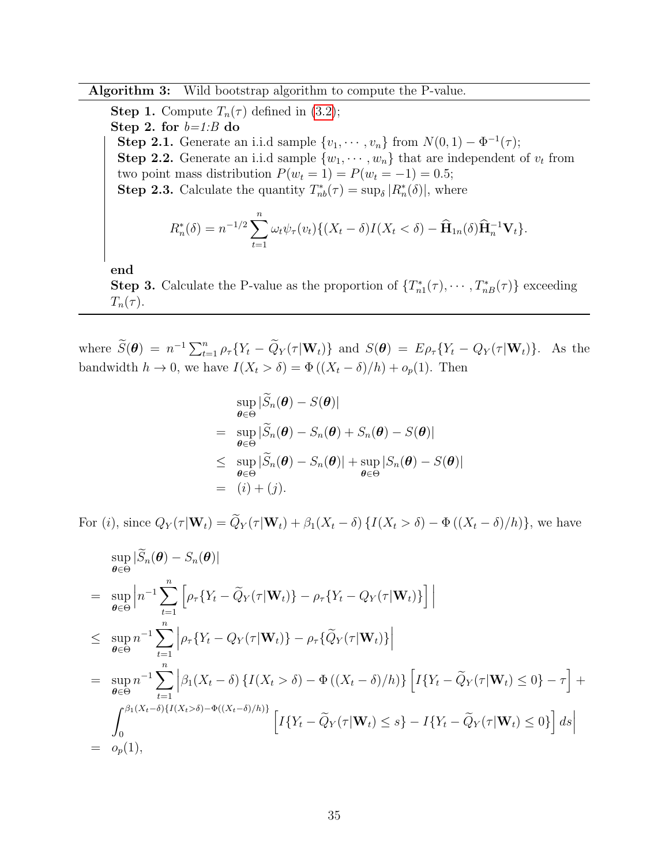Algorithm 3: Wild bootstrap algorithm to compute the P-value.

<span id="page-35-0"></span>**Step 1.** Compute  $T_n(\tau)$  defined in [\(3.2\)](#page-11-1); Step 2. for  $b=1:B$  do **Step 2.1.** Generate an i.i.d sample  $\{v_1, \dots, v_n\}$  from  $N(0, 1) - \Phi^{-1}(\tau)$ ; **Step 2.2.** Generate an i.i.d sample  $\{w_1, \dots, w_n\}$  that are independent of  $v_t$  from two point mass distribution  $P(w_t = 1) = P(w_t = -1) = 0.5;$ **Step 2.3.** Calculate the quantity  $T_{nb}^*(\tau) = \sup_{\delta} |R_n^*(\delta)|$ , where  $R_n^*(\delta) = n^{-1/2} \sum_{n=1}^n$  $\sum_{t=1} \omega_t \psi_\tau(v_t) \{ (X_t - \delta) I(X_t < \delta) - \widehat{\mathbf{H}}_{1n}(\delta) \widehat{\mathbf{H}}_n^{-1} \mathbf{V}_t \}.$ 

end

**Step 3.** Calculate the P-value as the proportion of  $\{T_{n1}^*(\tau), \dots, T_{nB}^*(\tau)\}\)$  exceeding  $T_n(\tau)$ .

where  $\widetilde{S}(\boldsymbol{\theta}) = n^{-1} \sum_{t=1}^n \rho_{\tau} \{ Y_t - \widetilde{Q}_Y(\tau | \mathbf{W}_t) \}$  and  $S(\boldsymbol{\theta}) = E \rho_{\tau} \{ Y_t - Q_Y(\tau | \mathbf{W}_t) \}$ . As the bandwidth  $h \to 0$ , we have  $I(X_t > \delta) = \Phi((X_t - \delta)/h) + o_p(1)$ . Then

$$
\sup_{\theta \in \Theta} |\tilde{S}_n(\theta) - S(\theta)|
$$
\n
$$
= \sup_{\theta \in \Theta} |\tilde{S}_n(\theta) - S_n(\theta) + S_n(\theta) - S(\theta)|
$$
\n
$$
\leq \sup_{\theta \in \Theta} |\tilde{S}_n(\theta) - S_n(\theta)| + \sup_{\theta \in \Theta} |S_n(\theta) - S(\theta)|
$$
\n
$$
= (i) + (j).
$$

For (i), since  $Q_Y(\tau | \mathbf{W}_t) = \widetilde{Q}_Y(\tau | \mathbf{W}_t) + \beta_1(X_t - \delta) \{ I(X_t > \delta) - \Phi((X_t - \delta)/h) \}$ , we have

$$
\sup_{\theta \in \Theta} |\widetilde{S}_n(\theta) - S_n(\theta)|
$$
\n
$$
= \sup_{\theta \in \Theta} \left| n^{-1} \sum_{t=1}^n \left[ \rho_\tau \{ Y_t - \widetilde{Q}_Y(\tau | \mathbf{W}_t) \} - \rho_\tau \{ Y_t - Q_Y(\tau | \mathbf{W}_t) \} \right] \right|
$$
\n
$$
\leq \sup_{\theta \in \Theta} n^{-1} \sum_{t=1}^n \left| \rho_\tau \{ Y_t - Q_Y(\tau | \mathbf{W}_t) \} - \rho_\tau \{ \widetilde{Q}_Y(\tau | \mathbf{W}_t) \} \right|
$$
\n
$$
= \sup_{\theta \in \Theta} n^{-1} \sum_{t=1}^n \left| \beta_1 (X_t - \delta) \{ I(X_t > \delta) - \Phi((X_t - \delta)/h) \} \left[ I \{ Y_t - \widetilde{Q}_Y(\tau | \mathbf{W}_t) \le 0 \} - \tau \right] + \int_0^{\beta_1 (X_t - \delta) \{ I(X_t > \delta) - \Phi((X_t - \delta)/h) \} } \left[ I \{ Y_t - \widetilde{Q}_Y(\tau | \mathbf{W}_t) \le s \} - I \{ Y_t - \widetilde{Q}_Y(\tau | \mathbf{W}_t) \le 0 \} \right] ds \right|
$$
\n
$$
= o_p(1),
$$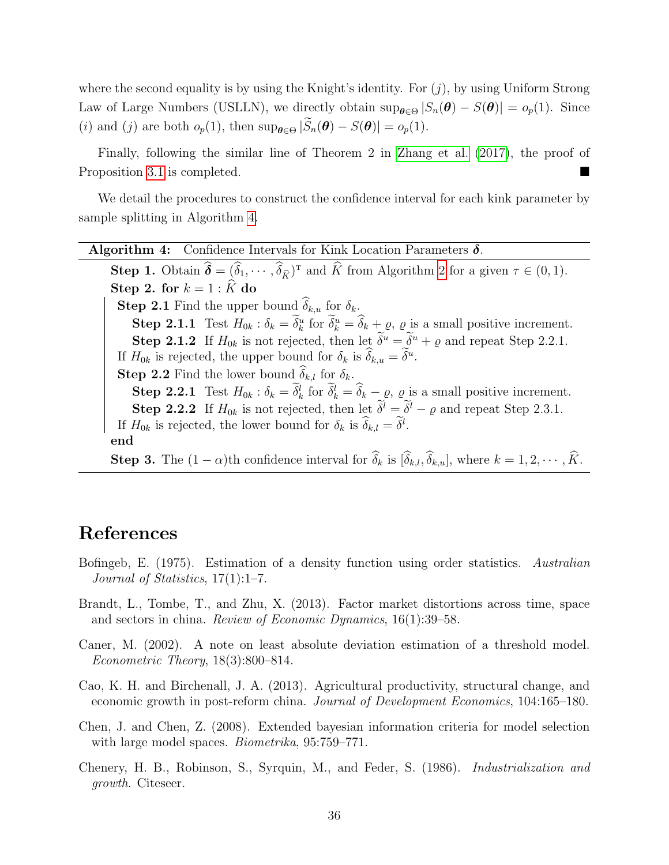where the second equality is by using the Knight's identity. For  $(j)$ , by using Uniform Strong Law of Large Numbers (USLLN), we directly obtain  $\sup_{\theta \in \Theta} |S_n(\theta) - S(\theta)| = o_p(1)$ . Since (i) and (j) are both  $o_p(1)$ , then  $\sup_{\theta \in \Theta} |\widetilde{S}_n(\theta) - S(\theta)| = o_p(1)$ .

Finally, following the similar line of Theorem 2 in [Zhang et al. \(2017\)](#page-39-2), the proof of Proposition [3.1](#page-13-0) is completed.

We detail the procedures to construct the confidence interval for each kink parameter by sample splitting in Algorithm [4.](#page-36-3)

<span id="page-36-3"></span>

| <b>Algorithm 4:</b> Confidence Intervals for Kink Location Parameters $\delta$ .                                                                                                  |
|-----------------------------------------------------------------------------------------------------------------------------------------------------------------------------------|
| <b>Step 1.</b> Obtain $\hat{\boldsymbol{\delta}} = (\hat{\delta}_1, \cdots, \hat{\delta}_{\hat{\kappa}})^T$ and $\hat{K}$ from Algorithm 2 for a given $\tau \in (0, 1)$ .        |
| Step 2. for $k = 1 : \hat{K}$ do                                                                                                                                                  |
| <b>Step 2.1</b> Find the upper bound $\delta_{k,u}$ for $\delta_k$ .                                                                                                              |
| <b>Step 2.1.1</b> Test $H_{0k}$ : $\delta_k = \tilde{\delta}_k^u$ for $\tilde{\delta}_k^u = \hat{\delta}_k + \varrho$ , $\varrho$ is a small positive increment.                  |
| <b>Step 2.1.2</b> If $H_{0k}$ is not rejected, then let $\widetilde{\delta}^u = \widetilde{\delta}^u + \rho$ and repeat Step 2.2.1.                                               |
| If $H_{0k}$ is rejected, the upper bound for $\delta_k$ is $\widehat{\delta}_{k,u} = \widetilde{\delta}^u$ .                                                                      |
| <b>Step 2.2</b> Find the lower bound $\hat{\delta}_{k,l}$ for $\delta_k$ .                                                                                                        |
| <b>Step 2.2.1</b> Test $H_{0k}$ : $\delta_k = \tilde{\delta}_k^l$ for $\tilde{\delta}_k^l = \hat{\delta}_k - \varrho$ , $\varrho$ is a small positive increment.                  |
| <b>Step 2.2.2</b> If $H_{0k}$ is not rejected, then let $\tilde{\delta}^l = \tilde{\delta}^l - \varrho$ and repeat Step 2.3.1.                                                    |
| If $H_{0k}$ is rejected, the lower bound for $\delta_k$ is $\widehat{\delta}_{k,l} = \widetilde{\delta}^l$ .                                                                      |
| end                                                                                                                                                                               |
| <b>Step 3.</b> The $(1 - \alpha)$ th confidence interval for $\widehat{\delta}_k$ is $[\widehat{\delta}_{k,l}, \widehat{\delta}_{k,u}]$ , where $k = 1, 2, \cdots, \widehat{K}$ . |

## References

- <span id="page-36-2"></span>Bofingeb, E. (1975). Estimation of a density function using order statistics. Australian Journal of Statistics, 17(1):1–7.
- <span id="page-36-4"></span>Brandt, L., Tombe, T., and Zhu, X. (2013). Factor market distortions across time, space and sectors in china. Review of Economic Dynamics, 16(1):39–58.
- <span id="page-36-0"></span>Caner, M. (2002). A note on least absolute deviation estimation of a threshold model. Econometric Theory, 18(3):800–814.
- <span id="page-36-5"></span>Cao, K. H. and Birchenall, J. A. (2013). Agricultural productivity, structural change, and economic growth in post-reform china. Journal of Development Economics, 104:165–180.
- <span id="page-36-1"></span>Chen, J. and Chen, Z. (2008). Extended bayesian information criteria for model selection with large model spaces. *Biometrika*, 95:759–771.
- <span id="page-36-6"></span>Chenery, H. B., Robinson, S., Syrquin, M., and Feder, S. (1986). Industrialization and growth. Citeseer.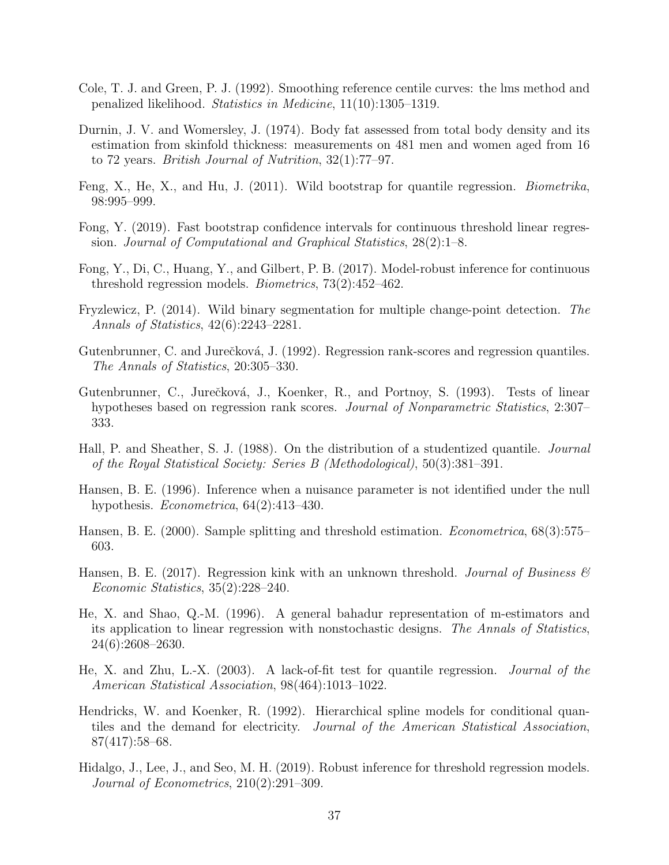- <span id="page-37-13"></span>Cole, T. J. and Green, P. J. (1992). Smoothing reference centile curves: the lms method and penalized likelihood. Statistics in Medicine, 11(10):1305–1319.
- <span id="page-37-12"></span>Durnin, J. V. and Womersley, J. (1974). Body fat assessed from total body density and its estimation from skinfold thickness: measurements on 481 men and women aged from 16 to 72 years. British Journal of Nutrition, 32(1):77–97.
- <span id="page-37-6"></span>Feng, X., He, X., and Hu, J. (2011). Wild bootstrap for quantile regression. Biometrika, 98:995–999.
- <span id="page-37-1"></span>Fong, Y. (2019). Fast bootstrap confidence intervals for continuous threshold linear regression. Journal of Computational and Graphical Statistics, 28(2):1–8.
- <span id="page-37-11"></span>Fong, Y., Di, C., Huang, Y., and Gilbert, P. B. (2017). Model-robust inference for continuous threshold regression models. Biometrics, 73(2):452–462.
- <span id="page-37-9"></span>Fryzlewicz, P. (2014). Wild binary segmentation for multiple change-point detection. The Annals of Statistics, 42(6):2243–2281.
- <span id="page-37-7"></span>Gutenbrunner, C. and Jurečková, J. (1992). Regression rank-scores and regression quantiles. The Annals of Statistics, 20:305–330.
- <span id="page-37-8"></span>Gutenbrunner, C., Jurečková, J., Koenker, R., and Portnoy, S. (1993). Tests of linear hypotheses based on regression rank scores. *Journal of Nonparametric Statistics*, 2:307– 333.
- <span id="page-37-5"></span>Hall, P. and Sheather, S. J. (1988). On the distribution of a studentized quantile. Journal of the Royal Statistical Society: Series B (Methodological), 50(3):381–391.
- <span id="page-37-15"></span>Hansen, B. E. (1996). Inference when a nuisance parameter is not identified under the null hypothesis. Econometrica, 64(2):413–430.
- <span id="page-37-3"></span>Hansen, B. E. (2000). Sample splitting and threshold estimation. *Econometrica*, 68(3):575– 603.
- <span id="page-37-0"></span>Hansen, B. E. (2017). Regression kink with an unknown threshold. Journal of Business  $\mathcal{C}$ Economic Statistics, 35(2):228–240.
- <span id="page-37-14"></span>He, X. and Shao, Q.-M. (1996). A general bahadur representation of m-estimators and its application to linear regression with nonstochastic designs. The Annals of Statistics, 24(6):2608–2630.
- <span id="page-37-10"></span>He, X. and Zhu, L.-X. (2003). A lack-of-fit test for quantile regression. Journal of the American Statistical Association, 98(464):1013–1022.
- <span id="page-37-4"></span>Hendricks, W. and Koenker, R. (1992). Hierarchical spline models for conditional quantiles and the demand for electricity. Journal of the American Statistical Association, 87(417):58–68.
- <span id="page-37-2"></span>Hidalgo, J., Lee, J., and Seo, M. H. (2019). Robust inference for threshold regression models. Journal of Econometrics, 210(2):291–309.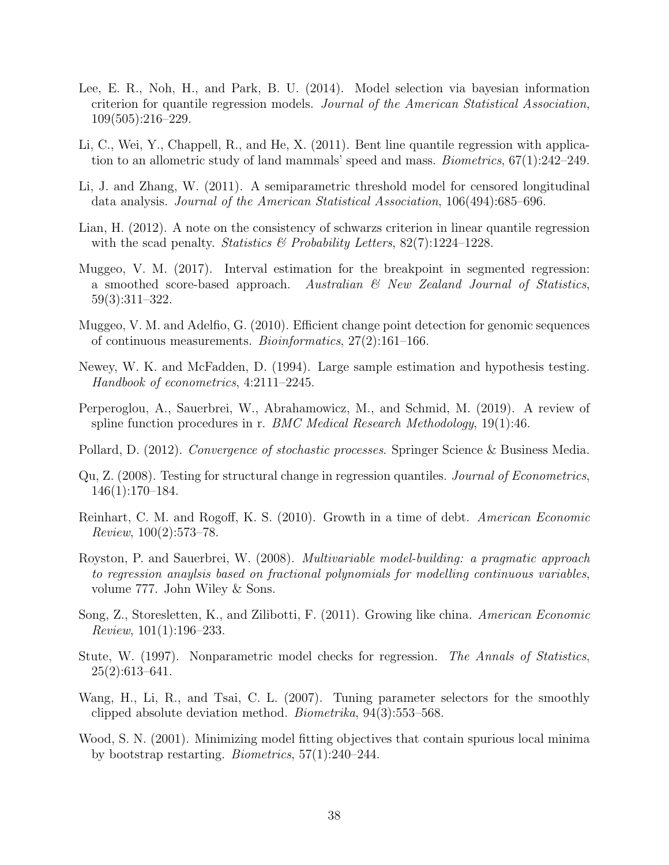- <span id="page-38-6"></span>Lee, E. R., Noh, H., and Park, B. U. (2014). Model selection via bayesian information criterion for quantile regression models. Journal of the American Statistical Association, 109(505):216–229.
- <span id="page-38-0"></span>Li, C., Wei, Y., Chappell, R., and He, X. (2011). Bent line quantile regression with application to an allometric study of land mammals' speed and mass. *Biometrics*,  $67(1):242-249$ .
- <span id="page-38-2"></span>Li, J. and Zhang, W. (2011). A semiparametric threshold model for censored longitudinal data analysis. Journal of the American Statistical Association, 106(494):685–696.
- <span id="page-38-5"></span>Lian, H. (2012). A note on the consistency of schwarzs criterion in linear quantile regression with the scad penalty. *Statistics*  $\&$  *Probability Letters*, 82(7):1224–1228.
- <span id="page-38-9"></span>Muggeo, V. M. (2017). Interval estimation for the breakpoint in segmented regression: a smoothed score-based approach. Australian  $\mathcal{C}$  New Zealand Journal of Statistics, 59(3):311–322.
- <span id="page-38-4"></span>Muggeo, V. M. and Adelfio, G. (2010). Efficient change point detection for genomic sequences of continuous measurements. Bioinformatics, 27(2):161–166.
- <span id="page-38-13"></span>Newey, W. K. and McFadden, D. (1994). Large sample estimation and hypothesis testing. Handbook of econometrics, 4:2111–2245.
- <span id="page-38-11"></span>Perperoglou, A., Sauerbrei, W., Abrahamowicz, M., and Schmid, M. (2019). A review of spline function procedures in r. *BMC Medical Research Methodology*,  $19(1):46$ .
- <span id="page-38-15"></span>Pollard, D. (2012). Convergence of stochastic processes. Springer Science & Business Media.
- <span id="page-38-8"></span>Qu, Z. (2008). Testing for structural change in regression quantiles. Journal of Econometrics, 146(1):170–184.
- <span id="page-38-1"></span>Reinhart, C. M. and Rogoff, K. S. (2010). Growth in a time of debt. American Economic Review, 100(2):573–78.
- <span id="page-38-12"></span>Royston, P. and Sauerbrei, W. (2008). Multivariable model-building: a pragmatic approach to regression anaylsis based on fractional polynomials for modelling continuous variables, volume 777. John Wiley & Sons.
- <span id="page-38-10"></span>Song, Z., Storesletten, K., and Zilibotti, F. (2011). Growing like china. American Economic Review, 101(1):196–233.
- <span id="page-38-14"></span>Stute, W. (1997). Nonparametric model checks for regression. The Annals of Statistics,  $25(2):613-641.$
- <span id="page-38-7"></span>Wang, H., Li, R., and Tsai, C. L. (2007). Tuning parameter selectors for the smoothly clipped absolute deviation method. Biometrika, 94(3):553–568.
- <span id="page-38-3"></span>Wood, S. N. (2001). Minimizing model fitting objectives that contain spurious local minima by bootstrap restarting. Biometrics, 57(1):240–244.